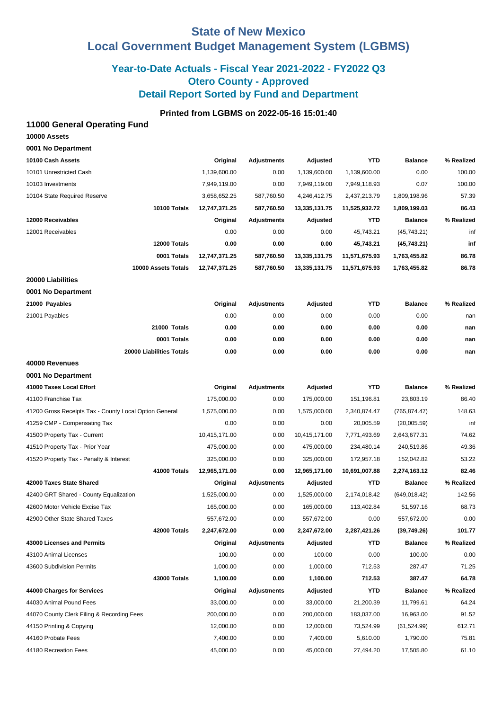# **State of New Mexico Local Government Budget Management System (LGBMS)**

# **Year-to-Date Actuals - Fiscal Year 2021-2022 - FY2022 Q3 Otero County - Approved Detail Report Sorted by Fund and Department**

## **Printed from LGBMS on 2022-05-16 15:01:40**

### **11000 General Operating Fund**

| 10000 Assets       |  |
|--------------------|--|
| 0001 No Department |  |

| 10100 Cash Assets                                      | Original      | <b>Adjustments</b> | Adjusted      | <b>YTD</b>    | <b>Balance</b> | % Realized |
|--------------------------------------------------------|---------------|--------------------|---------------|---------------|----------------|------------|
| 10101 Unrestricted Cash                                | 1,139,600.00  | 0.00               | 1,139,600.00  | 1,139,600.00  | 0.00           | 100.00     |
| 10103 Investments                                      | 7,949,119.00  | 0.00               | 7,949,119.00  | 7,949,118.93  | 0.07           | 100.00     |
| 10104 State Required Reserve                           | 3,658,652.25  | 587,760.50         | 4,246,412.75  | 2,437,213.79  | 1,809,198.96   | 57.39      |
| 10100 Totals                                           | 12,747,371.25 | 587,760.50         | 13,335,131.75 | 11,525,932.72 | 1,809,199.03   | 86.43      |
| 12000 Receivables                                      | Original      | <b>Adjustments</b> | Adjusted      | <b>YTD</b>    | <b>Balance</b> | % Realized |
| 12001 Receivables                                      | 0.00          | 0.00               | 0.00          | 45,743.21     | (45,743.21)    | inf        |
| 12000 Totals                                           | 0.00          | 0.00               | 0.00          | 45,743.21     | (45,743.21)    | inf        |
| 0001 Totals                                            | 12,747,371.25 | 587,760.50         | 13,335,131.75 | 11,571,675.93 | 1,763,455.82   | 86.78      |
| 10000 Assets Totals                                    | 12,747,371.25 | 587,760.50         | 13,335,131.75 | 11,571,675.93 | 1,763,455.82   | 86.78      |
| 20000 Liabilities                                      |               |                    |               |               |                |            |
| 0001 No Department                                     |               |                    |               |               |                |            |
| 21000 Payables                                         | Original      | <b>Adjustments</b> | Adjusted      | <b>YTD</b>    | <b>Balance</b> | % Realized |
| 21001 Payables                                         | 0.00          | 0.00               | 0.00          | 0.00          | 0.00           | nan        |
| 21000 Totals                                           | 0.00          | 0.00               | 0.00          | 0.00          | 0.00           | nan        |
| 0001 Totals                                            | 0.00          | 0.00               | 0.00          | 0.00          | 0.00           | nan        |
| 20000 Liabilities Totals                               | 0.00          | 0.00               | 0.00          | 0.00          | 0.00           | nan        |
| 40000 Revenues                                         |               |                    |               |               |                |            |
| 0001 No Department                                     |               |                    |               |               |                |            |
| 41000 Taxes Local Effort                               | Original      | <b>Adjustments</b> | Adjusted      | <b>YTD</b>    | <b>Balance</b> | % Realized |
| 41100 Franchise Tax                                    | 175,000.00    | 0.00               | 175,000.00    | 151,196.81    | 23,803.19      | 86.40      |
| 41200 Gross Receipts Tax - County Local Option General | 1,575,000.00  | 0.00               | 1,575,000.00  | 2,340,874.47  | (765, 874.47)  | 148.63     |
| 41259 CMP - Compensating Tax                           | 0.00          | 0.00               | 0.00          | 20,005.59     | (20,005.59)    | inf        |
| 41500 Property Tax - Current                           | 10,415,171.00 | 0.00               | 10,415,171.00 | 7,771,493.69  | 2,643,677.31   | 74.62      |
| 41510 Property Tax - Prior Year                        | 475,000.00    | 0.00               | 475,000.00    | 234,480.14    | 240,519.86     | 49.36      |
| 41520 Property Tax - Penalty & Interest                | 325,000.00    | 0.00               | 325,000.00    | 172,957.18    | 152,042.82     | 53.22      |
| 41000 Totals                                           | 12,965,171.00 | 0.00               | 12,965,171.00 | 10,691,007.88 | 2,274,163.12   | 82.46      |
| 42000 Taxes State Shared                               | Original      | <b>Adjustments</b> | Adjusted      | <b>YTD</b>    | <b>Balance</b> | % Realized |
| 42400 GRT Shared - County Equalization                 | 1,525,000.00  | 0.00               | 1,525,000.00  | 2,174,018.42  | (649, 018.42)  | 142.56     |
| 42600 Motor Vehicle Excise Tax                         | 165,000.00    | 0.00               | 165,000.00    | 113,402.84    | 51,597.16      | 68.73      |
| 42900 Other State Shared Taxes                         | 557,672.00    | 0.00               | 557,672.00    | 0.00          | 557,672.00     | 0.00       |
| 42000 Totals                                           | 2,247,672.00  | 0.00               | 2,247,672.00  | 2,287,421.26  | (39,749.26)    | 101.77     |
| 43000 Licenses and Permits                             | Original      | Adjustments        | Adjusted      | <b>YTD</b>    | <b>Balance</b> | % Realized |
| 43100 Animal Licenses                                  | 100.00        | 0.00               | 100.00        | 0.00          | 100.00         | 0.00       |
| 43600 Subdivision Permits                              | 1,000.00      | 0.00               | 1,000.00      | 712.53        | 287.47         | 71.25      |
| <b>43000 Totals</b>                                    | 1,100.00      | 0.00               | 1,100.00      | 712.53        | 387.47         | 64.78      |
| 44000 Charges for Services                             | Original      | Adjustments        | Adjusted      | <b>YTD</b>    | <b>Balance</b> | % Realized |
| 44030 Animal Pound Fees                                | 33,000.00     | 0.00               | 33,000.00     | 21,200.39     | 11,799.61      | 64.24      |
| 44070 County Clerk Filing & Recording Fees             | 200,000.00    | 0.00               | 200,000.00    | 183,037.00    | 16,963.00      | 91.52      |
| 44150 Printing & Copying                               | 12,000.00     | 0.00               | 12,000.00     | 73,524.99     | (61, 524.99)   | 612.71     |
| 44160 Probate Fees                                     | 7,400.00      | 0.00               | 7,400.00      | 5,610.00      | 1,790.00       | 75.81      |
| 44180 Recreation Fees                                  | 45,000.00     | 0.00               | 45,000.00     | 27,494.20     | 17,505.80      | 61.10      |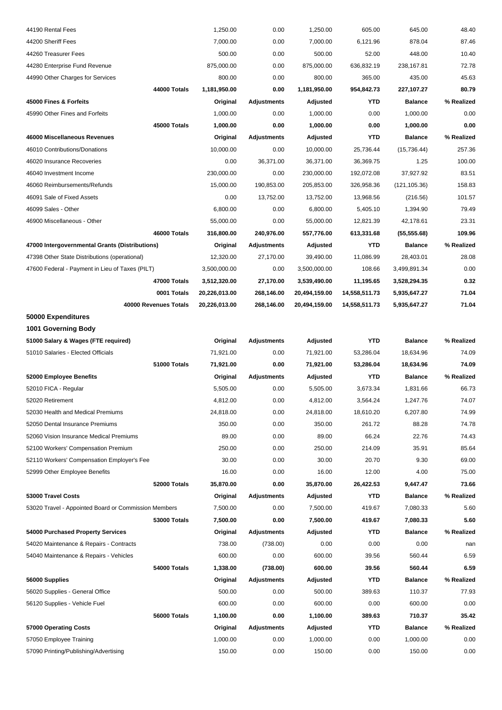| 44190 Rental Fees                                    |                       | 1,250.00      | 0.00               | 1,250.00      | 605.00        | 645.00         | 48.40      |
|------------------------------------------------------|-----------------------|---------------|--------------------|---------------|---------------|----------------|------------|
| 44200 Sheriff Fees                                   |                       | 7,000.00      | 0.00               | 7,000.00      | 6,121.96      | 878.04         | 87.46      |
| 44260 Treasurer Fees                                 |                       | 500.00        | 0.00               | 500.00        | 52.00         | 448.00         | 10.40      |
| 44280 Enterprise Fund Revenue                        |                       | 875,000.00    | 0.00               | 875,000.00    | 636,832.19    | 238,167.81     | 72.78      |
| 44990 Other Charges for Services                     |                       | 800.00        | 0.00               | 800.00        | 365.00        | 435.00         | 45.63      |
|                                                      | 44000 Totals          | 1,181,950.00  | 0.00               | 1,181,950.00  | 954,842.73    | 227,107.27     | 80.79      |
| 45000 Fines & Forfeits                               |                       | Original      | <b>Adjustments</b> | Adjusted      | YTD           | <b>Balance</b> | % Realized |
| 45990 Other Fines and Forfeits                       |                       | 1,000.00      | 0.00               | 1,000.00      | 0.00          | 1,000.00       | 0.00       |
|                                                      | 45000 Totals          | 1,000.00      | 0.00               | 1,000.00      | 0.00          | 1,000.00       | 0.00       |
| 46000 Miscellaneous Revenues                         |                       | Original      | <b>Adjustments</b> | Adjusted      | <b>YTD</b>    | <b>Balance</b> | % Realized |
| 46010 Contributions/Donations                        |                       | 10,000.00     | 0.00               | 10,000.00     | 25,736.44     | (15, 736.44)   | 257.36     |
| 46020 Insurance Recoveries                           |                       | 0.00          | 36,371.00          | 36,371.00     | 36,369.75     | 1.25           | 100.00     |
| 46040 Investment Income                              |                       | 230,000.00    | 0.00               | 230,000.00    | 192,072.08    | 37,927.92      | 83.51      |
| 46060 Reimbursements/Refunds                         |                       | 15,000.00     | 190,853.00         | 205,853.00    | 326,958.36    | (121, 105.36)  | 158.83     |
| 46091 Sale of Fixed Assets                           |                       | 0.00          | 13,752.00          | 13,752.00     | 13,968.56     | (216.56)       | 101.57     |
| 46099 Sales - Other                                  |                       | 6,800.00      | 0.00               | 6,800.00      | 5,405.10      | 1,394.90       | 79.49      |
| 46900 Miscellaneous - Other                          |                       | 55,000.00     | 0.00               | 55,000.00     | 12,821.39     | 42,178.61      | 23.31      |
|                                                      | 46000 Totals          | 316,800.00    | 240,976.00         | 557,776.00    | 613,331.68    | (55, 555.68)   | 109.96     |
| 47000 Intergovernmental Grants (Distributions)       |                       | Original      | Adjustments        | Adjusted      | <b>YTD</b>    | <b>Balance</b> | % Realized |
| 47398 Other State Distributions (operational)        |                       | 12,320.00     | 27,170.00          | 39,490.00     | 11,086.99     | 28,403.01      | 28.08      |
| 47600 Federal - Payment in Lieu of Taxes (PILT)      |                       | 3,500,000.00  | 0.00               | 3,500,000.00  | 108.66        | 3,499,891.34   | 0.00       |
|                                                      | 47000 Totals          | 3,512,320.00  | 27,170.00          | 3,539,490.00  | 11,195.65     | 3,528,294.35   | 0.32       |
|                                                      | 0001 Totals           | 20,226,013.00 | 268,146.00         | 20,494,159.00 | 14,558,511.73 | 5,935,647.27   | 71.04      |
|                                                      | 40000 Revenues Totals | 20,226,013.00 | 268,146.00         | 20,494,159.00 | 14,558,511.73 | 5,935,647.27   | 71.04      |
| 50000 Expenditures                                   |                       |               |                    |               |               |                |            |
| 1001 Governing Body                                  |                       |               |                    |               |               |                |            |
| 51000 Salary & Wages (FTE required)                  |                       | Original      | <b>Adjustments</b> | Adjusted      | <b>YTD</b>    | <b>Balance</b> | % Realized |
| 51010 Salaries - Elected Officials                   |                       | 71,921.00     | 0.00               | 71,921.00     | 53,286.04     | 18,634.96      | 74.09      |
|                                                      | 51000 Totals          | 71,921.00     | 0.00               | 71,921.00     | 53,286.04     | 18,634.96      | 74.09      |
| 52000 Employee Benefits                              |                       | Original      | <b>Adjustments</b> | Adjusted      | <b>YTD</b>    | <b>Balance</b> | % Realized |
| 52010 FICA - Regular                                 |                       | 5,505.00      | 0.00               | 5,505.00      | 3,673.34      | 1,831.66       | 66.73      |
| 52020 Retirement                                     |                       | 4,812.00      | 0.00               | 4,812.00      | 3,564.24      | 1,247.76       | 74.07      |
| 52030 Health and Medical Premiums                    |                       | 24,818.00     | 0.00               | 24,818.00     | 18,610.20     | 6,207.80       | 74.99      |
| 52050 Dental Insurance Premiums                      |                       | 350.00        | 0.00               | 350.00        | 261.72        | 88.28          | 74.78      |
| 52060 Vision Insurance Medical Premiums              |                       | 89.00         | 0.00               | 89.00         | 66.24         | 22.76          | 74.43      |
| 52100 Workers' Compensation Premium                  |                       | 250.00        | 0.00               | 250.00        | 214.09        | 35.91          | 85.64      |
| 52110 Workers' Compensation Employer's Fee           |                       | 30.00         | 0.00               | 30.00         | 20.70         | 9.30           | 69.00      |
| 52999 Other Employee Benefits                        |                       | 16.00         | 0.00               | 16.00         | 12.00         | 4.00           | 75.00      |
|                                                      | 52000 Totals          | 35,870.00     | 0.00               | 35,870.00     | 26,422.53     | 9,447.47       | 73.66      |
| 53000 Travel Costs                                   |                       | Original      | <b>Adjustments</b> | Adjusted      | YTD           | <b>Balance</b> | % Realized |
| 53020 Travel - Appointed Board or Commission Members |                       | 7,500.00      | 0.00               | 7,500.00      | 419.67        | 7,080.33       | 5.60       |
|                                                      | <b>53000 Totals</b>   | 7,500.00      | 0.00               | 7,500.00      | 419.67        | 7,080.33       | 5.60       |
| 54000 Purchased Property Services                    |                       | Original      | <b>Adjustments</b> | Adjusted      | YTD           | <b>Balance</b> | % Realized |
| 54020 Maintenance & Repairs - Contracts              |                       | 738.00        | (738.00)           | 0.00          | 0.00          | 0.00           | nan        |
| 54040 Maintenance & Repairs - Vehicles               |                       | 600.00        | 0.00               | 600.00        | 39.56         | 560.44         | 6.59       |
|                                                      | 54000 Totals          | 1,338.00      | (738.00)           | 600.00        | 39.56         | 560.44         | 6.59       |
| 56000 Supplies                                       |                       | Original      | <b>Adjustments</b> | Adjusted      | <b>YTD</b>    | <b>Balance</b> | % Realized |
| 56020 Supplies - General Office                      |                       | 500.00        | 0.00               | 500.00        | 389.63        | 110.37         | 77.93      |
| 56120 Supplies - Vehicle Fuel                        |                       | 600.00        | 0.00               | 600.00        | 0.00          | 600.00         | 0.00       |
|                                                      | 56000 Totals          | 1,100.00      | 0.00               | 1,100.00      | 389.63        | 710.37         | 35.42      |
| 57000 Operating Costs                                |                       | Original      | <b>Adjustments</b> | Adjusted      | YTD           | <b>Balance</b> | % Realized |
| 57050 Employee Training                              |                       | 1,000.00      | 0.00               | 1,000.00      | 0.00          | 1,000.00       | 0.00       |
| 57090 Printing/Publishing/Advertising                |                       | 150.00        | 0.00               | 150.00        | 0.00          | 150.00         | 0.00       |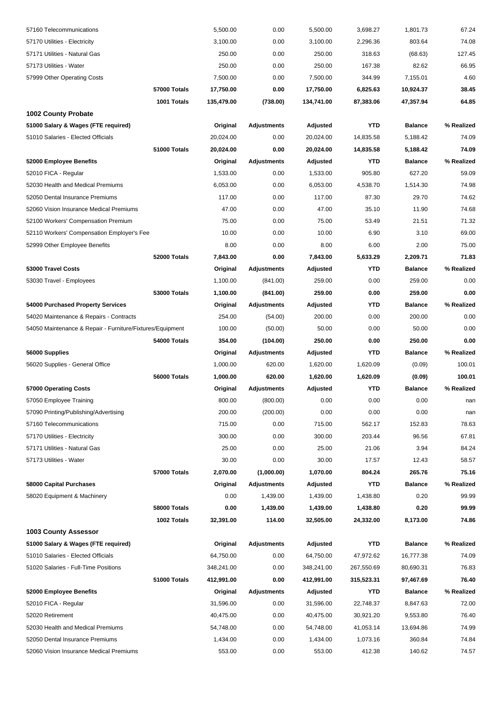| 57160 Telecommunications                                  |                     | 5,500.00   | 0.00               | 5,500.00   | 3,698.27   | 1,801.73       | 67.24      |
|-----------------------------------------------------------|---------------------|------------|--------------------|------------|------------|----------------|------------|
| 57170 Utilities - Electricity                             |                     | 3,100.00   | 0.00               | 3,100.00   | 2,296.36   | 803.64         | 74.08      |
| 57171 Utilities - Natural Gas                             |                     | 250.00     | 0.00               | 250.00     | 318.63     | (68.63)        | 127.45     |
| 57173 Utilities - Water                                   |                     | 250.00     | 0.00               | 250.00     | 167.38     | 82.62          | 66.95      |
| 57999 Other Operating Costs                               |                     | 7,500.00   | 0.00               | 7,500.00   | 344.99     | 7,155.01       | 4.60       |
|                                                           | 57000 Totals        | 17,750.00  | 0.00               | 17,750.00  | 6,825.63   | 10,924.37      | 38.45      |
|                                                           | 1001 Totals         | 135,479.00 | (738.00)           | 134,741.00 | 87,383.06  | 47,357.94      | 64.85      |
| <b>1002 County Probate</b>                                |                     |            |                    |            |            |                |            |
| 51000 Salary & Wages (FTE required)                       |                     | Original   | <b>Adjustments</b> | Adjusted   | <b>YTD</b> | <b>Balance</b> | % Realized |
| 51010 Salaries - Elected Officials                        |                     | 20,024.00  | 0.00               | 20,024.00  | 14,835.58  | 5,188.42       | 74.09      |
|                                                           | 51000 Totals        | 20,024.00  | 0.00               | 20,024.00  | 14,835.58  | 5,188.42       | 74.09      |
| 52000 Employee Benefits                                   |                     | Original   | <b>Adjustments</b> | Adjusted   | <b>YTD</b> | <b>Balance</b> | % Realized |
| 52010 FICA - Regular                                      |                     | 1,533.00   | 0.00               | 1,533.00   | 905.80     | 627.20         | 59.09      |
| 52030 Health and Medical Premiums                         |                     | 6,053.00   | 0.00               | 6,053.00   | 4,538.70   | 1,514.30       | 74.98      |
| 52050 Dental Insurance Premiums                           |                     | 117.00     | 0.00               | 117.00     | 87.30      | 29.70          | 74.62      |
| 52060 Vision Insurance Medical Premiums                   |                     | 47.00      | 0.00               | 47.00      | 35.10      | 11.90          | 74.68      |
| 52100 Workers' Compensation Premium                       |                     | 75.00      | 0.00               | 75.00      | 53.49      | 21.51          | 71.32      |
| 52110 Workers' Compensation Employer's Fee                |                     | 10.00      | 0.00               | 10.00      | 6.90       | 3.10           | 69.00      |
| 52999 Other Employee Benefits                             |                     | 8.00       | 0.00               | 8.00       | 6.00       | 2.00           | 75.00      |
|                                                           | 52000 Totals        | 7,843.00   | 0.00               | 7,843.00   | 5,633.29   | 2,209.71       | 71.83      |
| 53000 Travel Costs                                        |                     | Original   | <b>Adjustments</b> | Adjusted   | <b>YTD</b> | <b>Balance</b> | % Realized |
| 53030 Travel - Employees                                  |                     | 1,100.00   | (841.00)           | 259.00     | 0.00       | 259.00         | 0.00       |
|                                                           | <b>53000 Totals</b> | 1,100.00   | (841.00)           | 259.00     | 0.00       | 259.00         | 0.00       |
| 54000 Purchased Property Services                         |                     | Original   | <b>Adjustments</b> | Adjusted   | <b>YTD</b> | <b>Balance</b> | % Realized |
| 54020 Maintenance & Repairs - Contracts                   |                     | 254.00     | (54.00)            | 200.00     | 0.00       | 200.00         | 0.00       |
| 54050 Maintenance & Repair - Furniture/Fixtures/Equipment |                     | 100.00     | (50.00)            | 50.00      | 0.00       | 50.00          | 0.00       |
|                                                           | 54000 Totals        | 354.00     | (104.00)           | 250.00     | 0.00       | 250.00         | 0.00       |
| 56000 Supplies                                            |                     | Original   | <b>Adjustments</b> | Adjusted   | <b>YTD</b> | <b>Balance</b> | % Realized |
| 56020 Supplies - General Office                           |                     | 1,000.00   | 620.00             | 1,620.00   | 1,620.09   | (0.09)         | 100.01     |
|                                                           | 56000 Totals        | 1,000.00   | 620.00             | 1,620.00   | 1,620.09   | (0.09)         | 100.01     |
| 57000 Operating Costs                                     |                     | Original   | <b>Adjustments</b> | Adjusted   | YTD        | <b>Balance</b> | % Realized |
| 57050 Employee Training                                   |                     | 800.00     | (800.00)           | 0.00       | 0.00       | 0.00           | nan        |
| 57090 Printing/Publishing/Advertising                     |                     | 200.00     | (200.00)           | 0.00       | 0.00       | 0.00           | nan        |
| 57160 Telecommunications                                  |                     | 715.00     | 0.00               | 715.00     | 562.17     | 152.83         | 78.63      |
| 57170 Utilities - Electricity                             |                     | 300.00     | 0.00               | 300.00     | 203.44     | 96.56          | 67.81      |
| 57171 Utilities - Natural Gas                             |                     | 25.00      | 0.00               | 25.00      | 21.06      | 3.94           | 84.24      |
| 57173 Utilities - Water                                   |                     | 30.00      | 0.00               | 30.00      | 17.57      | 12.43          | 58.57      |
|                                                           | 57000 Totals        | 2,070.00   | (1,000.00)         | 1,070.00   | 804.24     | 265.76         | 75.16      |
| 58000 Capital Purchases                                   |                     | Original   | <b>Adjustments</b> | Adjusted   | <b>YTD</b> | <b>Balance</b> | % Realized |
| 58020 Equipment & Machinery                               |                     | 0.00       | 1,439.00           | 1,439.00   | 1,438.80   | 0.20           | 99.99      |
|                                                           | 58000 Totals        | 0.00       | 1,439.00           | 1,439.00   | 1,438.80   | 0.20           | 99.99      |
|                                                           | 1002 Totals         | 32,391.00  | 114.00             | 32,505.00  | 24,332.00  | 8,173.00       | 74.86      |
| <b>1003 County Assessor</b>                               |                     |            |                    |            |            |                |            |
| 51000 Salary & Wages (FTE required)                       |                     | Original   | <b>Adjustments</b> | Adjusted   | <b>YTD</b> | <b>Balance</b> | % Realized |
| 51010 Salaries - Elected Officials                        |                     | 64,750.00  | 0.00               | 64,750.00  | 47,972.62  | 16,777.38      | 74.09      |
| 51020 Salaries - Full-Time Positions                      |                     | 348,241.00 | 0.00               | 348,241.00 | 267,550.69 | 80,690.31      | 76.83      |
|                                                           | 51000 Totals        | 412,991.00 | 0.00               | 412,991.00 | 315,523.31 | 97,467.69      | 76.40      |
| 52000 Employee Benefits                                   |                     | Original   | Adjustments        | Adjusted   | <b>YTD</b> | <b>Balance</b> | % Realized |
| 52010 FICA - Regular                                      |                     | 31,596.00  | 0.00               | 31,596.00  | 22,748.37  | 8,847.63       | 72.00      |
| 52020 Retirement                                          |                     | 40,475.00  | 0.00               | 40,475.00  | 30,921.20  | 9,553.80       | 76.40      |
| 52030 Health and Medical Premiums                         |                     | 54,748.00  | 0.00               | 54,748.00  | 41,053.14  | 13,694.86      | 74.99      |
| 52050 Dental Insurance Premiums                           |                     | 1,434.00   | 0.00               | 1,434.00   | 1,073.16   | 360.84         | 74.84      |
| 52060 Vision Insurance Medical Premiums                   |                     | 553.00     | 0.00               | 553.00     | 412.38     | 140.62         | 74.57      |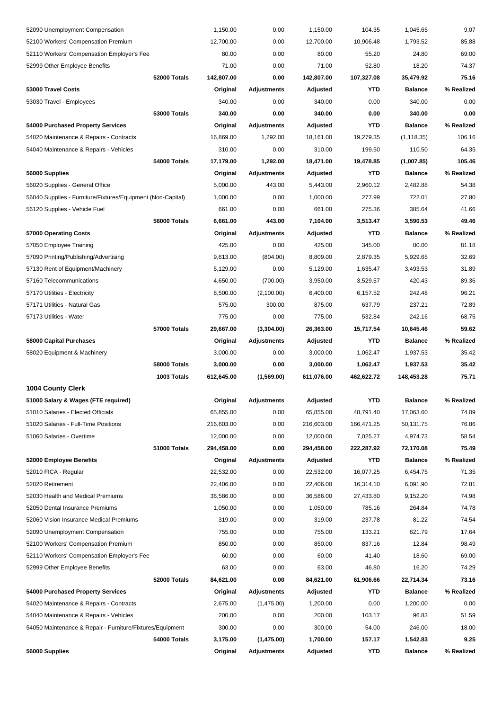| 52090 Unemployment Compensation                             |                     | 1,150.00   | 0.00               | 1,150.00   | 104.35     | 1,045.65       | 9.07       |
|-------------------------------------------------------------|---------------------|------------|--------------------|------------|------------|----------------|------------|
| 52100 Workers' Compensation Premium                         |                     | 12,700.00  | 0.00               | 12,700.00  | 10,906.48  | 1,793.52       | 85.88      |
| 52110 Workers' Compensation Employer's Fee                  |                     | 80.00      | 0.00               | 80.00      | 55.20      | 24.80          | 69.00      |
| 52999 Other Employee Benefits                               |                     | 71.00      | 0.00               | 71.00      | 52.80      | 18.20          | 74.37      |
|                                                             | 52000 Totals        | 142,807.00 | 0.00               | 142,807.00 | 107,327.08 | 35,479.92      | 75.16      |
| 53000 Travel Costs                                          |                     | Original   | Adjustments        | Adjusted   | <b>YTD</b> | <b>Balance</b> | % Realized |
| 53030 Travel - Employees                                    |                     | 340.00     | 0.00               | 340.00     | 0.00       | 340.00         | 0.00       |
|                                                             | <b>53000 Totals</b> | 340.00     | 0.00               | 340.00     | 0.00       | 340.00         | 0.00       |
| 54000 Purchased Property Services                           |                     | Original   | <b>Adjustments</b> | Adjusted   | <b>YTD</b> | <b>Balance</b> | % Realized |
| 54020 Maintenance & Repairs - Contracts                     |                     | 16,869.00  | 1,292.00           | 18,161.00  | 19,279.35  | (1, 118.35)    | 106.16     |
| 54040 Maintenance & Repairs - Vehicles                      |                     | 310.00     | 0.00               | 310.00     | 199.50     | 110.50         | 64.35      |
|                                                             | 54000 Totals        | 17,179.00  | 1,292.00           | 18,471.00  | 19,478.85  | (1,007.85)     | 105.46     |
| 56000 Supplies                                              |                     | Original   | <b>Adjustments</b> | Adjusted   | <b>YTD</b> | <b>Balance</b> | % Realized |
| 56020 Supplies - General Office                             |                     | 5,000.00   | 443.00             | 5,443.00   | 2,960.12   | 2,482.88       | 54.38      |
| 56040 Supplies - Furniture/Fixtures/Equipment (Non-Capital) |                     | 1,000.00   | 0.00               | 1,000.00   | 277.99     | 722.01         | 27.80      |
| 56120 Supplies - Vehicle Fuel                               |                     | 661.00     | 0.00               | 661.00     | 275.36     | 385.64         | 41.66      |
|                                                             | 56000 Totals        | 6,661.00   | 443.00             | 7,104.00   | 3,513.47   | 3,590.53       | 49.46      |
| 57000 Operating Costs                                       |                     | Original   | Adjustments        | Adjusted   | <b>YTD</b> | <b>Balance</b> | % Realized |
| 57050 Employee Training                                     |                     | 425.00     | 0.00               | 425.00     | 345.00     | 80.00          | 81.18      |
| 57090 Printing/Publishing/Advertising                       |                     | 9,613.00   | (804.00)           | 8,809.00   | 2,879.35   | 5,929.65       | 32.69      |
| 57130 Rent of Equipment/Machinery                           |                     | 5,129.00   | 0.00               | 5,129.00   | 1,635.47   | 3,493.53       | 31.89      |
| 57160 Telecommunications                                    |                     | 4,650.00   | (700.00)           | 3,950.00   | 3,529.57   | 420.43         | 89.36      |
| 57170 Utilities - Electricity                               |                     | 8,500.00   | (2,100.00)         | 6,400.00   | 6,157.52   | 242.48         | 96.21      |
| 57171 Utilities - Natural Gas                               |                     | 575.00     | 300.00             | 875.00     | 637.79     | 237.21         | 72.89      |
| 57173 Utilities - Water                                     |                     | 775.00     | 0.00               | 775.00     | 532.84     | 242.16         | 68.75      |
|                                                             | <b>57000 Totals</b> | 29,667.00  | (3,304.00)         | 26,363.00  | 15,717.54  | 10,645.46      | 59.62      |
| 58000 Capital Purchases                                     |                     | Original   | <b>Adjustments</b> | Adjusted   | <b>YTD</b> | <b>Balance</b> | % Realized |
| 58020 Equipment & Machinery                                 |                     | 3,000.00   | 0.00               | 3,000.00   | 1,062.47   | 1,937.53       | 35.42      |
|                                                             | 58000 Totals        | 3,000.00   | 0.00               | 3,000.00   | 1,062.47   | 1,937.53       | 35.42      |
|                                                             | 1003 Totals         | 612,645.00 | (1,569.00)         | 611,076.00 | 462,622.72 | 148,453.28     | 75.71      |
| <b>1004 County Clerk</b>                                    |                     |            |                    |            |            |                |            |
| 51000 Salary & Wages (FTE required)                         |                     | Original   | Adjustments        | Adjusted   | YTD        | <b>Balance</b> | % Realized |
| 51010 Salaries - Elected Officials                          |                     | 65,855.00  | 0.00               | 65,855.00  | 48,791.40  | 17,063.60      | 74.09      |
| 51020 Salaries - Full-Time Positions                        |                     | 216,603.00 | 0.00               | 216,603.00 | 166,471.25 | 50,131.75      | 76.86      |
| 51060 Salaries - Overtime                                   |                     | 12,000.00  | 0.00               | 12,000.00  | 7,025.27   | 4,974.73       | 58.54      |
|                                                             | 51000 Totals        | 294,458.00 | 0.00               | 294,458.00 | 222,287.92 | 72,170.08      | 75.49      |
| 52000 Employee Benefits                                     |                     | Original   | <b>Adjustments</b> | Adjusted   | YTD        | <b>Balance</b> | % Realized |
| 52010 FICA - Regular                                        |                     | 22,532.00  | 0.00               | 22,532.00  | 16,077.25  | 6,454.75       | 71.35      |
| 52020 Retirement                                            |                     | 22,406.00  | 0.00               | 22,406.00  | 16,314.10  | 6,091.90       | 72.81      |
| 52030 Health and Medical Premiums                           |                     | 36,586.00  | 0.00               | 36,586.00  | 27,433.80  | 9,152.20       | 74.98      |
| 52050 Dental Insurance Premiums                             |                     | 1,050.00   | 0.00               | 1,050.00   | 785.16     | 264.84         | 74.78      |
| 52060 Vision Insurance Medical Premiums                     |                     | 319.00     | 0.00               | 319.00     | 237.78     | 81.22          | 74.54      |
| 52090 Unemployment Compensation                             |                     | 755.00     | 0.00               | 755.00     | 133.21     | 621.79         | 17.64      |
| 52100 Workers' Compensation Premium                         |                     | 850.00     | 0.00               | 850.00     | 837.16     | 12.84          | 98.49      |
| 52110 Workers' Compensation Employer's Fee                  |                     | 60.00      | 0.00               | 60.00      | 41.40      | 18.60          | 69.00      |
| 52999 Other Employee Benefits                               |                     | 63.00      | 0.00               | 63.00      | 46.80      | 16.20          | 74.29      |
|                                                             | 52000 Totals        | 84,621.00  | 0.00               | 84,621.00  | 61,906.66  | 22,714.34      | 73.16      |
| 54000 Purchased Property Services                           |                     | Original   | <b>Adjustments</b> | Adjusted   | YTD        | <b>Balance</b> | % Realized |
| 54020 Maintenance & Repairs - Contracts                     |                     | 2,675.00   | (1,475.00)         | 1,200.00   | 0.00       | 1,200.00       | 0.00       |
| 54040 Maintenance & Repairs - Vehicles                      |                     | 200.00     | 0.00               | 200.00     | 103.17     | 96.83          | 51.59      |
| 54050 Maintenance & Repair - Furniture/Fixtures/Equipment   |                     | 300.00     | 0.00               | 300.00     | 54.00      | 246.00         | 18.00      |
|                                                             | 54000 Totals        | 3,175.00   | (1,475.00)         | 1,700.00   | 157.17     | 1,542.83       | 9.25       |
| 56000 Supplies                                              |                     | Original   | Adjustments        | Adjusted   | <b>YTD</b> | <b>Balance</b> | % Realized |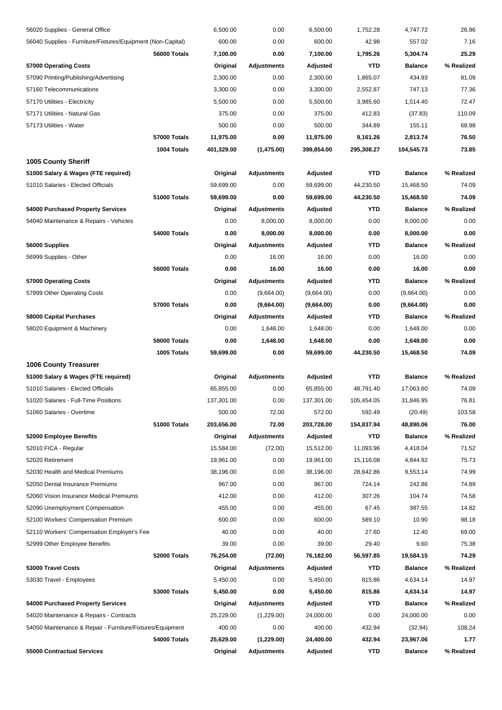| 56020 Supplies - General Office                             |                     | 6,500.00   | 0.00               | 6,500.00   | 1,752.28   | 4,747.72       | 26.96      |
|-------------------------------------------------------------|---------------------|------------|--------------------|------------|------------|----------------|------------|
| 56040 Supplies - Furniture/Fixtures/Equipment (Non-Capital) |                     | 600.00     | 0.00               | 600.00     | 42.98      | 557.02         | 7.16       |
|                                                             | 56000 Totals        | 7,100.00   | 0.00               | 7,100.00   | 1,795.26   | 5,304.74       | 25.29      |
| 57000 Operating Costs                                       |                     | Original   | <b>Adjustments</b> | Adjusted   | YTD        | <b>Balance</b> | % Realized |
| 57090 Printing/Publishing/Advertising                       |                     | 2,300.00   | 0.00               | 2,300.00   | 1,865.07   | 434.93         | 81.09      |
| 57160 Telecommunications                                    |                     | 3,300.00   | 0.00               | 3,300.00   | 2,552.87   | 747.13         | 77.36      |
| 57170 Utilities - Electricity                               |                     | 5,500.00   | 0.00               | 5,500.00   | 3,985.60   | 1,514.40       | 72.47      |
| 57171 Utilities - Natural Gas                               |                     | 375.00     | 0.00               | 375.00     | 412.83     | (37.83)        | 110.09     |
| 57173 Utilities - Water                                     |                     | 500.00     | 0.00               | 500.00     | 344.89     | 155.11         | 68.98      |
|                                                             | 57000 Totals        | 11,975.00  | 0.00               | 11,975.00  | 9,161.26   | 2,813.74       | 76.50      |
|                                                             | 1004 Totals         | 401,329.00 | (1,475.00)         | 399,854.00 | 295,308.27 | 104,545.73     | 73.85      |
| <b>1005 County Sheriff</b>                                  |                     |            |                    |            |            |                |            |
| 51000 Salary & Wages (FTE required)                         |                     | Original   | Adjustments        | Adjusted   | YTD        | <b>Balance</b> | % Realized |
| 51010 Salaries - Elected Officials                          |                     | 59,699.00  | 0.00               | 59,699.00  | 44,230.50  | 15,468.50      | 74.09      |
|                                                             | 51000 Totals        | 59,699.00  | 0.00               | 59,699.00  | 44,230.50  | 15,468.50      | 74.09      |
| 54000 Purchased Property Services                           |                     | Original   | Adjustments        | Adjusted   | YTD        | <b>Balance</b> | % Realized |
| 54040 Maintenance & Repairs - Vehicles                      |                     | 0.00       | 8,000.00           | 8,000.00   | 0.00       | 8,000.00       | 0.00       |
|                                                             | 54000 Totals        | 0.00       | 8,000.00           | 8,000.00   | 0.00       | 8,000.00       | 0.00       |
| 56000 Supplies                                              |                     | Original   | <b>Adjustments</b> | Adjusted   | YTD        | <b>Balance</b> | % Realized |
| 56999 Supplies - Other                                      |                     | 0.00       | 16.00              | 16.00      | 0.00       | 16.00          | 0.00       |
|                                                             | 56000 Totals        | 0.00       | 16.00              | 16.00      | 0.00       | 16.00          | 0.00       |
| 57000 Operating Costs                                       |                     | Original   | Adjustments        | Adjusted   | YTD        | <b>Balance</b> | % Realized |
| 57999 Other Operating Costs                                 |                     | 0.00       | (9,664.00)         | (9,664.00) | 0.00       | (9,664.00)     | 0.00       |
|                                                             | 57000 Totals        | 0.00       | (9,664.00)         | (9,664.00) | 0.00       | (9,664.00)     | 0.00       |
| 58000 Capital Purchases                                     |                     | Original   | Adjustments        | Adjusted   | YTD        | <b>Balance</b> | % Realized |
| 58020 Equipment & Machinery                                 |                     | 0.00       | 1,648.00           | 1,648.00   | 0.00       | 1,648.00       | 0.00       |
|                                                             | <b>58000 Totals</b> | 0.00       | 1,648.00           | 1,648.00   | 0.00       | 1,648.00       | 0.00       |
|                                                             | 1005 Totals         | 59,699.00  | 0.00               | 59,699.00  | 44,230.50  | 15,468.50      | 74.09      |
| <b>1006 County Treasurer</b>                                |                     |            |                    |            |            |                |            |
| 51000 Salary & Wages (FTE required)                         |                     | Original   | Adjustments        | Adjusted   | <b>YTD</b> | <b>Balance</b> | % Realized |
| 51010 Salaries - Elected Officials                          |                     | 65,855.00  | 0.00               | 65,855.00  | 48,791.40  | 17,063.60      | 74.09      |
| 51020 Salaries - Full-Time Positions                        |                     | 137,301.00 | 0.00               | 137,301.00 | 105,454.05 | 31,846.95      | 76.81      |
| 51060 Salaries - Overtime                                   |                     | 500.00     | 72.00              | 572.00     | 592.49     | (20.49)        | 103.58     |
|                                                             | 51000 Totals        | 203,656.00 | 72.00              | 203,728.00 | 154,837.94 | 48,890.06      | 76.00      |
| 52000 Employee Benefits                                     |                     | Original   | Adjustments        | Adjusted   | YTD        | <b>Balance</b> | % Realized |
| 52010 FICA - Regular                                        |                     | 15,584.00  | (72.00)            | 15,512.00  | 11,093.96  | 4,418.04       | 71.52      |
| 52020 Retirement                                            |                     | 19,961.00  | 0.00               | 19,961.00  | 15,116.08  | 4,844.92       | 75.73      |
| 52030 Health and Medical Premiums                           |                     | 38,196.00  | 0.00               | 38,196.00  | 28,642.86  | 9,553.14       | 74.99      |
| 52050 Dental Insurance Premiums                             |                     | 967.00     | 0.00               | 967.00     | 724.14     | 242.86         | 74.89      |
| 52060 Vision Insurance Medical Premiums                     |                     | 412.00     | 0.00               | 412.00     | 307.26     | 104.74         | 74.58      |
| 52090 Unemployment Compensation                             |                     | 455.00     | 0.00               | 455.00     | 67.45      | 387.55         | 14.82      |
| 52100 Workers' Compensation Premium                         |                     | 600.00     | 0.00               | 600.00     | 589.10     | 10.90          | 98.18      |
| 52110 Workers' Compensation Employer's Fee                  |                     | 40.00      | 0.00               | 40.00      | 27.60      | 12.40          | 69.00      |
| 52999 Other Employee Benefits                               |                     | 39.00      | 0.00               | 39.00      | 29.40      | 9.60           | 75.38      |
|                                                             | 52000 Totals        | 76,254.00  | (72.00)            | 76,182.00  | 56,597.85  | 19,584.15      | 74.29      |
| 53000 Travel Costs                                          |                     | Original   | <b>Adjustments</b> | Adjusted   | YTD        | <b>Balance</b> | % Realized |
| 53030 Travel - Employees                                    |                     | 5,450.00   | 0.00               | 5,450.00   | 815.86     | 4,634.14       | 14.97      |
|                                                             | <b>53000 Totals</b> | 5,450.00   | 0.00               | 5,450.00   | 815.86     | 4,634.14       | 14.97      |
| 54000 Purchased Property Services                           |                     | Original   | <b>Adjustments</b> | Adjusted   | YTD        | <b>Balance</b> | % Realized |
| 54020 Maintenance & Repairs - Contracts                     |                     | 25,229.00  | (1,229.00)         | 24,000.00  | 0.00       | 24,000.00      | 0.00       |
| 54050 Maintenance & Repair - Furniture/Fixtures/Equipment   |                     | 400.00     | 0.00               | 400.00     | 432.94     | (32.94)        | 108.24     |
|                                                             | 54000 Totals        | 25,629.00  | (1,229.00)         | 24,400.00  | 432.94     | 23,967.06      | 1.77       |
| 55000 Contractual Services                                  |                     |            | Adjustments        | Adjusted   | YTD        | <b>Balance</b> | % Realized |
|                                                             |                     | Original   |                    |            |            |                |            |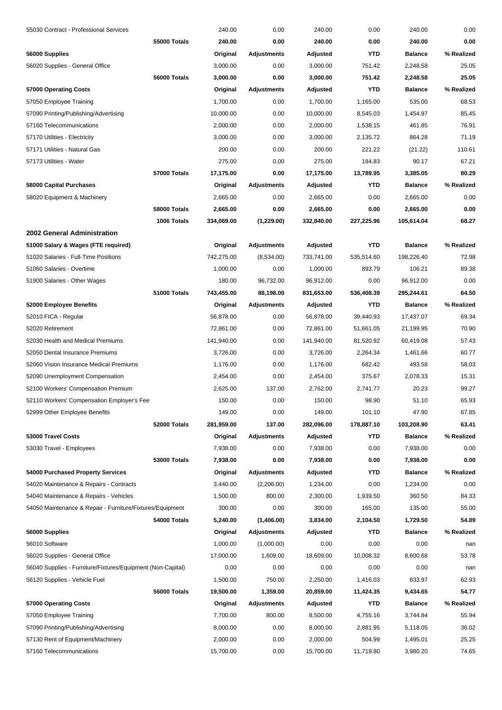| 55030 Contract - Professional Services                      |              | 240.00     | 0.00               | 240.00     | 0.00       | 240.00         | 0.00           |
|-------------------------------------------------------------|--------------|------------|--------------------|------------|------------|----------------|----------------|
|                                                             | 55000 Totals | 240.00     | 0.00               | 240.00     | 0.00       | 240.00         | 0.00           |
| 56000 Supplies                                              |              | Original   | <b>Adjustments</b> | Adjusted   | <b>YTD</b> | <b>Balance</b> | % Realized     |
| 56020 Supplies - General Office                             |              | 3,000.00   | 0.00               | 3,000.00   | 751.42     | 2,248.58       | 25.05          |
|                                                             | 56000 Totals | 3,000.00   | 0.00               | 3,000.00   | 751.42     | 2,248.58       | 25.05          |
| 57000 Operating Costs                                       |              | Original   | Adjustments        | Adjusted   | <b>YTD</b> | <b>Balance</b> | % Realized     |
| 57050 Employee Training                                     |              | 1,700.00   | 0.00               | 1,700.00   | 1,165.00   | 535.00         | 68.53          |
| 57090 Printing/Publishing/Advertising                       |              | 10,000.00  | 0.00               | 10,000.00  | 8,545.03   | 1,454.97       | 85.45          |
| 57160 Telecommunications                                    |              | 2.000.00   | 0.00               | 2,000.00   | 1,538.15   | 461.85         | 76.91          |
| 57170 Utilities - Electricity                               |              | 3,000.00   | 0.00               | 3,000.00   | 2,135.72   | 864.28         | 71.19          |
| 57171 Utilities - Natural Gas                               |              | 200.00     | 0.00               | 200.00     | 221.22     | (21.22)        | 110.61         |
| 57173 Utilities - Water                                     |              | 275.00     | 0.00               | 275.00     | 184.83     | 90.17          | 67.21          |
|                                                             | 57000 Totals | 17,175.00  | 0.00               | 17,175.00  | 13,789.95  | 3,385.05       | 80.29          |
| 58000 Capital Purchases                                     |              | Original   | Adjustments        | Adjusted   | <b>YTD</b> | <b>Balance</b> | % Realized     |
| 58020 Equipment & Machinery                                 |              | 2,665.00   | 0.00               | 2,665.00   | 0.00       | 2,665.00       | 0.00           |
|                                                             | 58000 Totals | 2,665.00   | 0.00               | 2,665.00   | 0.00       | 2,665.00       | 0.00           |
|                                                             | 1006 Totals  | 334,069.00 | (1,229.00)         | 332,840.00 | 227,225.96 | 105,614.04     | 68.27          |
| 2002 General Administration                                 |              |            |                    |            |            |                |                |
| 51000 Salary & Wages (FTE required)                         |              | Original   | Adjustments        | Adjusted   | <b>YTD</b> | <b>Balance</b> | % Realized     |
| 51020 Salaries - Full-Time Positions                        |              | 742,275.00 | (8,534.00)         | 733,741.00 | 535,514.60 | 198,226.40     | 72.98          |
| 51060 Salaries - Overtime                                   |              | 1,000.00   | 0.00               | 1,000.00   | 893.79     | 106.21         | 89.38          |
| 51900 Salaries - Other Wages                                |              | 180.00     | 96,732.00          | 96,912.00  | 0.00       | 96,912.00      | 0.00           |
|                                                             | 51000 Totals | 743,455.00 | 88,198.00          | 831,653.00 | 536,408.39 | 295,244.61     | 64.50          |
| 52000 Employee Benefits                                     |              |            | <b>Adjustments</b> |            | <b>YTD</b> | <b>Balance</b> | % Realized     |
|                                                             |              | Original   |                    | Adjusted   |            |                |                |
| 52010 FICA - Regular                                        |              | 56,878.00  | 0.00               | 56,878.00  | 39,440.93  | 17,437.07      | 69.34<br>70.90 |
| 52020 Retirement                                            |              | 72,861.00  | 0.00               | 72,861.00  | 51,661.05  | 21,199.95      |                |
| 52030 Health and Medical Premiums                           |              | 141,940.00 | 0.00               | 141,940.00 | 81,520.92  | 60,419.08      | 57.43          |
| 52050 Dental Insurance Premiums                             |              | 3,726.00   | 0.00               | 3,726.00   | 2,264.34   | 1,461.66       | 60.77          |
| 52060 Vision Insurance Medical Premiums                     |              | 1,176.00   | 0.00               | 1,176.00   | 682.42     | 493.58         | 58.03          |
| 52090 Unemployment Compensation                             |              | 2,454.00   | 0.00               | 2,454.00   | 375.67     | 2,078.33       | 15.31          |
| 52100 Workers' Compensation Premium                         |              | 2,625.00   | 137.00             | 2,762.00   | 2,741.77   | 20.23          | 99.27          |
| 52110 Workers' Compensation Employer's Fee                  |              | 150.00     | 0.00               | 150.00     | 98.90      | 51.10          | 65.93          |
| 52999 Other Employee Benefits                               |              | 149.00     | 0.00               | 149.00     | 101.10     | 47.90          | 67.85          |
|                                                             | 52000 Totals | 281,959.00 | 137.00             | 282,096.00 | 178,887.10 | 103,208.90     | 63.41          |
| 53000 Travel Costs                                          |              | Original   | Adjustments        | Adjusted   | YTD        | <b>Balance</b> | % Realized     |
| 53030 Travel - Employees                                    |              | 7,938.00   | 0.00               | 7,938.00   | 0.00       | 7,938.00       | 0.00           |
|                                                             | 53000 Totals | 7,938.00   | 0.00               | 7,938.00   | 0.00       | 7,938.00       | 0.00           |
| 54000 Purchased Property Services                           |              | Original   | <b>Adjustments</b> | Adjusted   | <b>YTD</b> | <b>Balance</b> | % Realized     |
| 54020 Maintenance & Repairs - Contracts                     |              | 3,440.00   | (2,206.00)         | 1,234.00   | 0.00       | 1,234.00       | 0.00           |
| 54040 Maintenance & Repairs - Vehicles                      |              | 1,500.00   | 800.00             | 2,300.00   | 1,939.50   | 360.50         | 84.33          |
| 54050 Maintenance & Repair - Furniture/Fixtures/Equipment   |              | 300.00     | 0.00               | 300.00     | 165.00     | 135.00         | 55.00          |
|                                                             | 54000 Totals | 5,240.00   | (1,406.00)         | 3,834.00   | 2,104.50   | 1,729.50       | 54.89          |
| 56000 Supplies                                              |              | Original   | <b>Adjustments</b> | Adjusted   | <b>YTD</b> | <b>Balance</b> | % Realized     |
| 56010 Software                                              |              | 1,000.00   | (1,000.00)         | 0.00       | 0.00       | 0.00           | nan            |
| 56020 Supplies - General Office                             |              | 17,000.00  | 1,609.00           | 18,609.00  | 10,008.32  | 8,600.68       | 53.78          |
| 56040 Supplies - Furniture/Fixtures/Equipment (Non-Capital) |              | 0.00       | 0.00               | 0.00       | 0.00       | 0.00           | nan            |
| 56120 Supplies - Vehicle Fuel                               |              | 1,500.00   | 750.00             | 2,250.00   | 1,416.03   | 833.97         | 62.93          |
|                                                             | 56000 Totals | 19,500.00  | 1,359.00           | 20,859.00  | 11,424.35  | 9,434.65       | 54.77          |
| 57000 Operating Costs                                       |              | Original   | <b>Adjustments</b> | Adjusted   | <b>YTD</b> | <b>Balance</b> | % Realized     |
| 57050 Employee Training                                     |              | 7,700.00   | 800.00             | 8,500.00   | 4,755.16   | 3,744.84       | 55.94          |
| 57090 Printing/Publishing/Advertising                       |              | 8,000.00   | 0.00               | 8,000.00   | 2,881.95   | 5,118.05       | 36.02          |
| 57130 Rent of Equipment/Machinery                           |              | 2,000.00   | 0.00               | 2,000.00   | 504.99     | 1,495.01       | 25.25          |
| 57160 Telecommunications                                    |              | 15,700.00  | 0.00               | 15,700.00  | 11,719.80  | 3,980.20       | 74.65          |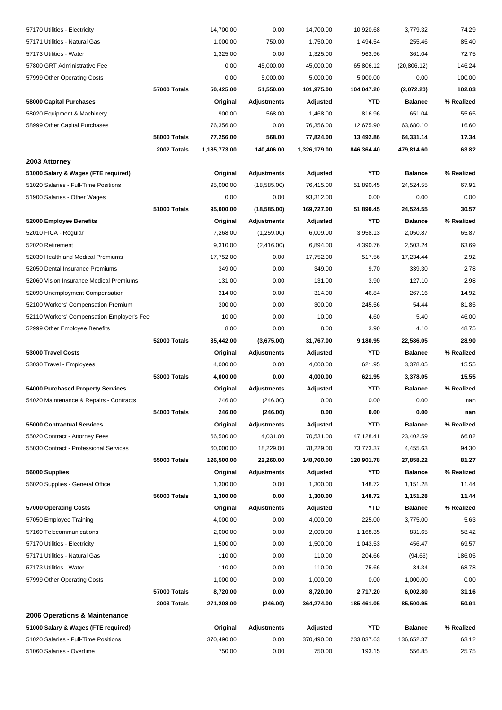| 57170 Utilities - Electricity              |                     | 14,700.00    | 0.00               | 14,700.00    | 10,920.68  | 3,779.32       | 74.29      |
|--------------------------------------------|---------------------|--------------|--------------------|--------------|------------|----------------|------------|
| 57171 Utilities - Natural Gas              |                     | 1,000.00     | 750.00             | 1,750.00     | 1,494.54   | 255.46         | 85.40      |
| 57173 Utilities - Water                    |                     | 1,325.00     | 0.00               | 1,325.00     | 963.96     | 361.04         | 72.75      |
| 57800 GRT Administrative Fee               |                     | 0.00         | 45,000.00          | 45,000.00    | 65,806.12  | (20, 806.12)   | 146.24     |
| 57999 Other Operating Costs                |                     | 0.00         | 5,000.00           | 5,000.00     | 5,000.00   | 0.00           | 100.00     |
|                                            | 57000 Totals        | 50,425.00    | 51,550.00          | 101,975.00   | 104,047.20 | (2,072.20)     | 102.03     |
| 58000 Capital Purchases                    |                     | Original     | Adjustments        | Adjusted     | <b>YTD</b> | <b>Balance</b> | % Realized |
| 58020 Equipment & Machinery                |                     | 900.00       | 568.00             | 1,468.00     | 816.96     | 651.04         | 55.65      |
| 58999 Other Capital Purchases              |                     | 76,356.00    | 0.00               | 76,356.00    | 12,675.90  | 63,680.10      | 16.60      |
|                                            | 58000 Totals        | 77,256.00    | 568.00             | 77,824.00    | 13,492.86  | 64,331.14      | 17.34      |
|                                            | 2002 Totals         | 1,185,773.00 | 140,406.00         | 1,326,179.00 | 846,364.40 | 479,814.60     | 63.82      |
| 2003 Attorney                              |                     |              |                    |              |            |                |            |
| 51000 Salary & Wages (FTE required)        |                     | Original     | <b>Adjustments</b> | Adjusted     | <b>YTD</b> | <b>Balance</b> | % Realized |
| 51020 Salaries - Full-Time Positions       |                     | 95,000.00    | (18, 585.00)       | 76,415.00    | 51,890.45  | 24,524.55      | 67.91      |
| 51900 Salaries - Other Wages               |                     | 0.00         | 0.00               | 93,312.00    | 0.00       | 0.00           | 0.00       |
|                                            | 51000 Totals        | 95,000.00    | (18, 585.00)       | 169,727.00   | 51,890.45  | 24,524.55      | 30.57      |
| 52000 Employee Benefits                    |                     | Original     | <b>Adjustments</b> | Adjusted     | <b>YTD</b> | <b>Balance</b> | % Realized |
| 52010 FICA - Regular                       |                     | 7,268.00     | (1,259.00)         | 6,009.00     | 3,958.13   | 2,050.87       | 65.87      |
| 52020 Retirement                           |                     | 9,310.00     | (2,416.00)         | 6,894.00     | 4,390.76   | 2,503.24       | 63.69      |
| 52030 Health and Medical Premiums          |                     | 17,752.00    | 0.00               | 17,752.00    | 517.56     | 17,234.44      | 2.92       |
| 52050 Dental Insurance Premiums            |                     | 349.00       | 0.00               | 349.00       | 9.70       | 339.30         | 2.78       |
| 52060 Vision Insurance Medical Premiums    |                     | 131.00       | 0.00               | 131.00       | 3.90       | 127.10         | 2.98       |
| 52090 Unemployment Compensation            |                     | 314.00       | 0.00               | 314.00       | 46.84      | 267.16         | 14.92      |
| 52100 Workers' Compensation Premium        |                     | 300.00       | 0.00               | 300.00       | 245.56     | 54.44          | 81.85      |
| 52110 Workers' Compensation Employer's Fee |                     | 10.00        | 0.00               | 10.00        | 4.60       | 5.40           | 46.00      |
| 52999 Other Employee Benefits              |                     | 8.00         | 0.00               | 8.00         | 3.90       | 4.10           | 48.75      |
|                                            | 52000 Totals        | 35,442.00    | (3,675.00)         | 31,767.00    | 9,180.95   | 22,586.05      | 28.90      |
| 53000 Travel Costs                         |                     | Original     | <b>Adjustments</b> | Adjusted     | <b>YTD</b> | <b>Balance</b> | % Realized |
| 53030 Travel - Employees                   |                     | 4,000.00     | 0.00               | 4,000.00     | 621.95     | 3,378.05       | 15.55      |
|                                            | <b>53000 Totals</b> | 4,000.00     | 0.00               | 4,000.00     | 621.95     | 3,378.05       | 15.55      |
| 54000 Purchased Property Services          |                     | Original     | <b>Adjustments</b> | Adjusted     | YTD        | <b>Balance</b> | % Realized |
| 54020 Maintenance & Repairs - Contracts    |                     | 246.00       | (246.00)           | 0.00         | 0.00       | 0.00           | nan        |
|                                            | 54000 Totals        | 246.00       | (246.00)           | 0.00         | 0.00       | 0.00           | nan        |
| 55000 Contractual Services                 |                     | Original     | <b>Adjustments</b> | Adjusted     | <b>YTD</b> | <b>Balance</b> | % Realized |
| 55020 Contract - Attorney Fees             |                     | 66,500.00    | 4,031.00           | 70,531.00    | 47,128.41  | 23,402.59      | 66.82      |
| 55030 Contract - Professional Services     |                     | 60,000.00    | 18,229.00          | 78,229.00    | 73,773.37  | 4,455.63       | 94.30      |
|                                            | 55000 Totals        | 126,500.00   | 22,260.00          | 148,760.00   | 120,901.78 | 27,858.22      | 81.27      |
| 56000 Supplies                             |                     | Original     | <b>Adjustments</b> | Adjusted     | <b>YTD</b> | <b>Balance</b> | % Realized |
| 56020 Supplies - General Office            |                     | 1,300.00     | 0.00               | 1,300.00     | 148.72     | 1,151.28       | 11.44      |
|                                            | 56000 Totals        | 1,300.00     | 0.00               | 1,300.00     | 148.72     | 1,151.28       | 11.44      |
| 57000 Operating Costs                      |                     | Original     | <b>Adjustments</b> | Adjusted     | <b>YTD</b> | <b>Balance</b> | % Realized |
| 57050 Employee Training                    |                     | 4,000.00     | 0.00               | 4,000.00     | 225.00     | 3,775.00       | 5.63       |
| 57160 Telecommunications                   |                     | 2,000.00     | 0.00               | 2,000.00     | 1,168.35   | 831.65         | 58.42      |
| 57170 Utilities - Electricity              |                     | 1,500.00     | 0.00               | 1,500.00     | 1,043.53   | 456.47         | 69.57      |
| 57171 Utilities - Natural Gas              |                     | 110.00       | 0.00               | 110.00       | 204.66     | (94.66)        | 186.05     |
| 57173 Utilities - Water                    |                     | 110.00       | 0.00               | 110.00       | 75.66      | 34.34          | 68.78      |
| 57999 Other Operating Costs                |                     | 1,000.00     | 0.00               | 1,000.00     | 0.00       | 1,000.00       | 0.00       |
|                                            | <b>57000 Totals</b> | 8,720.00     | 0.00               | 8,720.00     | 2,717.20   | 6,002.80       | 31.16      |
|                                            | 2003 Totals         | 271,208.00   | (246.00)           | 364,274.00   | 185,461.05 | 85,500.95      | 50.91      |
| 2006 Operations & Maintenance              |                     |              |                    |              |            |                |            |
| 51000 Salary & Wages (FTE required)        |                     | Original     | <b>Adjustments</b> | Adjusted     | YTD        | <b>Balance</b> | % Realized |
| 51020 Salaries - Full-Time Positions       |                     | 370,490.00   | 0.00               | 370,490.00   | 233,837.63 | 136,652.37     | 63.12      |
| 51060 Salaries - Overtime                  |                     | 750.00       | 0.00               | 750.00       | 193.15     | 556.85         | 25.75      |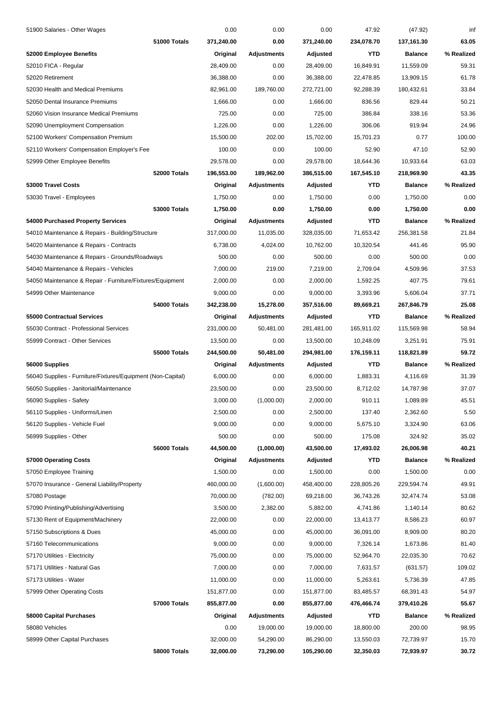| 51900 Salaries - Other Wages                                |              | 0.00       | 0.00               | 0.00       | 47.92      | (47.92)        | inf        |
|-------------------------------------------------------------|--------------|------------|--------------------|------------|------------|----------------|------------|
|                                                             | 51000 Totals | 371,240.00 | 0.00               | 371,240.00 | 234,078.70 | 137,161.30     | 63.05      |
| 52000 Employee Benefits                                     |              | Original   | Adjustments        | Adjusted   | YTD        | <b>Balance</b> | % Realized |
| 52010 FICA - Regular                                        |              | 28,409.00  | 0.00               | 28,409.00  | 16,849.91  | 11,559.09      | 59.31      |
| 52020 Retirement                                            |              | 36,388.00  | 0.00               | 36,388.00  | 22,478.85  | 13,909.15      | 61.78      |
| 52030 Health and Medical Premiums                           |              | 82,961.00  | 189,760.00         | 272,721.00 | 92,288.39  | 180,432.61     | 33.84      |
| 52050 Dental Insurance Premiums                             |              | 1,666.00   | 0.00               | 1,666.00   | 836.56     | 829.44         | 50.21      |
| 52060 Vision Insurance Medical Premiums                     |              | 725.00     | 0.00               | 725.00     | 386.84     | 338.16         | 53.36      |
| 52090 Unemployment Compensation                             |              | 1,226.00   | 0.00               | 1,226.00   | 306.06     | 919.94         | 24.96      |
| 52100 Workers' Compensation Premium                         |              | 15,500.00  | 202.00             | 15,702.00  | 15,701.23  | 0.77           | 100.00     |
| 52110 Workers' Compensation Employer's Fee                  |              | 100.00     | 0.00               | 100.00     | 52.90      | 47.10          | 52.90      |
| 52999 Other Employee Benefits                               |              | 29,578.00  | 0.00               | 29,578.00  | 18,644.36  | 10,933.64      | 63.03      |
|                                                             | 52000 Totals | 196,553.00 | 189,962.00         | 386,515.00 | 167,545.10 | 218,969.90     | 43.35      |
| 53000 Travel Costs                                          |              | Original   | Adjustments        | Adjusted   | YTD        | <b>Balance</b> | % Realized |
| 53030 Travel - Employees                                    |              | 1,750.00   | 0.00               | 1,750.00   | 0.00       | 1,750.00       | 0.00       |
|                                                             | 53000 Totals | 1,750.00   | 0.00               | 1,750.00   | 0.00       | 1,750.00       | 0.00       |
| 54000 Purchased Property Services                           |              | Original   | <b>Adjustments</b> | Adjusted   | YTD        | <b>Balance</b> | % Realized |
| 54010 Maintenance & Repairs - Building/Structure            |              | 317,000.00 | 11,035.00          | 328,035.00 | 71,653.42  | 256,381.58     | 21.84      |
| 54020 Maintenance & Repairs - Contracts                     |              | 6,738.00   | 4,024.00           | 10,762.00  | 10,320.54  | 441.46         | 95.90      |
| 54030 Maintenance & Repairs - Grounds/Roadways              |              | 500.00     | 0.00               | 500.00     | 0.00       | 500.00         | 0.00       |
| 54040 Maintenance & Repairs - Vehicles                      |              | 7,000.00   | 219.00             | 7,219.00   | 2,709.04   | 4,509.96       | 37.53      |
| 54050 Maintenance & Repair - Furniture/Fixtures/Equipment   |              | 2,000.00   | 0.00               | 2,000.00   | 1,592.25   | 407.75         | 79.61      |
| 54999 Other Maintenance                                     |              | 9,000.00   | 0.00               | 9,000.00   | 3,393.96   | 5,606.04       | 37.71      |
|                                                             | 54000 Totals | 342,238.00 | 15,278.00          | 357,516.00 | 89,669.21  | 267,846.79     | 25.08      |
| 55000 Contractual Services                                  |              | Original   | Adjustments        | Adjusted   | YTD        | <b>Balance</b> | % Realized |
| 55030 Contract - Professional Services                      |              | 231,000.00 | 50,481.00          | 281,481.00 | 165,911.02 | 115,569.98     | 58.94      |
| 55999 Contract - Other Services                             |              | 13,500.00  | 0.00               | 13,500.00  | 10,248.09  | 3,251.91       | 75.91      |
|                                                             | 55000 Totals | 244,500.00 | 50,481.00          | 294,981.00 | 176,159.11 | 118,821.89     | 59.72      |
| 56000 Supplies                                              |              | Original   | Adjustments        | Adjusted   | YTD        | <b>Balance</b> | % Realized |
| 56040 Supplies - Furniture/Fixtures/Equipment (Non-Capital) |              | 6,000.00   | 0.00               | 6,000.00   | 1,883.31   | 4,116.69       | 31.39      |
| 56050 Supplies - Janitorial/Maintenance                     |              | 23,500.00  | 0.00               | 23,500.00  | 8,712.02   | 14,787.98      | 37.07      |
| 56090 Supplies - Safety                                     |              | 3,000.00   | (1,000.00)         | 2,000.00   | 910.11     | 1,089.89       | 45.51      |
| 56110 Supplies - Uniforms/Linen                             |              | 2,500.00   | 0.00               | 2,500.00   | 137.40     | 2,362.60       | 5.50       |
| 56120 Supplies - Vehicle Fuel                               |              | 9,000.00   | 0.00               | 9,000.00   | 5,675.10   | 3,324.90       | 63.06      |
| 56999 Supplies - Other                                      |              | 500.00     | 0.00               | 500.00     | 175.08     | 324.92         | 35.02      |
|                                                             | 56000 Totals | 44,500.00  | (1,000.00)         | 43,500.00  | 17,493.02  | 26,006.98      | 40.21      |
| 57000 Operating Costs                                       |              | Original   | <b>Adjustments</b> | Adjusted   | YTD        | <b>Balance</b> | % Realized |
| 57050 Employee Training                                     |              | 1,500.00   | 0.00               | 1,500.00   | 0.00       | 1,500.00       | 0.00       |
| 57070 Insurance - General Liability/Property                |              | 460,000.00 | (1,600.00)         | 458,400.00 | 228,805.26 | 229,594.74     | 49.91      |
| 57080 Postage                                               |              | 70,000.00  | (782.00)           | 69,218.00  | 36,743.26  | 32,474.74      | 53.08      |
| 57090 Printing/Publishing/Advertising                       |              | 3,500.00   | 2,382.00           | 5,882.00   | 4,741.86   | 1,140.14       | 80.62      |
| 57130 Rent of Equipment/Machinery                           |              | 22,000.00  | 0.00               | 22,000.00  | 13,413.77  | 8,586.23       | 60.97      |
| 57150 Subscriptions & Dues                                  |              | 45,000.00  | 0.00               | 45,000.00  | 36,091.00  | 8,909.00       | 80.20      |
| 57160 Telecommunications                                    |              | 9,000.00   | 0.00               | 9,000.00   | 7,326.14   | 1,673.86       | 81.40      |
| 57170 Utilities - Electricity                               |              | 75,000.00  | 0.00               | 75,000.00  | 52,964.70  | 22,035.30      | 70.62      |
| 57171 Utilities - Natural Gas                               |              | 7,000.00   | 0.00               | 7,000.00   | 7,631.57   | (631.57)       | 109.02     |
| 57173 Utilities - Water                                     |              | 11,000.00  | 0.00               | 11,000.00  | 5,263.61   | 5,736.39       | 47.85      |
| 57999 Other Operating Costs                                 |              | 151,877.00 | 0.00               | 151,877.00 | 83,485.57  | 68,391.43      | 54.97      |
|                                                             | 57000 Totals | 855,877.00 | 0.00               | 855,877.00 | 476,466.74 | 379,410.26     | 55.67      |
| 58000 Capital Purchases                                     |              | Original   | Adjustments        | Adjusted   | YTD        | <b>Balance</b> | % Realized |
| 58080 Vehicles                                              |              | 0.00       | 19,000.00          | 19,000.00  | 18,800.00  | 200.00         | 98.95      |
| 58999 Other Capital Purchases                               |              | 32,000.00  | 54,290.00          | 86,290.00  | 13,550.03  | 72,739.97      | 15.70      |
|                                                             | 58000 Totals | 32,000.00  | 73,290.00          | 105,290.00 | 32,350.03  | 72,939.97      | 30.72      |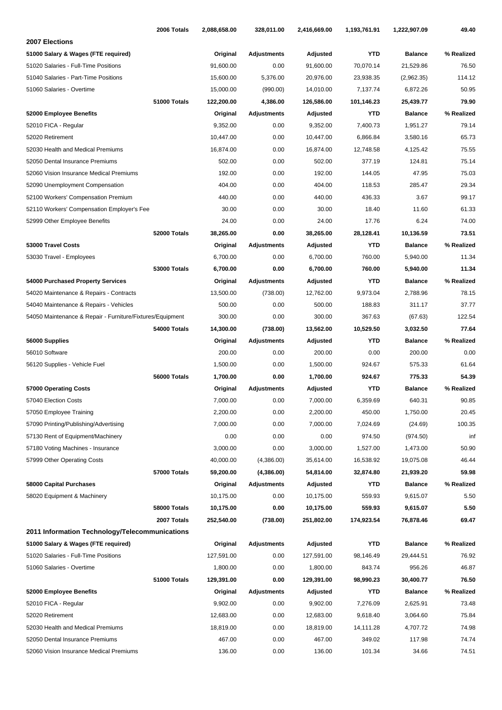| 2006 Totals                                               | 2,088,658.00 | 328,011.00         | 2,416,669.00 | 1,193,761.91 | 1,222,907.09   | 49.40      |
|-----------------------------------------------------------|--------------|--------------------|--------------|--------------|----------------|------------|
| 2007 Elections                                            |              |                    |              |              |                |            |
| 51000 Salary & Wages (FTE required)                       | Original     | <b>Adjustments</b> | Adjusted     | <b>YTD</b>   | <b>Balance</b> | % Realized |
| 51020 Salaries - Full-Time Positions                      | 91,600.00    | 0.00               | 91,600.00    | 70,070.14    | 21,529.86      | 76.50      |
| 51040 Salaries - Part-Time Positions                      | 15,600.00    | 5,376.00           | 20,976.00    | 23,938.35    | (2,962.35)     | 114.12     |
| 51060 Salaries - Overtime                                 | 15,000.00    | (990.00)           | 14,010.00    | 7,137.74     | 6,872.26       | 50.95      |
| 51000 Totals                                              | 122,200.00   | 4,386.00           | 126,586.00   | 101,146.23   | 25,439.77      | 79.90      |
| 52000 Employee Benefits                                   | Original     | Adjustments        | Adjusted     | <b>YTD</b>   | <b>Balance</b> | % Realized |
| 52010 FICA - Regular                                      | 9,352.00     | 0.00               | 9,352.00     | 7,400.73     | 1,951.27       | 79.14      |
| 52020 Retirement                                          | 10,447.00    | 0.00               | 10,447.00    | 6,866.84     | 3,580.16       | 65.73      |
| 52030 Health and Medical Premiums                         | 16,874.00    | 0.00               | 16,874.00    | 12,748.58    | 4,125.42       | 75.55      |
| 52050 Dental Insurance Premiums                           | 502.00       | 0.00               | 502.00       | 377.19       | 124.81         | 75.14      |
| 52060 Vision Insurance Medical Premiums                   | 192.00       | 0.00               | 192.00       | 144.05       | 47.95          | 75.03      |
| 52090 Unemployment Compensation                           | 404.00       | 0.00               | 404.00       | 118.53       | 285.47         | 29.34      |
| 52100 Workers' Compensation Premium                       | 440.00       | 0.00               | 440.00       | 436.33       | 3.67           | 99.17      |
| 52110 Workers' Compensation Employer's Fee                | 30.00        | 0.00               | 30.00        | 18.40        | 11.60          | 61.33      |
| 52999 Other Employee Benefits                             | 24.00        | 0.00               | 24.00        | 17.76        | 6.24           | 74.00      |
| 52000 Totals                                              | 38,265.00    | 0.00               | 38,265.00    | 28,128.41    | 10,136.59      | 73.51      |
| 53000 Travel Costs                                        | Original     | <b>Adjustments</b> | Adjusted     | YTD          | <b>Balance</b> | % Realized |
| 53030 Travel - Employees                                  | 6,700.00     | 0.00               | 6,700.00     | 760.00       | 5,940.00       | 11.34      |
| <b>53000 Totals</b>                                       | 6,700.00     | 0.00               | 6,700.00     | 760.00       | 5,940.00       | 11.34      |
| 54000 Purchased Property Services                         | Original     | <b>Adjustments</b> | Adjusted     | YTD          | <b>Balance</b> | % Realized |
| 54020 Maintenance & Repairs - Contracts                   | 13,500.00    | (738.00)           | 12,762.00    | 9,973.04     | 2,788.96       | 78.15      |
| 54040 Maintenance & Repairs - Vehicles                    | 500.00       | 0.00               | 500.00       | 188.83       | 311.17         | 37.77      |
| 54050 Maintenance & Repair - Furniture/Fixtures/Equipment | 300.00       | 0.00               | 300.00       | 367.63       | (67.63)        | 122.54     |
| 54000 Totals                                              | 14,300.00    | (738.00)           | 13,562.00    | 10,529.50    | 3,032.50       | 77.64      |
| 56000 Supplies                                            | Original     | Adjustments        | Adjusted     | YTD          | <b>Balance</b> | % Realized |
| 56010 Software                                            | 200.00       | 0.00               | 200.00       | 0.00         | 200.00         | 0.00       |
| 56120 Supplies - Vehicle Fuel                             | 1,500.00     | 0.00               | 1,500.00     | 924.67       | 575.33         | 61.64      |
| 56000 Totals                                              | 1,700.00     | 0.00               | 1,700.00     | 924.67       | 775.33         | 54.39      |
| 57000 Operating Costs                                     | Original     | Adjustments        | Adjusted     | YTD          | <b>Balance</b> | % Realized |
| 57040 Election Costs                                      | 7,000.00     | 0.00               | 7,000.00     | 6,359.69     | 640.31         | 90.85      |
| 57050 Employee Training                                   | 2,200.00     | 0.00               | 2,200.00     | 450.00       | 1,750.00       | 20.45      |
| 57090 Printing/Publishing/Advertising                     | 7,000.00     | 0.00               | 7,000.00     | 7,024.69     | (24.69)        | 100.35     |
| 57130 Rent of Equipment/Machinery                         | 0.00         | 0.00               | 0.00         | 974.50       | (974.50)       | inf        |
| 57180 Voting Machines - Insurance                         | 3,000.00     | 0.00               | 3,000.00     | 1,527.00     | 1,473.00       | 50.90      |
| 57999 Other Operating Costs                               | 40,000.00    | (4,386.00)         | 35,614.00    | 16,538.92    | 19,075.08      | 46.44      |
| 57000 Totals                                              | 59,200.00    | (4,386.00)         | 54,814.00    | 32,874.80    | 21,939.20      | 59.98      |
| 58000 Capital Purchases                                   | Original     | Adjustments        | Adjusted     | YTD          | <b>Balance</b> | % Realized |
| 58020 Equipment & Machinery                               | 10,175.00    | 0.00               | 10,175.00    | 559.93       | 9,615.07       | 5.50       |
| 58000 Totals                                              | 10,175.00    | 0.00               | 10,175.00    | 559.93       | 9,615.07       | 5.50       |
| 2007 Totals                                               | 252,540.00   | (738.00)           | 251,802.00   | 174,923.54   | 76,878.46      | 69.47      |
| 2011 Information Technology/Telecommunications            |              |                    |              |              |                |            |
| 51000 Salary & Wages (FTE required)                       | Original     | <b>Adjustments</b> | Adjusted     | YTD          | Balance        | % Realized |
| 51020 Salaries - Full-Time Positions                      | 127,591.00   | 0.00               | 127,591.00   | 98,146.49    | 29,444.51      | 76.92      |
| 51060 Salaries - Overtime                                 | 1,800.00     | 0.00               | 1,800.00     | 843.74       | 956.26         | 46.87      |
| 51000 Totals                                              | 129,391.00   | 0.00               | 129,391.00   | 98,990.23    | 30,400.77      | 76.50      |
| 52000 Employee Benefits                                   | Original     | <b>Adjustments</b> | Adjusted     | YTD          | <b>Balance</b> | % Realized |
| 52010 FICA - Regular                                      | 9,902.00     | 0.00               | 9,902.00     | 7,276.09     | 2,625.91       | 73.48      |
| 52020 Retirement                                          | 12,683.00    | 0.00               | 12,683.00    | 9,618.40     | 3,064.60       | 75.84      |
| 52030 Health and Medical Premiums                         | 18,819.00    | 0.00               | 18,819.00    | 14,111.28    | 4,707.72       | 74.98      |
| 52050 Dental Insurance Premiums                           | 467.00       | 0.00               | 467.00       | 349.02       | 117.98         | 74.74      |
| 52060 Vision Insurance Medical Premiums                   | 136.00       | 0.00               | 136.00       | 101.34       | 34.66          | 74.51      |
|                                                           |              |                    |              |              |                |            |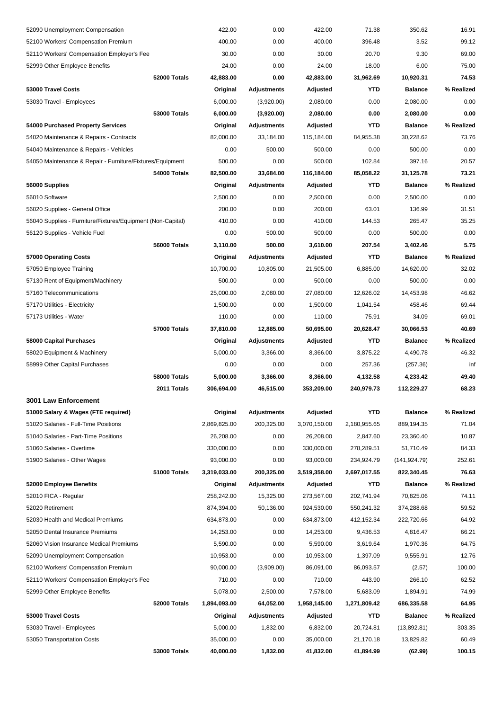| 52090 Unemployment Compensation                             |                     | 422.00       | 0.00               | 422.00       | 71.38        | 350.62         | 16.91      |
|-------------------------------------------------------------|---------------------|--------------|--------------------|--------------|--------------|----------------|------------|
| 52100 Workers' Compensation Premium                         |                     | 400.00       | 0.00               | 400.00       | 396.48       | 3.52           | 99.12      |
| 52110 Workers' Compensation Employer's Fee                  |                     | 30.00        | 0.00               | 30.00        | 20.70        | 9.30           | 69.00      |
| 52999 Other Employee Benefits                               |                     | 24.00        | 0.00               | 24.00        | 18.00        | 6.00           | 75.00      |
|                                                             | 52000 Totals        | 42,883.00    | 0.00               | 42,883.00    | 31,962.69    | 10,920.31      | 74.53      |
| 53000 Travel Costs                                          |                     | Original     | <b>Adjustments</b> | Adjusted     | YTD          | <b>Balance</b> | % Realized |
| 53030 Travel - Employees                                    |                     | 6,000.00     | (3,920.00)         | 2,080.00     | 0.00         | 2,080.00       | 0.00       |
|                                                             | <b>53000 Totals</b> | 6,000.00     | (3,920.00)         | 2,080.00     | 0.00         | 2,080.00       | 0.00       |
| 54000 Purchased Property Services                           |                     | Original     | Adjustments        | Adjusted     | YTD          | <b>Balance</b> | % Realized |
| 54020 Maintenance & Repairs - Contracts                     |                     | 82,000.00    | 33,184.00          | 115,184.00   | 84,955.38    | 30,228.62      | 73.76      |
| 54040 Maintenance & Repairs - Vehicles                      |                     | 0.00         | 500.00             | 500.00       | 0.00         | 500.00         | 0.00       |
| 54050 Maintenance & Repair - Furniture/Fixtures/Equipment   |                     | 500.00       | 0.00               | 500.00       | 102.84       | 397.16         | 20.57      |
|                                                             | 54000 Totals        | 82,500.00    | 33,684.00          | 116,184.00   | 85,058.22    | 31,125.78      | 73.21      |
| 56000 Supplies                                              |                     | Original     | <b>Adjustments</b> | Adjusted     | YTD          | <b>Balance</b> | % Realized |
| 56010 Software                                              |                     | 2,500.00     | 0.00               | 2,500.00     | 0.00         | 2,500.00       | 0.00       |
| 56020 Supplies - General Office                             |                     | 200.00       | 0.00               | 200.00       | 63.01        | 136.99         | 31.51      |
| 56040 Supplies - Furniture/Fixtures/Equipment (Non-Capital) |                     | 410.00       | 0.00               | 410.00       | 144.53       | 265.47         | 35.25      |
| 56120 Supplies - Vehicle Fuel                               |                     | 0.00         | 500.00             | 500.00       | 0.00         | 500.00         | 0.00       |
|                                                             | 56000 Totals        | 3,110.00     | 500.00             | 3,610.00     | 207.54       | 3,402.46       | 5.75       |
| 57000 Operating Costs                                       |                     | Original     | <b>Adjustments</b> | Adjusted     | YTD          | <b>Balance</b> | % Realized |
| 57050 Employee Training                                     |                     | 10,700.00    | 10,805.00          | 21,505.00    | 6,885.00     | 14,620.00      | 32.02      |
| 57130 Rent of Equipment/Machinery                           |                     | 500.00       | 0.00               | 500.00       | 0.00         | 500.00         | 0.00       |
| 57160 Telecommunications                                    |                     | 25,000.00    | 2,080.00           | 27,080.00    | 12,626.02    | 14,453.98      | 46.62      |
| 57170 Utilities - Electricity                               |                     | 1,500.00     | 0.00               | 1,500.00     | 1,041.54     | 458.46         | 69.44      |
| 57173 Utilities - Water                                     |                     | 110.00       | 0.00               | 110.00       | 75.91        | 34.09          | 69.01      |
|                                                             | 57000 Totals        | 37,810.00    | 12,885.00          | 50,695.00    | 20,628.47    | 30,066.53      | 40.69      |
| 58000 Capital Purchases                                     |                     | Original     | Adjustments        | Adjusted     | YTD          | <b>Balance</b> | % Realized |
| 58020 Equipment & Machinery                                 |                     | 5,000.00     | 3,366.00           | 8,366.00     | 3,875.22     | 4,490.78       | 46.32      |
| 58999 Other Capital Purchases                               |                     | 0.00         | 0.00               | 0.00         | 257.36       | (257.36)       | inf        |
|                                                             | 58000 Totals        | 5,000.00     | 3,366.00           | 8,366.00     | 4,132.58     | 4,233.42       | 49.40      |
|                                                             | 2011 Totals         | 306,694.00   | 46,515.00          | 353,209.00   | 240,979.73   | 112,229.27     | 68.23      |
| 3001 Law Enforcement                                        |                     |              |                    |              |              |                |            |
| 51000 Salary & Wages (FTE required)                         |                     | Original     | <b>Adjustments</b> | Adjusted     | <b>YTD</b>   | <b>Balance</b> | % Realized |
| 51020 Salaries - Full-Time Positions                        |                     | 2,869,825.00 | 200,325.00         | 3,070,150.00 | 2,180,955.65 | 889,194.35     | 71.04      |
| 51040 Salaries - Part-Time Positions                        |                     | 26,208.00    | 0.00               | 26,208.00    | 2,847.60     | 23,360.40      | 10.87      |
| 51060 Salaries - Overtime                                   |                     | 330,000.00   | 0.00               | 330,000.00   | 278,289.51   | 51,710.49      | 84.33      |
| 51900 Salaries - Other Wages                                |                     | 93,000.00    | 0.00               | 93,000.00    | 234,924.79   | (141, 924.79)  | 252.61     |
|                                                             | 51000 Totals        | 3,319,033.00 | 200,325.00         | 3,519,358.00 | 2,697,017.55 | 822,340.45     | 76.63      |
| 52000 Employee Benefits                                     |                     | Original     | <b>Adjustments</b> | Adjusted     | YTD          | <b>Balance</b> | % Realized |
| 52010 FICA - Regular                                        |                     | 258,242.00   | 15,325.00          | 273,567.00   | 202,741.94   | 70,825.06      | 74.11      |
| 52020 Retirement                                            |                     | 874,394.00   | 50,136.00          | 924,530.00   | 550,241.32   | 374,288.68     | 59.52      |
| 52030 Health and Medical Premiums                           |                     | 634,873.00   | 0.00               | 634,873.00   | 412,152.34   | 222,720.66     | 64.92      |
| 52050 Dental Insurance Premiums                             |                     | 14,253.00    | 0.00               | 14,253.00    | 9,436.53     | 4,816.47       | 66.21      |
| 52060 Vision Insurance Medical Premiums                     |                     | 5,590.00     | 0.00               | 5,590.00     | 3,619.64     | 1,970.36       | 64.75      |
| 52090 Unemployment Compensation                             |                     | 10,953.00    | 0.00               | 10,953.00    | 1,397.09     | 9,555.91       | 12.76      |
| 52100 Workers' Compensation Premium                         |                     | 90,000.00    | (3,909.00)         | 86,091.00    | 86,093.57    | (2.57)         | 100.00     |
| 52110 Workers' Compensation Employer's Fee                  |                     | 710.00       | 0.00               | 710.00       | 443.90       | 266.10         | 62.52      |
| 52999 Other Employee Benefits                               |                     | 5,078.00     | 2,500.00           | 7,578.00     | 5,683.09     | 1,894.91       | 74.99      |
|                                                             | 52000 Totals        | 1,894,093.00 | 64,052.00          | 1,958,145.00 | 1,271,809.42 | 686,335.58     | 64.95      |
| 53000 Travel Costs                                          |                     | Original     | <b>Adjustments</b> | Adjusted     | YTD          | <b>Balance</b> | % Realized |
| 53030 Travel - Employees                                    |                     | 5,000.00     | 1,832.00           | 6,832.00     | 20,724.81    | (13,892.81)    | 303.35     |
| 53050 Transportation Costs                                  |                     | 35,000.00    | 0.00               | 35,000.00    | 21,170.18    | 13,829.82      | 60.49      |
|                                                             | 53000 Totals        | 40,000.00    | 1,832.00           | 41,832.00    | 41,894.99    | (62.99)        | 100.15     |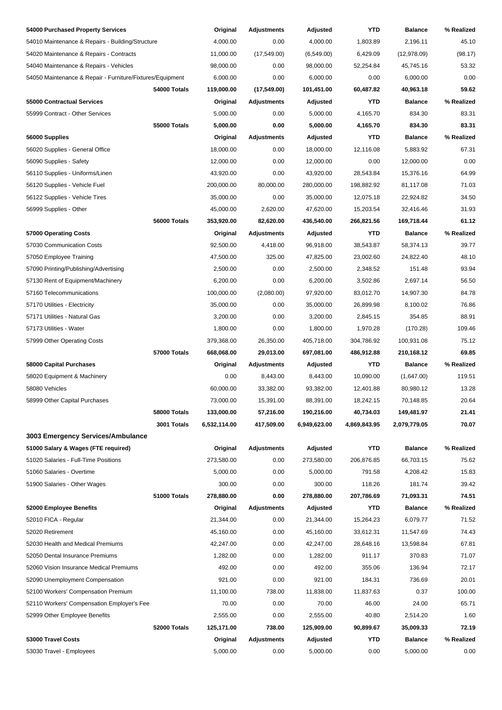| 54000 Purchased Property Services                         |                     | Original     | Adjustments        | Adjusted     | <b>YTD</b>   | <b>Balance</b> | % Realized |
|-----------------------------------------------------------|---------------------|--------------|--------------------|--------------|--------------|----------------|------------|
| 54010 Maintenance & Repairs - Building/Structure          |                     | 4,000.00     | 0.00               | 4,000.00     | 1,803.89     | 2,196.11       | 45.10      |
| 54020 Maintenance & Repairs - Contracts                   |                     | 11,000.00    | (17, 549.00)       | (6, 549.00)  | 6,429.09     | (12, 978.09)   | (98.17)    |
| 54040 Maintenance & Repairs - Vehicles                    |                     | 98,000.00    | 0.00               | 98,000.00    | 52,254.84    | 45,745.16      | 53.32      |
| 54050 Maintenance & Repair - Furniture/Fixtures/Equipment |                     | 6,000.00     | 0.00               | 6,000.00     | 0.00         | 6,000.00       | 0.00       |
|                                                           | 54000 Totals        | 119,000.00   | (17,549.00)        | 101,451.00   | 60,487.82    | 40,963.18      | 59.62      |
| 55000 Contractual Services                                |                     | Original     | <b>Adjustments</b> | Adjusted     | YTD          | <b>Balance</b> | % Realized |
| 55999 Contract - Other Services                           |                     | 5,000.00     | 0.00               | 5,000.00     | 4,165.70     | 834.30         | 83.31      |
|                                                           | <b>55000 Totals</b> | 5,000.00     | 0.00               | 5,000.00     | 4,165.70     | 834.30         | 83.31      |
| 56000 Supplies                                            |                     | Original     | Adjustments        | Adjusted     | <b>YTD</b>   | <b>Balance</b> | % Realized |
| 56020 Supplies - General Office                           |                     | 18,000.00    | 0.00               | 18,000.00    | 12,116.08    | 5,883.92       | 67.31      |
| 56090 Supplies - Safety                                   |                     | 12,000.00    | 0.00               | 12,000.00    | 0.00         | 12,000.00      | 0.00       |
| 56110 Supplies - Uniforms/Linen                           |                     | 43,920.00    | 0.00               | 43,920.00    | 28,543.84    | 15,376.16      | 64.99      |
| 56120 Supplies - Vehicle Fuel                             |                     | 200,000.00   | 80,000.00          | 280,000.00   | 198,882.92   | 81,117.08      | 71.03      |
| 56122 Supplies - Vehicle Tires                            |                     | 35,000.00    | 0.00               | 35,000.00    | 12,075.18    | 22,924.82      | 34.50      |
| 56999 Supplies - Other                                    |                     | 45,000.00    | 2,620.00           | 47,620.00    | 15,203.54    | 32,416.46      | 31.93      |
|                                                           | 56000 Totals        | 353,920.00   | 82,620.00          | 436,540.00   | 266,821.56   | 169,718.44     | 61.12      |
| 57000 Operating Costs                                     |                     | Original     | <b>Adjustments</b> | Adjusted     | YTD          | <b>Balance</b> | % Realized |
| 57030 Communication Costs                                 |                     | 92,500.00    | 4,418.00           | 96,918.00    | 38,543.87    | 58,374.13      | 39.77      |
| 57050 Employee Training                                   |                     | 47,500.00    | 325.00             | 47,825.00    | 23,002.60    | 24,822.40      | 48.10      |
| 57090 Printing/Publishing/Advertising                     |                     | 2,500.00     | 0.00               | 2,500.00     | 2,348.52     | 151.48         | 93.94      |
| 57130 Rent of Equipment/Machinery                         |                     | 6,200.00     | 0.00               | 6,200.00     | 3,502.86     | 2,697.14       | 56.50      |
| 57160 Telecommunications                                  |                     | 100,000.00   | (2,080.00)         | 97,920.00    | 83,012.70    | 14,907.30      | 84.78      |
| 57170 Utilities - Electricity                             |                     | 35,000.00    | 0.00               | 35,000.00    | 26,899.98    | 8,100.02       | 76.86      |
| 57171 Utilities - Natural Gas                             |                     | 3,200.00     | 0.00               | 3,200.00     | 2,845.15     | 354.85         | 88.91      |
| 57173 Utilities - Water                                   |                     | 1,800.00     | 0.00               | 1,800.00     | 1,970.28     | (170.28)       | 109.46     |
| 57999 Other Operating Costs                               |                     | 379,368.00   | 26,350.00          | 405,718.00   | 304,786.92   | 100,931.08     | 75.12      |
|                                                           | 57000 Totals        | 668,068.00   | 29,013.00          | 697,081.00   | 486,912.88   | 210,168.12     | 69.85      |
| 58000 Capital Purchases                                   |                     | Original     | <b>Adjustments</b> | Adjusted     | YTD          | <b>Balance</b> | % Realized |
| 58020 Equipment & Machinery                               |                     | 0.00         | 8,443.00           | 8,443.00     | 10,090.00    | (1,647.00)     | 119.51     |
| 58080 Vehicles                                            |                     | 60,000.00    | 33,382.00          | 93,382.00    | 12,401.88    | 80,980.12      | 13.28      |
| 58999 Other Capital Purchases                             |                     | 73,000.00    | 15,391.00          | 88,391.00    | 18,242.15    | 70,148.85      | 20.64      |
|                                                           | 58000 Totals        | 133,000.00   | 57,216.00          | 190,216.00   | 40,734.03    | 149,481.97     | 21.41      |
|                                                           | 3001 Totals         | 6,532,114.00 | 417,509.00         | 6,949,623.00 | 4,869,843.95 | 2,079,779.05   | 70.07      |
| 3003 Emergency Services/Ambulance                         |                     |              |                    |              |              |                |            |
| 51000 Salary & Wages (FTE required)                       |                     | Original     | <b>Adjustments</b> | Adjusted     | <b>YTD</b>   | <b>Balance</b> | % Realized |
| 51020 Salaries - Full-Time Positions                      |                     | 273,580.00   | 0.00               | 273,580.00   | 206,876.85   | 66,703.15      | 75.62      |
| 51060 Salaries - Overtime                                 |                     | 5,000.00     | 0.00               | 5,000.00     | 791.58       | 4,208.42       | 15.83      |
| 51900 Salaries - Other Wages                              |                     | 300.00       | 0.00               | 300.00       | 118.26       | 181.74         | 39.42      |
|                                                           | 51000 Totals        | 278,880.00   | 0.00               | 278,880.00   | 207,786.69   | 71,093.31      | 74.51      |
| 52000 Employee Benefits                                   |                     | Original     | Adjustments        | Adjusted     | <b>YTD</b>   | <b>Balance</b> | % Realized |
| 52010 FICA - Regular                                      |                     | 21,344.00    | 0.00               | 21,344.00    | 15,264.23    | 6,079.77       | 71.52      |
| 52020 Retirement                                          |                     | 45,160.00    | 0.00               | 45,160.00    | 33,612.31    | 11,547.69      | 74.43      |
| 52030 Health and Medical Premiums                         |                     | 42,247.00    | 0.00               | 42,247.00    | 28,648.16    | 13,598.84      | 67.81      |
| 52050 Dental Insurance Premiums                           |                     | 1,282.00     | 0.00               | 1,282.00     | 911.17       | 370.83         | 71.07      |
| 52060 Vision Insurance Medical Premiums                   |                     | 492.00       | 0.00               | 492.00       | 355.06       | 136.94         | 72.17      |
| 52090 Unemployment Compensation                           |                     | 921.00       | 0.00               | 921.00       | 184.31       | 736.69         | 20.01      |
| 52100 Workers' Compensation Premium                       |                     | 11,100.00    | 738.00             | 11,838.00    | 11,837.63    | 0.37           | 100.00     |
| 52110 Workers' Compensation Employer's Fee                |                     | 70.00        | 0.00               | 70.00        | 46.00        | 24.00          | 65.71      |
| 52999 Other Employee Benefits                             |                     | 2,555.00     | 0.00               | 2,555.00     | 40.80        | 2,514.20       | 1.60       |
|                                                           | 52000 Totals        | 125,171.00   | 738.00             | 125,909.00   | 90,899.67    | 35,009.33      | 72.19      |
| 53000 Travel Costs                                        |                     | Original     | <b>Adjustments</b> | Adjusted     | <b>YTD</b>   | <b>Balance</b> | % Realized |
| 53030 Travel - Employees                                  |                     | 5,000.00     | 0.00               | 5,000.00     | 0.00         | 5,000.00       | 0.00       |
|                                                           |                     |              |                    |              |              |                |            |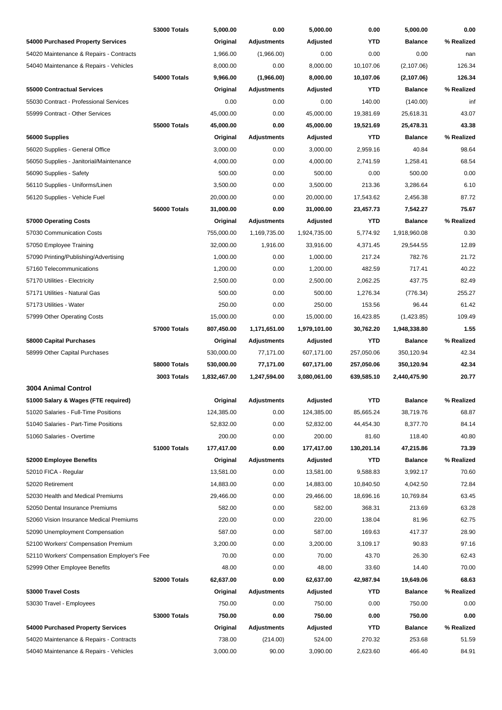|                                            | <b>53000 Totals</b> | 5,000.00     | 0.00               | 5,000.00     | 0.00       | 5,000.00       | 0.00       |
|--------------------------------------------|---------------------|--------------|--------------------|--------------|------------|----------------|------------|
| 54000 Purchased Property Services          |                     | Original     | <b>Adjustments</b> | Adjusted     | YTD        | <b>Balance</b> | % Realized |
| 54020 Maintenance & Repairs - Contracts    |                     | 1,966.00     | (1,966.00)         | 0.00         | 0.00       | 0.00           | nan        |
| 54040 Maintenance & Repairs - Vehicles     |                     | 8,000.00     | 0.00               | 8,000.00     | 10,107.06  | (2,107.06)     | 126.34     |
|                                            | 54000 Totals        | 9,966.00     | (1,966.00)         | 8,000.00     | 10,107.06  | (2,107.06)     | 126.34     |
| 55000 Contractual Services                 |                     | Original     | <b>Adjustments</b> | Adjusted     | YTD        | <b>Balance</b> | % Realized |
| 55030 Contract - Professional Services     |                     | 0.00         | 0.00               | 0.00         | 140.00     | (140.00)       | inf        |
| 55999 Contract - Other Services            |                     | 45,000.00    | 0.00               | 45,000.00    | 19,381.69  | 25,618.31      | 43.07      |
|                                            | <b>55000 Totals</b> | 45,000.00    | 0.00               | 45,000.00    | 19,521.69  | 25,478.31      | 43.38      |
| 56000 Supplies                             |                     | Original     | <b>Adjustments</b> | Adjusted     | YTD        | <b>Balance</b> | % Realized |
| 56020 Supplies - General Office            |                     | 3,000.00     | 0.00               | 3,000.00     | 2,959.16   | 40.84          | 98.64      |
| 56050 Supplies - Janitorial/Maintenance    |                     | 4,000.00     | 0.00               | 4,000.00     | 2,741.59   | 1,258.41       | 68.54      |
| 56090 Supplies - Safety                    |                     | 500.00       | 0.00               | 500.00       | 0.00       | 500.00         | 0.00       |
| 56110 Supplies - Uniforms/Linen            |                     | 3,500.00     | 0.00               | 3,500.00     | 213.36     | 3,286.64       | 6.10       |
| 56120 Supplies - Vehicle Fuel              |                     | 20,000.00    | 0.00               | 20,000.00    | 17,543.62  | 2,456.38       | 87.72      |
|                                            | 56000 Totals        | 31,000.00    | 0.00               | 31,000.00    | 23,457.73  | 7,542.27       | 75.67      |
| 57000 Operating Costs                      |                     | Original     | <b>Adjustments</b> | Adjusted     | YTD        | <b>Balance</b> | % Realized |
| 57030 Communication Costs                  |                     | 755,000.00   | 1,169,735.00       | 1,924,735.00 | 5,774.92   | 1,918,960.08   | 0.30       |
| 57050 Employee Training                    |                     | 32,000.00    | 1,916.00           | 33,916.00    | 4,371.45   | 29,544.55      | 12.89      |
| 57090 Printing/Publishing/Advertising      |                     | 1,000.00     | 0.00               | 1,000.00     | 217.24     | 782.76         | 21.72      |
| 57160 Telecommunications                   |                     | 1,200.00     | 0.00               | 1,200.00     | 482.59     | 717.41         | 40.22      |
| 57170 Utilities - Electricity              |                     | 2,500.00     | 0.00               | 2,500.00     | 2,062.25   | 437.75         | 82.49      |
| 57171 Utilities - Natural Gas              |                     | 500.00       | 0.00               | 500.00       | 1,276.34   | (776.34)       | 255.27     |
| 57173 Utilities - Water                    |                     | 250.00       | 0.00               | 250.00       | 153.56     | 96.44          | 61.42      |
| 57999 Other Operating Costs                |                     | 15,000.00    | 0.00               | 15,000.00    | 16,423.85  | (1,423.85)     | 109.49     |
|                                            | 57000 Totals        | 807,450.00   | 1,171,651.00       | 1,979,101.00 | 30,762.20  | 1,948,338.80   | 1.55       |
| 58000 Capital Purchases                    |                     | Original     | Adjustments        | Adjusted     | YTD        | <b>Balance</b> | % Realized |
| 58999 Other Capital Purchases              |                     | 530,000.00   | 77,171.00          | 607,171.00   | 257,050.06 | 350,120.94     | 42.34      |
|                                            | 58000 Totals        | 530,000.00   | 77,171.00          | 607,171.00   | 257,050.06 | 350,120.94     | 42.34      |
|                                            | 3003 Totals         | 1,832,467.00 | 1,247,594.00       | 3,080,061.00 | 639,585.10 | 2,440,475.90   | 20.77      |
| 3004 Animal Control                        |                     |              |                    |              |            |                |            |
| 51000 Salary & Wages (FTE required)        |                     | Original     | Adjustments        | Adjusted     | <b>YTD</b> | <b>Balance</b> | % Realized |
| 51020 Salaries - Full-Time Positions       |                     | 124,385.00   | 0.00               | 124,385.00   | 85,665.24  | 38,719.76      | 68.87      |
| 51040 Salaries - Part-Time Positions       |                     | 52,832.00    | 0.00               | 52,832.00    | 44,454.30  | 8,377.70       | 84.14      |
| 51060 Salaries - Overtime                  |                     | 200.00       | 0.00               | 200.00       | 81.60      | 118.40         | 40.80      |
|                                            | 51000 Totals        | 177,417.00   | 0.00               | 177,417.00   | 130,201.14 | 47,215.86      | 73.39      |
| 52000 Employee Benefits                    |                     | Original     | <b>Adjustments</b> | Adjusted     | YTD        | <b>Balance</b> | % Realized |
| 52010 FICA - Regular                       |                     | 13,581.00    | 0.00               | 13,581.00    | 9,588.83   | 3,992.17       | 70.60      |
| 52020 Retirement                           |                     | 14,883.00    | 0.00               | 14,883.00    | 10,840.50  | 4,042.50       | 72.84      |
| 52030 Health and Medical Premiums          |                     | 29,466.00    | 0.00               | 29,466.00    | 18,696.16  | 10,769.84      | 63.45      |
| 52050 Dental Insurance Premiums            |                     | 582.00       | 0.00               | 582.00       | 368.31     | 213.69         | 63.28      |
| 52060 Vision Insurance Medical Premiums    |                     | 220.00       | 0.00               | 220.00       | 138.04     | 81.96          | 62.75      |
| 52090 Unemployment Compensation            |                     | 587.00       | 0.00               | 587.00       | 169.63     | 417.37         | 28.90      |
| 52100 Workers' Compensation Premium        |                     | 3,200.00     | 0.00               | 3,200.00     | 3,109.17   | 90.83          | 97.16      |
| 52110 Workers' Compensation Employer's Fee |                     | 70.00        | 0.00               | 70.00        | 43.70      | 26.30          | 62.43      |
| 52999 Other Employee Benefits              |                     | 48.00        | 0.00               | 48.00        | 33.60      | 14.40          | 70.00      |
|                                            | 52000 Totals        | 62,637.00    | 0.00               | 62,637.00    | 42,987.94  | 19,649.06      | 68.63      |
| 53000 Travel Costs                         |                     | Original     | <b>Adjustments</b> | Adjusted     | YTD        | <b>Balance</b> | % Realized |
| 53030 Travel - Employees                   |                     | 750.00       | 0.00               | 750.00       | 0.00       | 750.00         | 0.00       |
|                                            | 53000 Totals        | 750.00       | 0.00               | 750.00       | 0.00       | 750.00         | 0.00       |
| 54000 Purchased Property Services          |                     | Original     | <b>Adjustments</b> | Adjusted     | YTD        | <b>Balance</b> | % Realized |
| 54020 Maintenance & Repairs - Contracts    |                     | 738.00       | (214.00)           | 524.00       | 270.32     | 253.68         | 51.59      |
| 54040 Maintenance & Repairs - Vehicles     |                     | 3,000.00     | 90.00              | 3,090.00     | 2,623.60   | 466.40         | 84.91      |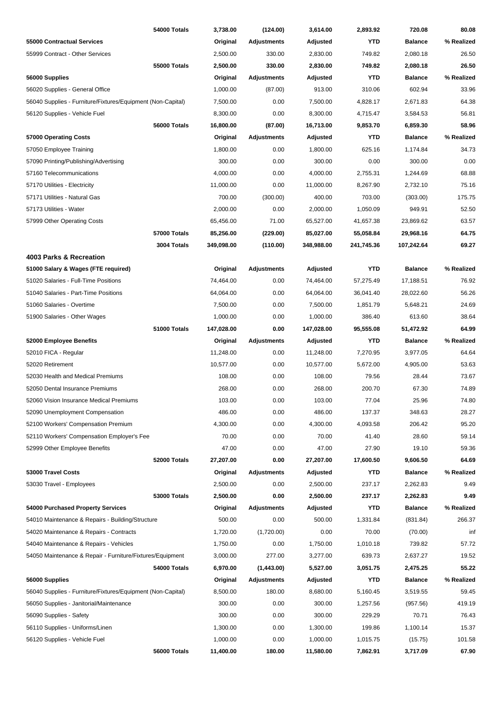|                                                                      | 54000 Totals        | 3,738.00         | (124.00)           | 3,614.00         | 2,893.92        | 720.08         | 80.08          |
|----------------------------------------------------------------------|---------------------|------------------|--------------------|------------------|-----------------|----------------|----------------|
| 55000 Contractual Services                                           |                     | Original         | <b>Adjustments</b> | Adjusted         | <b>YTD</b>      | <b>Balance</b> | % Realized     |
| 55999 Contract - Other Services                                      |                     | 2,500.00         | 330.00             | 2,830.00         | 749.82          | 2,080.18       | 26.50          |
|                                                                      | <b>55000 Totals</b> | 2,500.00         | 330.00             | 2,830.00         | 749.82          | 2,080.18       | 26.50          |
| 56000 Supplies                                                       |                     | Original         | <b>Adjustments</b> | Adjusted         | <b>YTD</b>      | <b>Balance</b> | % Realized     |
| 56020 Supplies - General Office                                      |                     | 1,000.00         | (87.00)            | 913.00           | 310.06          | 602.94         | 33.96          |
| 56040 Supplies - Furniture/Fixtures/Equipment (Non-Capital)          |                     | 7,500.00         | 0.00               | 7,500.00         | 4,828.17        | 2,671.83       | 64.38          |
| 56120 Supplies - Vehicle Fuel                                        |                     | 8,300.00         | 0.00               | 8,300.00         | 4,715.47        | 3,584.53       | 56.81          |
|                                                                      | 56000 Totals        | 16,800.00        | (87.00)            | 16,713.00        | 9,853.70        | 6,859.30       | 58.96          |
| 57000 Operating Costs                                                |                     | Original         | <b>Adjustments</b> | Adjusted         | YTD             | <b>Balance</b> | % Realized     |
| 57050 Employee Training                                              |                     | 1,800.00         | 0.00               | 1,800.00         | 625.16          | 1,174.84       | 34.73          |
| 57090 Printing/Publishing/Advertising                                |                     | 300.00           | 0.00               | 300.00           | 0.00            | 300.00         | 0.00           |
| 57160 Telecommunications                                             |                     | 4,000.00         | 0.00               | 4,000.00         | 2,755.31        | 1,244.69       | 68.88          |
| 57170 Utilities - Electricity                                        |                     | 11,000.00        | 0.00               | 11,000.00        | 8,267.90        | 2,732.10       | 75.16          |
| 57171 Utilities - Natural Gas                                        |                     | 700.00           | (300.00)           | 400.00           | 703.00          | (303.00)       | 175.75         |
| 57173 Utilities - Water                                              |                     | 2,000.00         | 0.00               | 2,000.00         | 1,050.09        | 949.91         | 52.50          |
| 57999 Other Operating Costs                                          |                     | 65,456.00        | 71.00              | 65,527.00        | 41,657.38       | 23,869.62      | 63.57          |
|                                                                      | <b>57000 Totals</b> | 85,256.00        | (229.00)           | 85,027.00        | 55,058.84       | 29,968.16      | 64.75          |
|                                                                      | 3004 Totals         | 349,098.00       | (110.00)           | 348,988.00       | 241,745.36      | 107,242.64     | 69.27          |
| 4003 Parks & Recreation                                              |                     |                  |                    |                  |                 |                |                |
| 51000 Salary & Wages (FTE required)                                  |                     | Original         | <b>Adjustments</b> | Adjusted         | <b>YTD</b>      | <b>Balance</b> | % Realized     |
| 51020 Salaries - Full-Time Positions                                 |                     | 74,464.00        | 0.00               | 74,464.00        | 57,275.49       | 17,188.51      | 76.92          |
| 51040 Salaries - Part-Time Positions                                 |                     | 64,064.00        | 0.00               | 64,064.00        | 36,041.40       | 28,022.60      | 56.26          |
| 51060 Salaries - Overtime                                            |                     | 7,500.00         | 0.00               | 7,500.00         | 1,851.79        | 5,648.21       | 24.69          |
| 51900 Salaries - Other Wages                                         |                     | 1,000.00         | 0.00               | 1,000.00         | 386.40          | 613.60         | 38.64          |
|                                                                      | 51000 Totals        | 147,028.00       | 0.00               | 147,028.00       | 95,555.08       | 51,472.92      | 64.99          |
| 52000 Employee Benefits                                              |                     | Original         | <b>Adjustments</b> | Adjusted         | YTD             | <b>Balance</b> | % Realized     |
| 52010 FICA - Regular                                                 |                     | 11,248.00        | 0.00               | 11,248.00        | 7,270.95        | 3,977.05       | 64.64          |
| 52020 Retirement                                                     |                     | 10,577.00        | 0.00               | 10,577.00        | 5,672.00        |                | 53.63          |
|                                                                      |                     |                  |                    |                  |                 | 4,905.00       |                |
| 52030 Health and Medical Premiums<br>52050 Dental Insurance Premiums |                     | 108.00<br>268.00 | 0.00               | 108.00<br>268.00 | 79.56<br>200.70 | 28.44<br>67.30 | 73.67<br>74.89 |
|                                                                      |                     |                  | 0.00               |                  |                 |                |                |
| 52060 Vision Insurance Medical Premiums                              |                     | 103.00           | 0.00               | 103.00           | 77.04           | 25.96          | 74.80          |
| 52090 Unemployment Compensation                                      |                     | 486.00           | 0.00               | 486.00           | 137.37          | 348.63         | 28.27          |
| 52100 Workers' Compensation Premium                                  |                     | 4,300.00         | 0.00               | 4,300.00         | 4,093.58        | 206.42         | 95.20          |
| 52110 Workers' Compensation Employer's Fee                           |                     | 70.00            | 0.00               | 70.00            | 41.40           | 28.60          | 59.14          |
| 52999 Other Employee Benefits                                        |                     | 47.00            | 0.00               | 47.00            | 27.90           | 19.10          | 59.36          |
|                                                                      | 52000 Totals        | 27,207.00        | 0.00               | 27,207.00        | 17,600.50       | 9,606.50       | 64.69          |
| 53000 Travel Costs                                                   |                     | Original         | <b>Adjustments</b> | Adjusted         | <b>YTD</b>      | <b>Balance</b> | % Realized     |
| 53030 Travel - Employees                                             |                     | 2,500.00         | 0.00               | 2,500.00         | 237.17          | 2,262.83       | 9.49           |
|                                                                      | 53000 Totals        | 2,500.00         | 0.00               | 2,500.00         | 237.17          | 2,262.83       | 9.49           |
| 54000 Purchased Property Services                                    |                     | Original         | <b>Adjustments</b> | Adjusted         | <b>YTD</b>      | <b>Balance</b> | % Realized     |
| 54010 Maintenance & Repairs - Building/Structure                     |                     | 500.00           | 0.00               | 500.00           | 1,331.84        | (831.84)       | 266.37         |
| 54020 Maintenance & Repairs - Contracts                              |                     | 1,720.00         | (1,720.00)         | 0.00             | 70.00           | (70.00)        | inf            |
| 54040 Maintenance & Repairs - Vehicles                               |                     | 1,750.00         | 0.00               | 1,750.00         | 1,010.18        | 739.82         | 57.72          |
| 54050 Maintenance & Repair - Furniture/Fixtures/Equipment            |                     | 3,000.00         | 277.00             | 3,277.00         | 639.73          | 2,637.27       | 19.52          |
|                                                                      | 54000 Totals        | 6,970.00         | (1,443.00)         | 5,527.00         | 3,051.75        | 2,475.25       | 55.22          |
| 56000 Supplies                                                       |                     | Original         | <b>Adjustments</b> | Adjusted         | <b>YTD</b>      | <b>Balance</b> | % Realized     |
| 56040 Supplies - Furniture/Fixtures/Equipment (Non-Capital)          |                     | 8,500.00         | 180.00             | 8,680.00         | 5,160.45        | 3,519.55       | 59.45          |
| 56050 Supplies - Janitorial/Maintenance                              |                     | 300.00           | 0.00               | 300.00           | 1,257.56        | (957.56)       | 419.19         |
| 56090 Supplies - Safety                                              |                     | 300.00           | 0.00               | 300.00           | 229.29          | 70.71          | 76.43          |
| 56110 Supplies - Uniforms/Linen                                      |                     | 1,300.00         | 0.00               | 1,300.00         | 199.86          | 1,100.14       | 15.37          |
| 56120 Supplies - Vehicle Fuel                                        |                     | 1,000.00         | 0.00               | 1,000.00         | 1,015.75        | (15.75)        | 101.58         |
|                                                                      | 56000 Totals        | 11,400.00        | 180.00             | 11,580.00        | 7,862.91        | 3,717.09       | 67.90          |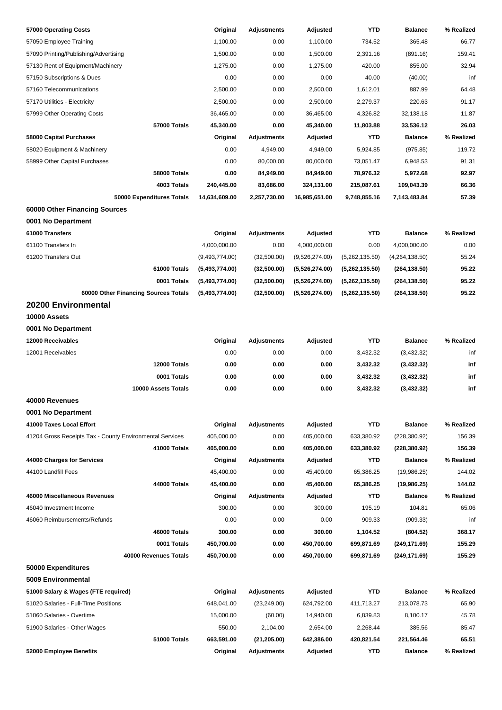| 57000 Operating Costs                                    | Original                 | <b>Adjustments</b> | Adjusted       | <b>YTD</b>     | <b>Balance</b> | % Realized       |
|----------------------------------------------------------|--------------------------|--------------------|----------------|----------------|----------------|------------------|
| 57050 Employee Training                                  | 1,100.00                 | 0.00               | 1,100.00       | 734.52         | 365.48         | 66.77            |
| 57090 Printing/Publishing/Advertising                    | 1,500.00                 | 0.00               | 1,500.00       | 2,391.16       | (891.16)       | 159.41           |
| 57130 Rent of Equipment/Machinery                        | 1,275.00                 | 0.00               | 1,275.00       | 420.00         | 855.00         | 32.94            |
| 57150 Subscriptions & Dues                               | 0.00                     | 0.00               | 0.00           | 40.00          | (40.00)        | inf              |
| 57160 Telecommunications                                 | 2,500.00                 | 0.00               | 2,500.00       | 1,612.01       | 887.99         | 64.48            |
| 57170 Utilities - Electricity                            | 2,500.00                 | 0.00               | 2,500.00       | 2,279.37       | 220.63         | 91.17            |
| 57999 Other Operating Costs                              | 36,465.00                | 0.00               | 36,465.00      | 4,326.82       | 32,138.18      | 11.87            |
| 57000 Totals                                             | 45,340.00                | 0.00               | 45,340.00      | 11,803.88      | 33,536.12      | 26.03            |
| 58000 Capital Purchases                                  | Original                 | <b>Adjustments</b> | Adjusted       | <b>YTD</b>     | <b>Balance</b> | % Realized       |
| 58020 Equipment & Machinery                              | 0.00                     | 4,949.00           | 4,949.00       | 5,924.85       | (975.85)       | 119.72           |
| 58999 Other Capital Purchases                            | 0.00                     | 80,000.00          | 80,000.00      | 73,051.47      | 6,948.53       | 91.31            |
| 58000 Totals                                             | 0.00                     | 84,949.00          | 84,949.00      | 78,976.32      | 5,972.68       | 92.97            |
| 4003 Totals                                              | 240,445.00               | 83,686.00          | 324,131.00     | 215,087.61     | 109,043.39     | 66.36            |
| 50000 Expenditures Totals                                | 14,634,609.00            | 2,257,730.00       | 16,985,651.00  | 9,748,855.16   | 7,143,483.84   | 57.39            |
| 60000 Other Financing Sources                            |                          |                    |                |                |                |                  |
| 0001 No Department                                       |                          |                    |                |                |                |                  |
| 61000 Transfers                                          | Original                 | <b>Adjustments</b> | Adjusted       | <b>YTD</b>     | <b>Balance</b> | % Realized       |
| 61100 Transfers In                                       | 4,000,000.00             | 0.00               | 4,000,000.00   | 0.00           | 4,000,000.00   | 0.00             |
| 61200 Transfers Out                                      | (9,493,774.00)           | (32,500.00)        | (9,526,274.00) | (5,262,135.50) | (4,264,138.50) | 55.24            |
| 61000 Totals                                             | (5,493,774.00)           | (32,500.00)        | (5,526,274.00) | (5,262,135.50) | (264, 138.50)  | 95.22            |
| 0001 Totals                                              | (5,493,774.00)           | (32,500.00)        | (5,526,274.00) | (5,262,135.50) | (264, 138.50)  | 95.22            |
| 60000 Other Financing Sources Totals                     | (5,493,774.00)           | (32,500.00)        | (5,526,274.00) | (5,262,135.50) | (264, 138.50)  | 95.22            |
| 20200 Environmental                                      |                          |                    |                |                |                |                  |
| 10000 Assets                                             |                          |                    |                |                |                |                  |
| 0001 No Department                                       |                          |                    |                |                |                |                  |
| 12000 Receivables                                        | Original                 | <b>Adjustments</b> | Adjusted       | <b>YTD</b>     | <b>Balance</b> | % Realized       |
| 12001 Receivables                                        | 0.00                     | 0.00               | 0.00           | 3,432.32       | (3,432.32)     | inf              |
| 12000 Totals                                             | 0.00                     | 0.00               | 0.00           | 3,432.32       | (3,432.32)     | inf              |
| 0001 Totals                                              | 0.00                     | 0.00               | 0.00           | 3,432.32       | (3,432.32)     | inf              |
| 10000 Assets Totals                                      | 0.00                     | 0.00               | 0.00           | 3,432.32       | (3,432.32)     | inf              |
| 40000 Revenues                                           |                          |                    |                |                |                |                  |
| 0001 No Department                                       |                          |                    |                |                |                |                  |
| 41000 Taxes Local Effort                                 | Original                 | <b>Adjustments</b> | Adjusted       | <b>YTD</b>     | <b>Balance</b> | % Realized       |
|                                                          |                          |                    | 405,000.00     |                |                |                  |
| 41204 Gross Receipts Tax - County Environmental Services | 405,000.00<br>405,000.00 | 0.00               |                | 633,380.92     | (228, 380.92)  | 156.39<br>156.39 |
| 41000 Totals                                             |                          | 0.00               | 405,000.00     | 633,380.92     | (228, 380.92)  |                  |
| 44000 Charges for Services                               | Original                 | <b>Adjustments</b> | Adjusted       | <b>YTD</b>     | <b>Balance</b> | % Realized       |
| 44100 Landfill Fees                                      | 45,400.00                | 0.00               | 45,400.00      | 65,386.25      | (19,986.25)    | 144.02           |
| 44000 Totals                                             | 45,400.00                | 0.00               | 45,400.00      | 65,386.25      | (19,986.25)    | 144.02           |
| 46000 Miscellaneous Revenues                             | Original                 | <b>Adjustments</b> | Adjusted       | <b>YTD</b>     | <b>Balance</b> | % Realized       |
| 46040 Investment Income                                  | 300.00                   | 0.00               | 300.00         | 195.19         | 104.81         | 65.06            |
| 46060 Reimbursements/Refunds                             | 0.00                     | 0.00               | 0.00           | 909.33         | (909.33)       | inf              |
| 46000 Totals                                             | 300.00                   | 0.00               | 300.00         | 1,104.52       | (804.52)       | 368.17           |
| 0001 Totals                                              | 450,700.00               | 0.00               | 450,700.00     | 699,871.69     | (249, 171.69)  | 155.29           |
| 40000 Revenues Totals                                    | 450,700.00               | 0.00               | 450,700.00     | 699,871.69     | (249, 171.69)  | 155.29           |
| 50000 Expenditures                                       |                          |                    |                |                |                |                  |
| 5009 Environmental                                       |                          |                    |                |                |                |                  |
| 51000 Salary & Wages (FTE required)                      | Original                 | <b>Adjustments</b> | Adjusted       | <b>YTD</b>     | <b>Balance</b> | % Realized       |
| 51020 Salaries - Full-Time Positions                     | 648,041.00               | (23, 249.00)       | 624,792.00     | 411,713.27     | 213,078.73     | 65.90            |
| 51060 Salaries - Overtime                                | 15,000.00                | (60.00)            | 14,940.00      | 6,839.83       | 8,100.17       | 45.78            |
| 51900 Salaries - Other Wages                             | 550.00                   | 2,104.00           | 2,654.00       | 2,268.44       | 385.56         | 85.47            |
| 51000 Totals                                             | 663,591.00               | (21, 205.00)       | 642,386.00     | 420,821.54     | 221,564.46     | 65.51            |
| 52000 Employee Benefits                                  | Original                 | <b>Adjustments</b> | Adjusted       | <b>YTD</b>     | <b>Balance</b> | % Realized       |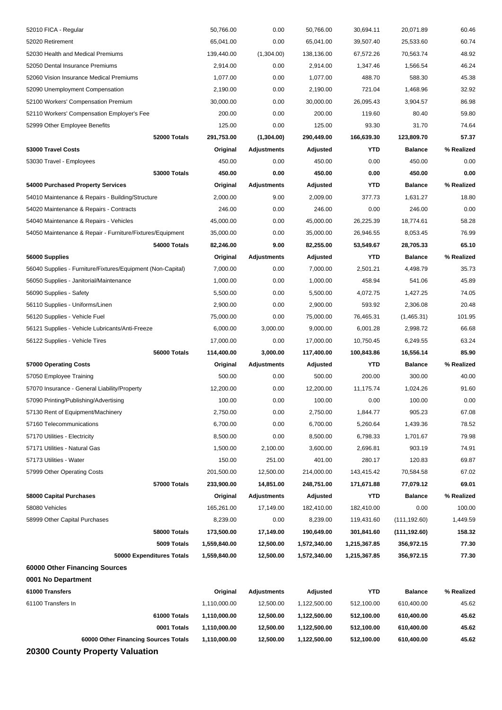| 52010 FICA - Regular                                        | 50,766.00    | 0.00               | 50,766.00    | 30,694.11    | 20,071.89      | 60.46      |
|-------------------------------------------------------------|--------------|--------------------|--------------|--------------|----------------|------------|
| 52020 Retirement                                            | 65,041.00    | 0.00               | 65,041.00    | 39,507.40    | 25,533.60      | 60.74      |
| 52030 Health and Medical Premiums                           | 139,440.00   | (1,304.00)         | 138,136.00   | 67,572.26    | 70,563.74      | 48.92      |
| 52050 Dental Insurance Premiums                             | 2,914.00     | 0.00               | 2,914.00     | 1,347.46     | 1,566.54       | 46.24      |
| 52060 Vision Insurance Medical Premiums                     | 1,077.00     | 0.00               | 1,077.00     | 488.70       | 588.30         | 45.38      |
| 52090 Unemployment Compensation                             | 2,190.00     | 0.00               | 2,190.00     | 721.04       | 1,468.96       | 32.92      |
| 52100 Workers' Compensation Premium                         | 30,000.00    | 0.00               | 30,000.00    | 26,095.43    | 3,904.57       | 86.98      |
| 52110 Workers' Compensation Employer's Fee                  | 200.00       | 0.00               | 200.00       | 119.60       | 80.40          | 59.80      |
| 52999 Other Employee Benefits                               | 125.00       | 0.00               | 125.00       | 93.30        | 31.70          | 74.64      |
| 52000 Totals                                                | 291,753.00   | (1,304.00)         | 290,449.00   | 166,639.30   | 123,809.70     | 57.37      |
| 53000 Travel Costs                                          | Original     | <b>Adjustments</b> | Adjusted     | <b>YTD</b>   | <b>Balance</b> | % Realized |
| 53030 Travel - Employees                                    | 450.00       | 0.00               | 450.00       | 0.00         | 450.00         | 0.00       |
| 53000 Totals                                                | 450.00       | 0.00               | 450.00       | 0.00         | 450.00         | 0.00       |
| 54000 Purchased Property Services                           | Original     | Adjustments        | Adjusted     | YTD          | <b>Balance</b> | % Realized |
| 54010 Maintenance & Repairs - Building/Structure            | 2,000.00     | 9.00               | 2,009.00     | 377.73       | 1,631.27       | 18.80      |
| 54020 Maintenance & Repairs - Contracts                     | 246.00       | 0.00               | 246.00       | 0.00         | 246.00         | 0.00       |
| 54040 Maintenance & Repairs - Vehicles                      | 45,000.00    | 0.00               | 45,000.00    | 26,225.39    | 18,774.61      | 58.28      |
| 54050 Maintenance & Repair - Furniture/Fixtures/Equipment   | 35,000.00    | 0.00               | 35,000.00    | 26,946.55    | 8,053.45       | 76.99      |
| 54000 Totals                                                | 82,246.00    | 9.00               | 82,255.00    | 53,549.67    | 28,705.33      | 65.10      |
| 56000 Supplies                                              | Original     | Adjustments        | Adjusted     | <b>YTD</b>   | <b>Balance</b> | % Realized |
| 56040 Supplies - Furniture/Fixtures/Equipment (Non-Capital) | 7,000.00     | 0.00               | 7,000.00     | 2,501.21     | 4,498.79       | 35.73      |
| 56050 Supplies - Janitorial/Maintenance                     | 1,000.00     | 0.00               | 1,000.00     | 458.94       | 541.06         | 45.89      |
| 56090 Supplies - Safety                                     | 5,500.00     | 0.00               | 5,500.00     | 4,072.75     | 1,427.25       | 74.05      |
| 56110 Supplies - Uniforms/Linen                             | 2,900.00     | 0.00               | 2,900.00     | 593.92       | 2,306.08       | 20.48      |
| 56120 Supplies - Vehicle Fuel                               | 75,000.00    | 0.00               | 75,000.00    | 76,465.31    | (1,465.31)     | 101.95     |
| 56121 Supplies - Vehicle Lubricants/Anti-Freeze             | 6,000.00     | 3,000.00           | 9,000.00     | 6,001.28     | 2,998.72       | 66.68      |
|                                                             |              |                    |              |              |                |            |
| 56122 Supplies - Vehicle Tires                              | 17,000.00    | 0.00               | 17,000.00    | 10,750.45    | 6,249.55       | 63.24      |
| 56000 Totals                                                | 114,400.00   | 3,000.00           | 117,400.00   | 100,843.86   | 16,556.14      | 85.90      |
| 57000 Operating Costs                                       | Original     | Adjustments        | Adjusted     | YTD          | <b>Balance</b> | % Realized |
| 57050 Employee Training                                     | 500.00       | 0.00               | 500.00       | 200.00       | 300.00         | 40.00      |
| 57070 Insurance - General Liability/Property                | 12,200.00    | 0.00               | 12,200.00    | 11,175.74    | 1,024.26       | 91.60      |
| 57090 Printing/Publishing/Advertising                       | 100.00       | 0.00               | 100.00       | 0.00         | 100.00         | 0.00       |
| 57130 Rent of Equipment/Machinery                           | 2,750.00     | 0.00               | 2,750.00     | 1,844.77     | 905.23         | 67.08      |
| 57160 Telecommunications                                    | 6,700.00     | 0.00               | 6,700.00     | 5,260.64     | 1,439.36       | 78.52      |
| 57170 Utilities - Electricity                               | 8,500.00     | 0.00               | 8,500.00     | 6,798.33     | 1,701.67       | 79.98      |
| 57171 Utilities - Natural Gas                               | 1,500.00     | 2,100.00           | 3,600.00     | 2,696.81     | 903.19         | 74.91      |
| 57173 Utilities - Water                                     | 150.00       | 251.00             | 401.00       | 280.17       | 120.83         | 69.87      |
| 57999 Other Operating Costs                                 | 201,500.00   | 12,500.00          | 214,000.00   | 143,415.42   | 70,584.58      | 67.02      |
| 57000 Totals                                                | 233,900.00   | 14,851.00          | 248,751.00   | 171,671.88   | 77,079.12      | 69.01      |
| <b>58000 Capital Purchases</b>                              | Original     | <b>Adjustments</b> | Adjusted     | YTD          | <b>Balance</b> | % Realized |
| 58080 Vehicles                                              | 165,261.00   | 17,149.00          | 182,410.00   | 182,410.00   | 0.00           | 100.00     |
| 58999 Other Capital Purchases                               | 8,239.00     | 0.00               | 8,239.00     | 119,431.60   | (111, 192.60)  | 1,449.59   |
| 58000 Totals                                                | 173,500.00   | 17,149.00          | 190,649.00   | 301,841.60   | (111, 192.60)  | 158.32     |
| 5009 Totals                                                 | 1,559,840.00 | 12,500.00          | 1,572,340.00 | 1,215,367.85 | 356,972.15     | 77.30      |
| 50000 Expenditures Totals                                   | 1,559,840.00 | 12,500.00          | 1,572,340.00 | 1,215,367.85 | 356,972.15     | 77.30      |
| 60000 Other Financing Sources                               |              |                    |              |              |                |            |
| 0001 No Department                                          |              |                    |              |              |                |            |
| 61000 Transfers                                             | Original     | <b>Adjustments</b> | Adjusted     | <b>YTD</b>   | <b>Balance</b> | % Realized |
| 61100 Transfers In                                          | 1,110,000.00 | 12,500.00          | 1,122,500.00 | 512,100.00   | 610,400.00     | 45.62      |
| 61000 Totals                                                | 1,110,000.00 | 12,500.00          | 1,122,500.00 | 512,100.00   | 610,400.00     | 45.62      |
| 0001 Totals                                                 | 1,110,000.00 | 12,500.00          | 1,122,500.00 | 512,100.00   | 610,400.00     | 45.62      |
| 60000 Other Financing Sources Totals                        | 1,110,000.00 | 12,500.00          | 1,122,500.00 | 512,100.00   | 610,400.00     | 45.62      |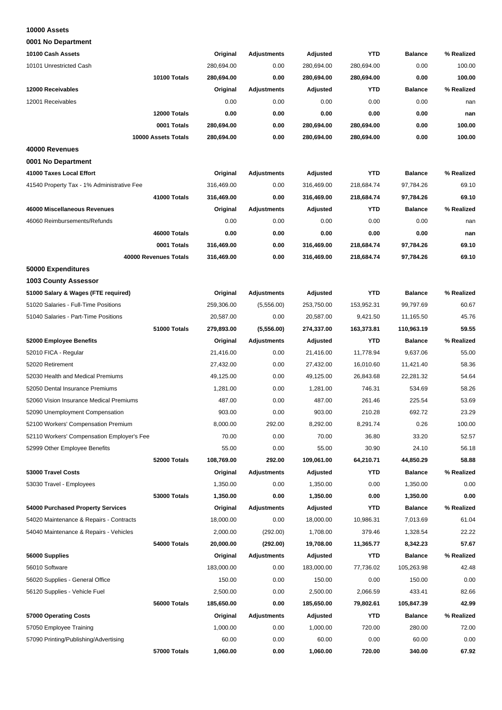#### **10000 Assets**

**0001 No Department**

| 10100 Cash Assets                          | Original   | <b>Adjustments</b> | Adjusted   | <b>YTD</b> | <b>Balance</b> | % Realized |
|--------------------------------------------|------------|--------------------|------------|------------|----------------|------------|
| 10101 Unrestricted Cash                    | 280,694.00 | 0.00               | 280,694.00 | 280,694.00 | 0.00           | 100.00     |
| 10100 Totals                               | 280,694.00 | 0.00               | 280,694.00 | 280,694.00 | 0.00           | 100.00     |
| 12000 Receivables                          | Original   | <b>Adjustments</b> | Adjusted   | <b>YTD</b> | <b>Balance</b> | % Realized |
| 12001 Receivables                          | 0.00       | 0.00               | 0.00       | 0.00       | 0.00           | nan        |
| 12000 Totals                               | 0.00       | 0.00               | 0.00       | 0.00       | 0.00           | nan        |
| 0001 Totals                                | 280,694.00 | 0.00               | 280,694.00 | 280,694.00 | 0.00           | 100.00     |
| 10000 Assets Totals                        | 280,694.00 | 0.00               | 280,694.00 | 280,694.00 | 0.00           | 100.00     |
| 40000 Revenues                             |            |                    |            |            |                |            |
| 0001 No Department                         |            |                    |            |            |                |            |
| 41000 Taxes Local Effort                   | Original   | <b>Adjustments</b> | Adjusted   | <b>YTD</b> | <b>Balance</b> | % Realized |
| 41540 Property Tax - 1% Administrative Fee | 316,469.00 | 0.00               | 316,469.00 | 218,684.74 | 97,784.26      | 69.10      |
| 41000 Totals                               | 316,469.00 | 0.00               | 316,469.00 | 218,684.74 | 97,784.26      | 69.10      |
| 46000 Miscellaneous Revenues               | Original   | <b>Adjustments</b> | Adjusted   | <b>YTD</b> | <b>Balance</b> | % Realized |
| 46060 Reimbursements/Refunds               | 0.00       | 0.00               | 0.00       | 0.00       | 0.00           | nan        |
| 46000 Totals                               | 0.00       | 0.00               | 0.00       | 0.00       | 0.00           | nan        |
| 0001 Totals                                | 316,469.00 | 0.00               | 316,469.00 | 218,684.74 | 97,784.26      | 69.10      |
| 40000 Revenues Totals                      | 316,469.00 | 0.00               | 316,469.00 | 218,684.74 | 97,784.26      | 69.10      |
| 50000 Expenditures                         |            |                    |            |            |                |            |
| <b>1003 County Assessor</b>                |            |                    |            |            |                |            |
| 51000 Salary & Wages (FTE required)        | Original   | <b>Adjustments</b> | Adjusted   | <b>YTD</b> | <b>Balance</b> | % Realized |
| 51020 Salaries - Full-Time Positions       | 259,306.00 |                    | 253,750.00 | 153,952.31 | 99,797.69      | 60.67      |
|                                            |            | (5,556.00)         |            |            |                |            |
| 51040 Salaries - Part-Time Positions       | 20,587.00  | 0.00               | 20,587.00  | 9,421.50   | 11,165.50      | 45.76      |
| 51000 Totals                               | 279,893.00 | (5,556.00)         | 274,337.00 | 163,373.81 | 110,963.19     | 59.55      |
| 52000 Employee Benefits                    | Original   | <b>Adjustments</b> | Adjusted   | <b>YTD</b> | <b>Balance</b> | % Realized |
| 52010 FICA - Regular                       | 21,416.00  | 0.00               | 21,416.00  | 11,778.94  | 9,637.06       | 55.00      |
| 52020 Retirement                           | 27,432.00  | 0.00               | 27,432.00  | 16,010.60  | 11,421.40      | 58.36      |
| 52030 Health and Medical Premiums          | 49,125.00  | 0.00               | 49,125.00  | 26,843.68  | 22,281.32      | 54.64      |
| 52050 Dental Insurance Premiums            | 1,281.00   | 0.00               | 1,281.00   | 746.31     | 534.69         | 58.26      |
| 52060 Vision Insurance Medical Premiums    | 487.00     | 0.00               | 487.00     | 261.46     | 225.54         | 53.69      |
| 52090 Unemployment Compensation            | 903.00     | 0.00               | 903.00     | 210.28     | 692.72         | 23.29      |
| 52100 Workers' Compensation Premium        | 8,000.00   | 292.00             | 8,292.00   | 8,291.74   | 0.26           | 100.00     |
| 52110 Workers' Compensation Employer's Fee | 70.00      | 0.00               | 70.00      | 36.80      | 33.20          | 52.57      |
| 52999 Other Employee Benefits              | 55.00      | 0.00               | 55.00      | 30.90      | 24.10          | 56.18      |
| 52000 Totals                               | 108,769.00 | 292.00             | 109,061.00 | 64,210.71  | 44,850.29      | 58.88      |
| 53000 Travel Costs                         | Original   | <b>Adjustments</b> | Adjusted   | YTD        | <b>Balance</b> | % Realized |
| 53030 Travel - Employees                   | 1,350.00   | 0.00               | 1,350.00   | 0.00       | 1,350.00       | 0.00       |
| <b>53000 Totals</b>                        | 1,350.00   | 0.00               | 1,350.00   | 0.00       | 1,350.00       | 0.00       |
| 54000 Purchased Property Services          | Original   | <b>Adjustments</b> | Adjusted   | <b>YTD</b> | <b>Balance</b> | % Realized |
| 54020 Maintenance & Repairs - Contracts    | 18,000.00  | 0.00               | 18,000.00  | 10,986.31  | 7,013.69       | 61.04      |
| 54040 Maintenance & Repairs - Vehicles     | 2,000.00   | (292.00)           | 1,708.00   | 379.46     | 1,328.54       | 22.22      |
| 54000 Totals                               | 20,000.00  | (292.00)           | 19,708.00  | 11,365.77  | 8,342.23       | 57.67      |
| 56000 Supplies                             | Original   | Adjustments        | Adjusted   | YTD        | <b>Balance</b> | % Realized |
| 56010 Software                             | 183,000.00 | 0.00               | 183,000.00 | 77,736.02  | 105,263.98     | 42.48      |
| 56020 Supplies - General Office            | 150.00     | 0.00               | 150.00     | 0.00       | 150.00         | 0.00       |
| 56120 Supplies - Vehicle Fuel              | 2,500.00   | 0.00               | 2,500.00   | 2,066.59   | 433.41         | 82.66      |
| 56000 Totals                               | 185,650.00 | 0.00               | 185,650.00 | 79,802.61  | 105,847.39     | 42.99      |
| 57000 Operating Costs                      | Original   | <b>Adjustments</b> | Adjusted   | <b>YTD</b> | <b>Balance</b> | % Realized |
| 57050 Employee Training                    | 1,000.00   | 0.00               | 1,000.00   | 720.00     | 280.00         | 72.00      |
| 57090 Printing/Publishing/Advertising      | 60.00      | 0.00               | 60.00      | 0.00       | 60.00          | 0.00       |
| 57000 Totals                               | 1,060.00   | 0.00               | 1,060.00   | 720.00     | 340.00         | 67.92      |
|                                            |            |                    |            |            |                |            |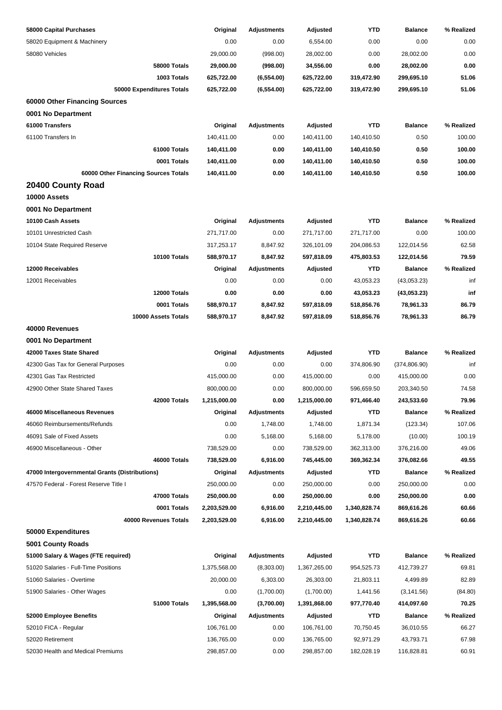| 58000 Capital Purchases                        | Original     | <b>Adjustments</b> | Adjusted     | YTD          | <b>Balance</b> | % Realized |
|------------------------------------------------|--------------|--------------------|--------------|--------------|----------------|------------|
| 58020 Equipment & Machinery                    | 0.00         | 0.00               | 6,554.00     | 0.00         | 0.00           | 0.00       |
| 58080 Vehicles                                 | 29,000.00    | (998.00)           | 28,002.00    | 0.00         | 28,002.00      | 0.00       |
| 58000 Totals                                   | 29,000.00    | (998.00)           | 34,556.00    | 0.00         | 28,002.00      | 0.00       |
| 1003 Totals                                    | 625,722.00   | (6,554.00)         | 625,722.00   | 319,472.90   | 299,695.10     | 51.06      |
| 50000 Expenditures Totals                      | 625,722.00   | (6, 554.00)        | 625,722.00   | 319,472.90   | 299,695.10     | 51.06      |
| 60000 Other Financing Sources                  |              |                    |              |              |                |            |
| 0001 No Department                             |              |                    |              |              |                |            |
| 61000 Transfers                                | Original     | <b>Adjustments</b> | Adjusted     | <b>YTD</b>   | <b>Balance</b> | % Realized |
| 61100 Transfers In                             | 140,411.00   | 0.00               | 140,411.00   | 140,410.50   | 0.50           | 100.00     |
| 61000 Totals                                   | 140,411.00   | 0.00               | 140,411.00   | 140,410.50   | 0.50           | 100.00     |
| 0001 Totals                                    | 140,411.00   | 0.00               | 140,411.00   | 140,410.50   | 0.50           | 100.00     |
| 60000 Other Financing Sources Totals           | 140,411.00   | 0.00               | 140,411.00   | 140,410.50   | 0.50           | 100.00     |
| 20400 County Road                              |              |                    |              |              |                |            |
| 10000 Assets                                   |              |                    |              |              |                |            |
| 0001 No Department                             |              |                    |              |              |                |            |
| 10100 Cash Assets                              | Original     | <b>Adjustments</b> | Adjusted     | <b>YTD</b>   | <b>Balance</b> | % Realized |
| 10101 Unrestricted Cash                        | 271,717.00   | 0.00               | 271,717.00   | 271,717.00   | 0.00           | 100.00     |
| 10104 State Required Reserve                   | 317,253.17   | 8,847.92           | 326,101.09   | 204,086.53   | 122,014.56     | 62.58      |
| 10100 Totals                                   | 588,970.17   | 8,847.92           | 597,818.09   | 475,803.53   | 122,014.56     | 79.59      |
| 12000 Receivables                              | Original     | <b>Adjustments</b> | Adjusted     | <b>YTD</b>   | <b>Balance</b> | % Realized |
| 12001 Receivables                              | 0.00         | 0.00               | 0.00         | 43,053.23    | (43,053.23)    | inf        |
| 12000 Totals                                   | 0.00         | 0.00               | 0.00         | 43,053.23    | (43,053.23)    | inf        |
| 0001 Totals                                    | 588,970.17   | 8,847.92           | 597,818.09   | 518,856.76   | 78,961.33      | 86.79      |
| 10000 Assets Totals                            | 588,970.17   | 8,847.92           | 597,818.09   | 518,856.76   | 78,961.33      | 86.79      |
| 40000 Revenues                                 |              |                    |              |              |                |            |
| 0001 No Department                             |              |                    |              |              |                |            |
| 42000 Taxes State Shared                       | Original     | <b>Adjustments</b> | Adjusted     | <b>YTD</b>   | <b>Balance</b> | % Realized |
| 42300 Gas Tax for General Purposes             | 0.00         | 0.00               | 0.00         | 374,806.90   | (374, 806.90)  | inf        |
| 42301 Gas Tax Restricted                       | 415,000.00   | 0.00               | 415,000.00   | 0.00         | 415,000.00     | 0.00       |
| 42900 Other State Shared Taxes                 | 800,000.00   | 0.00               | 800,000.00   | 596,659.50   | 203,340.50     | 74.58      |
| 42000 Totals                                   | 1,215,000.00 | 0.00               | 1,215,000.00 | 971,466.40   | 243,533.60     | 79.96      |
| 46000 Miscellaneous Revenues                   | Original     | <b>Adjustments</b> | Adjusted     | <b>YTD</b>   | <b>Balance</b> | % Realized |
| 46060 Reimbursements/Refunds                   | 0.00         | 1,748.00           | 1,748.00     | 1,871.34     | (123.34)       | 107.06     |
| 46091 Sale of Fixed Assets                     | 0.00         | 5,168.00           | 5,168.00     | 5,178.00     | (10.00)        | 100.19     |
| 46900 Miscellaneous - Other                    | 738,529.00   | 0.00               | 738,529.00   | 362,313.00   | 376,216.00     | 49.06      |
| 46000 Totals                                   | 738,529.00   | 6,916.00           | 745,445.00   | 369,362.34   | 376,082.66     | 49.55      |
| 47000 Intergovernmental Grants (Distributions) | Original     | <b>Adjustments</b> | Adjusted     | YTD          | <b>Balance</b> | % Realized |
| 47570 Federal - Forest Reserve Title I         | 250,000.00   | 0.00               | 250,000.00   | 0.00         | 250,000.00     | 0.00       |
| 47000 Totals                                   | 250,000.00   | 0.00               | 250,000.00   | 0.00         | 250,000.00     | 0.00       |
| 0001 Totals                                    | 2,203,529.00 | 6,916.00           | 2,210,445.00 | 1,340,828.74 | 869,616.26     | 60.66      |
| 40000 Revenues Totals                          | 2,203,529.00 | 6,916.00           | 2,210,445.00 | 1,340,828.74 | 869,616.26     | 60.66      |
| 50000 Expenditures                             |              |                    |              |              |                |            |
| 5001 County Roads                              |              |                    |              |              |                |            |
| 51000 Salary & Wages (FTE required)            | Original     | <b>Adjustments</b> | Adjusted     | <b>YTD</b>   | <b>Balance</b> | % Realized |
| 51020 Salaries - Full-Time Positions           | 1,375,568.00 | (8,303.00)         | 1,367,265.00 | 954,525.73   | 412,739.27     | 69.81      |
| 51060 Salaries - Overtime                      | 20,000.00    | 6,303.00           | 26,303.00    | 21,803.11    | 4,499.89       | 82.89      |
| 51900 Salaries - Other Wages                   | 0.00         | (1,700.00)         | (1,700.00)   | 1,441.56     | (3, 141.56)    | (84.80)    |
| 51000 Totals                                   | 1,395,568.00 | (3,700.00)         | 1,391,868.00 | 977,770.40   | 414,097.60     | 70.25      |
| 52000 Employee Benefits                        | Original     | <b>Adjustments</b> | Adjusted     | <b>YTD</b>   | <b>Balance</b> | % Realized |
| 52010 FICA - Regular                           | 106,761.00   | 0.00               | 106,761.00   | 70,750.45    | 36,010.55      | 66.27      |
| 52020 Retirement                               | 136,765.00   | 0.00               | 136,765.00   | 92,971.29    | 43,793.71      | 67.98      |
| 52030 Health and Medical Premiums              | 298,857.00   | 0.00               | 298,857.00   | 182,028.19   | 116,828.81     | 60.91      |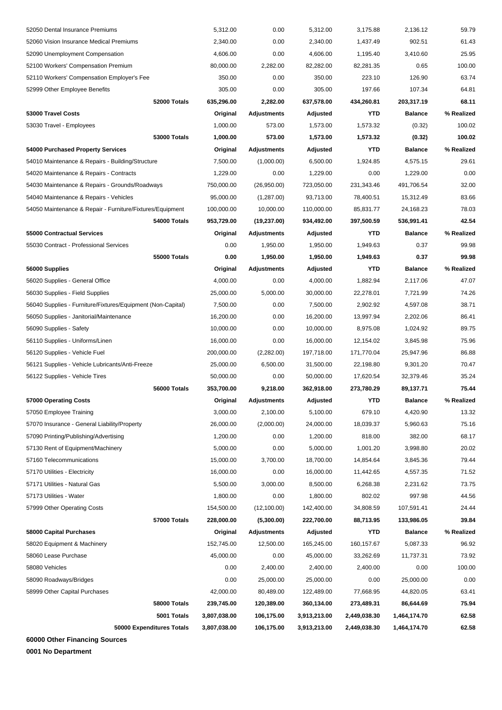| 52050 Dental Insurance Premiums                             |                           | 5,312.00             | 0.00               | 5,312.00     | 3,175.88     | 2,136.12       | 59.79               |
|-------------------------------------------------------------|---------------------------|----------------------|--------------------|--------------|--------------|----------------|---------------------|
| 52060 Vision Insurance Medical Premiums                     |                           | 2,340.00             | 0.00               | 2,340.00     | 1,437.49     | 902.51         | 61.43               |
| 52090 Unemployment Compensation                             |                           | 4,606.00             | 0.00               | 4,606.00     | 1,195.40     | 3,410.60       | 25.95               |
| 52100 Workers' Compensation Premium                         |                           | 80,000.00            | 2,282.00           | 82,282.00    | 82,281.35    | 0.65           | 100.00              |
| 52110 Workers' Compensation Employer's Fee                  |                           | 350.00               | 0.00               | 350.00       | 223.10       | 126.90         | 63.74               |
| 52999 Other Employee Benefits                               |                           | 305.00               | 0.00               | 305.00       | 197.66       | 107.34         | 64.81               |
|                                                             | 52000 Totals              | 635,296.00           | 2,282.00           | 637,578.00   | 434,260.81   | 203,317.19     | 68.11               |
| 53000 Travel Costs                                          |                           | Original             | <b>Adjustments</b> | Adjusted     | <b>YTD</b>   | <b>Balance</b> | % Realized          |
| 53030 Travel - Employees                                    |                           | 1,000.00             | 573.00             | 1,573.00     | 1,573.32     | (0.32)         | 100.02              |
|                                                             | <b>53000 Totals</b>       | 1,000.00             | 573.00             | 1,573.00     | 1,573.32     | (0.32)         | 100.02              |
| 54000 Purchased Property Services                           |                           | Original             | <b>Adjustments</b> | Adjusted     | <b>YTD</b>   | <b>Balance</b> | % Realized          |
| 54010 Maintenance & Repairs - Building/Structure            |                           | 7,500.00             | (1,000.00)         | 6,500.00     | 1,924.85     | 4,575.15       | 29.61               |
| 54020 Maintenance & Repairs - Contracts                     |                           | 1,229.00             | 0.00               | 1,229.00     | 0.00         | 1,229.00       | 0.00                |
| 54030 Maintenance & Repairs - Grounds/Roadways              |                           | 750,000.00           | (26,950.00)        | 723,050.00   | 231,343.46   | 491,706.54     | 32.00               |
| 54040 Maintenance & Repairs - Vehicles                      |                           | 95,000.00            | (1,287.00)         | 93,713.00    | 78,400.51    | 15,312.49      | 83.66               |
| 54050 Maintenance & Repair - Furniture/Fixtures/Equipment   |                           | 100,000.00           | 10,000.00          | 110,000.00   | 85,831.77    | 24,168.23      | 78.03               |
|                                                             | 54000 Totals              | 953,729.00           | (19, 237.00)       | 934,492.00   | 397,500.59   | 536,991.41     | 42.54               |
| 55000 Contractual Services                                  |                           | Original             | <b>Adjustments</b> | Adjusted     | <b>YTD</b>   | <b>Balance</b> | % Realized          |
| 55030 Contract - Professional Services                      |                           | 0.00                 | 1,950.00           | 1,950.00     | 1,949.63     | 0.37           | 99.98               |
|                                                             | <b>55000 Totals</b>       | 0.00                 | 1,950.00           | 1,950.00     | 1,949.63     | 0.37           | 99.98               |
| 56000 Supplies                                              |                           | Original             | <b>Adjustments</b> | Adjusted     | <b>YTD</b>   | <b>Balance</b> | % Realized          |
| 56020 Supplies - General Office                             |                           | 4,000.00             | 0.00               | 4,000.00     | 1,882.94     | 2,117.06       | 47.07               |
| 56030 Supplies - Field Supplies                             |                           | 25,000.00            | 5,000.00           | 30,000.00    | 22,278.01    | 7,721.99       | 74.26               |
| 56040 Supplies - Furniture/Fixtures/Equipment (Non-Capital) |                           | 7,500.00             | 0.00               | 7,500.00     | 2,902.92     | 4,597.08       | 38.71               |
| 56050 Supplies - Janitorial/Maintenance                     |                           | 16,200.00            | 0.00               | 16,200.00    | 13,997.94    | 2,202.06       | 86.41               |
| 56090 Supplies - Safety                                     |                           | 10,000.00            | 0.00               | 10,000.00    | 8,975.08     | 1,024.92       | 89.75               |
| 56110 Supplies - Uniforms/Linen                             |                           | 16,000.00            | 0.00               | 16,000.00    | 12,154.02    | 3,845.98       | 75.96               |
| 56120 Supplies - Vehicle Fuel                               |                           | 200,000.00           | (2,282.00)         | 197,718.00   | 171,770.04   | 25,947.96      | 86.88               |
| 56121 Supplies - Vehicle Lubricants/Anti-Freeze             |                           | 25,000.00            | 6,500.00           | 31,500.00    | 22,198.80    | 9,301.20       | 70.47               |
|                                                             |                           |                      |                    |              |              |                | 35.24               |
| 56122 Supplies - Vehicle Tires                              |                           | 50,000.00            | 0.00               | 50,000.00    | 17,620.54    | 32,379.46      |                     |
|                                                             | 56000 Totals              | 353,700.00           | 9,218.00           | 362,918.00   | 273,780.29   | 89,137.71      | 75.44<br>% Realized |
| 57000 Operating Costs                                       |                           | Original<br>3,000.00 | <b>Adjustments</b> | Adjusted     | <b>YTD</b>   | <b>Balance</b> |                     |
| 57050 Employee Training                                     |                           |                      | 2,100.00           | 5,100.00     | 679.10       | 4,420.90       | 13.32               |
| 57070 Insurance - General Liability/Property                |                           | 26,000.00            | (2,000.00)         | 24,000.00    | 18,039.37    | 5,960.63       | 75.16               |
| 57090 Printing/Publishing/Advertising                       |                           | 1,200.00             | 0.00               | 1,200.00     | 818.00       | 382.00         | 68.17               |
| 57130 Rent of Equipment/Machinery                           |                           | 5,000.00             | 0.00               | 5,000.00     | 1,001.20     | 3,998.80       | 20.02               |
| 57160 Telecommunications                                    |                           | 15,000.00            | 3,700.00           | 18,700.00    | 14,854.64    | 3,845.36       | 79.44               |
| 57170 Utilities - Electricity                               |                           | 16,000.00            | 0.00               | 16,000.00    | 11,442.65    | 4,557.35       | 71.52               |
| 57171 Utilities - Natural Gas                               |                           | 5,500.00             | 3,000.00           | 8,500.00     | 6,268.38     | 2,231.62       | 73.75               |
| 57173 Utilities - Water                                     |                           | 1,800.00             | 0.00               | 1,800.00     | 802.02       | 997.98         | 44.56               |
| 57999 Other Operating Costs                                 |                           | 154,500.00           | (12, 100.00)       | 142,400.00   | 34,808.59    | 107,591.41     | 24.44               |
|                                                             | 57000 Totals              | 228,000.00           | (5,300.00)         | 222,700.00   | 88,713.95    | 133,986.05     | 39.84               |
| 58000 Capital Purchases                                     |                           | Original             | <b>Adjustments</b> | Adjusted     | YTD          | <b>Balance</b> | % Realized          |
| 58020 Equipment & Machinery                                 |                           | 152,745.00           | 12,500.00          | 165,245.00   | 160,157.67   | 5,087.33       | 96.92               |
| 58060 Lease Purchase                                        |                           | 45,000.00            | 0.00               | 45,000.00    | 33,262.69    | 11,737.31      | 73.92               |
| 58080 Vehicles                                              |                           | 0.00                 | 2,400.00           | 2,400.00     | 2,400.00     | 0.00           | 100.00              |
| 58090 Roadways/Bridges                                      |                           | 0.00                 | 25,000.00          | 25,000.00    | 0.00         | 25,000.00      | 0.00                |
| 58999 Other Capital Purchases                               |                           | 42,000.00            | 80,489.00          | 122,489.00   | 77,668.95    | 44,820.05      | 63.41               |
|                                                             | 58000 Totals              | 239,745.00           | 120,389.00         | 360,134.00   | 273,489.31   | 86,644.69      | 75.94               |
|                                                             | 5001 Totals               | 3,807,038.00         | 106,175.00         | 3,913,213.00 | 2,449,038.30 | 1,464,174.70   | 62.58               |
|                                                             | 50000 Expenditures Totals | 3,807,038.00         | 106,175.00         | 3,913,213.00 | 2,449,038.30 | 1,464,174.70   | 62.58               |

**60000 Other Financing Sources**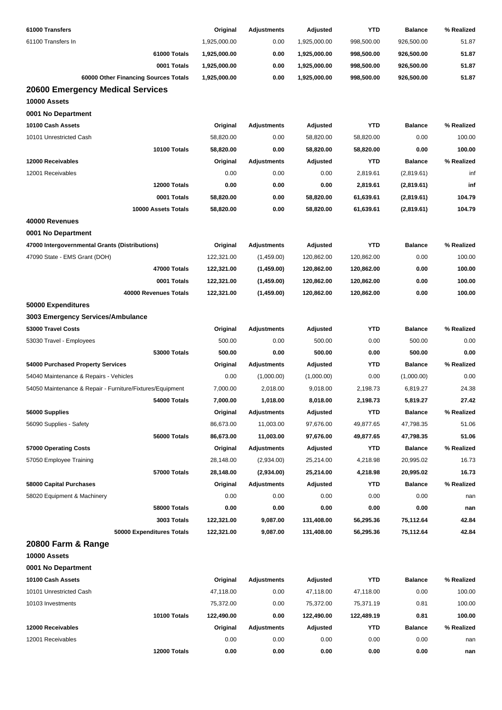| 61000 Transfers                                           | Original     | <b>Adjustments</b> | Adjusted     | <b>YTD</b> | <b>Balance</b> | % Realized |
|-----------------------------------------------------------|--------------|--------------------|--------------|------------|----------------|------------|
| 61100 Transfers In                                        | 1,925,000.00 | 0.00               | 1,925,000.00 | 998,500.00 | 926,500.00     | 51.87      |
| 61000 Totals                                              | 1,925,000.00 | 0.00               | 1,925,000.00 | 998,500.00 | 926,500.00     | 51.87      |
| 0001 Totals                                               | 1,925,000.00 | 0.00               | 1,925,000.00 | 998,500.00 | 926,500.00     | 51.87      |
| 60000 Other Financing Sources Totals                      | 1,925,000.00 | 0.00               | 1,925,000.00 | 998,500.00 | 926,500.00     | 51.87      |
| 20600 Emergency Medical Services                          |              |                    |              |            |                |            |
| 10000 Assets                                              |              |                    |              |            |                |            |
| 0001 No Department                                        |              |                    |              |            |                |            |
| 10100 Cash Assets                                         | Original     | <b>Adjustments</b> | Adjusted     | <b>YTD</b> | <b>Balance</b> | % Realized |
| 10101 Unrestricted Cash                                   | 58,820.00    | 0.00               | 58,820.00    | 58,820.00  | 0.00           | 100.00     |
| 10100 Totals                                              | 58,820.00    | 0.00               | 58,820.00    | 58,820.00  | 0.00           | 100.00     |
| 12000 Receivables                                         | Original     | <b>Adjustments</b> | Adjusted     | <b>YTD</b> | <b>Balance</b> | % Realized |
| 12001 Receivables                                         | 0.00         | 0.00               | 0.00         | 2,819.61   | (2,819.61)     | inf        |
| 12000 Totals                                              | 0.00         | 0.00               | 0.00         | 2,819.61   | (2,819.61)     | inf        |
| 0001 Totals                                               | 58,820.00    | 0.00               | 58,820.00    | 61,639.61  | (2,819.61)     | 104.79     |
| 10000 Assets Totals                                       | 58,820.00    | 0.00               | 58,820.00    | 61,639.61  | (2,819.61)     | 104.79     |
| 40000 Revenues                                            |              |                    |              |            |                |            |
| 0001 No Department                                        |              |                    |              |            |                |            |
| 47000 Intergovernmental Grants (Distributions)            | Original     | <b>Adjustments</b> | Adjusted     | <b>YTD</b> | <b>Balance</b> | % Realized |
| 47090 State - EMS Grant (DOH)                             | 122,321.00   | (1,459.00)         | 120,862.00   | 120,862.00 | 0.00           | 100.00     |
| 47000 Totals                                              | 122,321.00   | (1,459.00)         | 120,862.00   | 120,862.00 | 0.00           | 100.00     |
| 0001 Totals                                               | 122,321.00   | (1,459.00)         | 120,862.00   | 120,862.00 | 0.00           | 100.00     |
| 40000 Revenues Totals                                     | 122,321.00   | (1,459.00)         | 120,862.00   | 120,862.00 | 0.00           | 100.00     |
| 50000 Expenditures                                        |              |                    |              |            |                |            |
| 3003 Emergency Services/Ambulance                         |              |                    |              |            |                |            |
| 53000 Travel Costs                                        | Original     | <b>Adjustments</b> | Adjusted     | <b>YTD</b> | <b>Balance</b> | % Realized |
| 53030 Travel - Employees                                  | 500.00       | 0.00               | 500.00       | 0.00       | 500.00         | 0.00       |
| <b>53000 Totals</b>                                       | 500.00       | 0.00               | 500.00       | 0.00       | 500.00         | 0.00       |
|                                                           |              | <b>Adjustments</b> | Adjusted     | <b>YTD</b> | <b>Balance</b> | % Realized |
| 54000 Purchased Property Services                         | Original     |                    |              |            |                |            |
| 54040 Maintenance & Repairs - Vehicles                    | 0.00         | (1,000.00)         | (1,000.00)   | 0.00       | (1,000.00)     | 0.00       |
| 54050 Maintenance & Repair - Furniture/Fixtures/Equipment | 7,000.00     | 2,018.00           | 9,018.00     | 2,198.73   | 6,819.27       | 24.38      |
| 54000 Totals                                              | 7,000.00     | 1,018.00           | 8,018.00     | 2,198.73   | 5,819.27       | 27.42      |
| 56000 Supplies                                            | Original     | <b>Adjustments</b> | Adjusted     | <b>YTD</b> | <b>Balance</b> | % Realized |
| 56090 Supplies - Safety                                   | 86,673.00    | 11,003.00          | 97,676.00    | 49,877.65  | 47,798.35      | 51.06      |
| 56000 Totals                                              | 86,673.00    | 11,003.00          | 97,676.00    | 49,877.65  | 47,798.35      | 51.06      |
| 57000 Operating Costs                                     | Original     | <b>Adjustments</b> | Adjusted     | <b>YTD</b> | <b>Balance</b> | % Realized |
| 57050 Employee Training                                   | 28,148.00    | (2,934.00)         | 25,214.00    | 4,218.98   | 20,995.02      | 16.73      |
| 57000 Totals                                              | 28,148.00    | (2,934.00)         | 25,214.00    | 4,218.98   | 20,995.02      | 16.73      |
| 58000 Capital Purchases                                   | Original     | <b>Adjustments</b> | Adjusted     | <b>YTD</b> | <b>Balance</b> | % Realized |
| 58020 Equipment & Machinery                               | 0.00         | 0.00               | 0.00         | 0.00       | 0.00           | nan        |
| 58000 Totals                                              | 0.00         | 0.00               | 0.00         | 0.00       | 0.00           | nan        |
| 3003 Totals                                               | 122,321.00   | 9,087.00           | 131,408.00   | 56,295.36  | 75,112.64      | 42.84      |
| 50000 Expenditures Totals                                 | 122,321.00   | 9,087.00           | 131,408.00   | 56,295.36  | 75,112.64      | 42.84      |
| 20800 Farm & Range                                        |              |                    |              |            |                |            |
| 10000 Assets                                              |              |                    |              |            |                |            |
| 0001 No Department                                        |              |                    |              |            |                |            |
| 10100 Cash Assets                                         | Original     | <b>Adjustments</b> | Adjusted     | <b>YTD</b> | <b>Balance</b> | % Realized |
| 10101 Unrestricted Cash                                   | 47,118.00    | 0.00               | 47,118.00    | 47,118.00  | 0.00           | 100.00     |
| 10103 Investments                                         | 75,372.00    | 0.00               | 75,372.00    | 75,371.19  | 0.81           | 100.00     |
| 10100 Totals                                              | 122,490.00   | 0.00               | 122,490.00   | 122,489.19 | 0.81           | 100.00     |
| 12000 Receivables                                         | Original     | <b>Adjustments</b> | Adjusted     | <b>YTD</b> | <b>Balance</b> | % Realized |
| 12001 Receivables                                         | 0.00         | 0.00               | 0.00         | 0.00       | 0.00           | nan        |
| 12000 Totals                                              | 0.00         | 0.00               | 0.00         | 0.00       | 0.00           | nan        |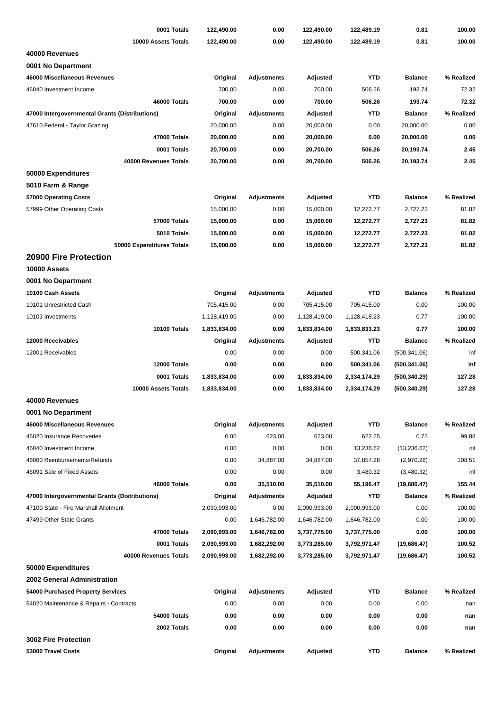| 0001 Totals                                    | 122,490.00   | 0.00               | 122,490.00   | 122,489.19   | 0.81           | 100.00     |
|------------------------------------------------|--------------|--------------------|--------------|--------------|----------------|------------|
| 10000 Assets Totals                            | 122,490.00   | 0.00               | 122,490.00   | 122,489.19   | 0.81           | 100.00     |
| 40000 Revenues                                 |              |                    |              |              |                |            |
| 0001 No Department                             |              |                    |              |              |                |            |
| 46000 Miscellaneous Revenues                   | Original     | <b>Adjustments</b> | Adjusted     | <b>YTD</b>   | <b>Balance</b> | % Realized |
| 46040 Investment Income                        | 700.00       | 0.00               | 700.00       | 506.26       | 193.74         | 72.32      |
| 46000 Totals                                   | 700.00       | 0.00               | 700.00       | 506.26       | 193.74         | 72.32      |
| 47000 Intergovernmental Grants (Distributions) | Original     | <b>Adjustments</b> | Adjusted     | <b>YTD</b>   | <b>Balance</b> | % Realized |
| 47610 Federal - Taylor Grazing                 | 20,000.00    | 0.00               | 20,000.00    | 0.00         | 20,000.00      | 0.00       |
| 47000 Totals                                   | 20,000.00    | 0.00               | 20,000.00    | 0.00         | 20,000.00      | 0.00       |
| 0001 Totals                                    | 20,700.00    | 0.00               | 20,700.00    | 506.26       | 20,193.74      | 2.45       |
| 40000 Revenues Totals                          | 20,700.00    | 0.00               | 20,700.00    | 506.26       | 20,193.74      | 2.45       |
| 50000 Expenditures                             |              |                    |              |              |                |            |
| 5010 Farm & Range                              |              |                    |              |              |                |            |
| 57000 Operating Costs                          | Original     | <b>Adjustments</b> | Adjusted     | YTD          | <b>Balance</b> | % Realized |
| 57999 Other Operating Costs                    | 15,000.00    | 0.00               | 15,000.00    | 12,272.77    | 2,727.23       | 81.82      |
| 57000 Totals                                   | 15,000.00    | 0.00               | 15,000.00    | 12,272.77    | 2,727.23       | 81.82      |
| 5010 Totals                                    | 15,000.00    | 0.00               | 15,000.00    | 12,272.77    | 2,727.23       | 81.82      |
| 50000 Expenditures Totals                      | 15,000.00    | 0.00               | 15,000.00    | 12,272.77    | 2,727.23       | 81.82      |
| <b>20900 Fire Protection</b>                   |              |                    |              |              |                |            |
| 10000 Assets                                   |              |                    |              |              |                |            |
| 0001 No Department                             |              |                    |              |              |                |            |
| 10100 Cash Assets                              | Original     | <b>Adjustments</b> | Adjusted     | <b>YTD</b>   | <b>Balance</b> | % Realized |
| 10101 Unrestricted Cash                        | 705,415.00   | 0.00               | 705,415.00   | 705,415.00   | 0.00           | 100.00     |
| 10103 Investments                              | 1,128,419.00 | 0.00               | 1,128,419.00 | 1,128,418.23 | 0.77           | 100.00     |
| 10100 Totals                                   | 1,833,834.00 | 0.00               | 1,833,834.00 | 1,833,833.23 | 0.77           | 100.00     |
| 12000 Receivables                              | Original     | <b>Adjustments</b> | Adjusted     | <b>YTD</b>   | <b>Balance</b> | % Realized |
| 12001 Receivables                              | 0.00         | 0.00               | 0.00         | 500,341.06   | (500, 341.06)  | inf        |
| 12000 Totals                                   | 0.00         | 0.00               | 0.00         | 500,341.06   | (500, 341.06)  | inf        |
| 0001 Totals                                    | 1,833,834.00 | 0.00               | 1,833,834.00 | 2,334,174.29 | (500, 340.29)  | 127.28     |
| 10000 Assets Totals                            | 1,833,834.00 | 0.00               | 1,833,834.00 | 2,334,174.29 | (500, 340.29)  | 127.28     |
| 40000 Revenues                                 |              |                    |              |              |                |            |
| 0001 No Department                             |              |                    |              |              |                |            |
| 46000 Miscellaneous Revenues                   | Original     | <b>Adjustments</b> | Adjusted     | <b>YTD</b>   | <b>Balance</b> | % Realized |
| 46020 Insurance Recoveries                     | 0.00         | 623.00             | 623.00       | 622.25       | 0.75           | 99.88      |
| 46040 Investment Income                        | 0.00         | 0.00               | 0.00         | 13,236.62    | (13, 236.62)   | inf        |
| 46060 Reimbursements/Refunds                   | 0.00         | 34,887.00          | 34,887.00    | 37,857.28    | (2,970.28)     | 108.51     |
| 46091 Sale of Fixed Assets                     | 0.00         | 0.00               | 0.00         | 3,480.32     | (3,480.32)     | inf        |
| 46000 Totals                                   | 0.00         | 35,510.00          | 35,510.00    | 55,196.47    | (19,686.47)    | 155.44     |
| 47000 Intergovernmental Grants (Distributions) | Original     | <b>Adjustments</b> | Adjusted     | <b>YTD</b>   | <b>Balance</b> | % Realized |
| 47100 State - Fire Marshall Allotment          | 2,090,993.00 | 0.00               | 2,090,993.00 | 2,090,993.00 | 0.00           | 100.00     |
| 47499 Other State Grants                       | 0.00         | 1,646,782.00       | 1,646,782.00 | 1,646,782.00 | 0.00           | 100.00     |
| 47000 Totals                                   | 2,090,993.00 | 1,646,782.00       | 3,737,775.00 | 3,737,775.00 | 0.00           | 100.00     |
| 0001 Totals                                    | 2,090,993.00 | 1,682,292.00       | 3,773,285.00 | 3,792,971.47 | (19,686.47)    | 100.52     |
| 40000 Revenues Totals                          | 2,090,993.00 | 1,682,292.00       | 3,773,285.00 | 3,792,971.47 | (19,686.47)    | 100.52     |
| 50000 Expenditures                             |              |                    |              |              |                |            |
| 2002 General Administration                    |              |                    |              |              |                |            |
| 54000 Purchased Property Services              | Original     | <b>Adjustments</b> | Adjusted     | YTD          | <b>Balance</b> | % Realized |
| 54020 Maintenance & Repairs - Contracts        | 0.00         | 0.00               | 0.00         | 0.00         | 0.00           | nan        |
| 54000 Totals                                   | 0.00         | 0.00               | 0.00         | 0.00         | 0.00           | nan        |
| 2002 Totals                                    | 0.00         | 0.00               | 0.00         | 0.00         | 0.00           | nan        |
| 3002 Fire Protection                           |              |                    |              |              |                |            |
| 53000 Travel Costs                             | Original     | Adjustments        | Adjusted     | YTD          | <b>Balance</b> | % Realized |
|                                                |              |                    |              |              |                |            |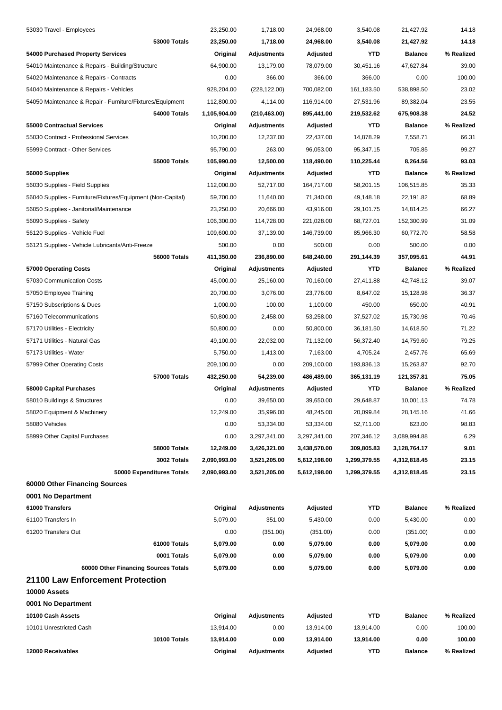| 53030 Travel - Employees                                    | 23,250.00    | 1,718.00           | 24,968.00    | 3,540.08     | 21,427.92      | 14.18      |
|-------------------------------------------------------------|--------------|--------------------|--------------|--------------|----------------|------------|
| 53000 Totals                                                | 23,250.00    | 1,718.00           | 24,968.00    | 3,540.08     | 21,427.92      | 14.18      |
| 54000 Purchased Property Services                           | Original     | <b>Adjustments</b> | Adjusted     | <b>YTD</b>   | <b>Balance</b> | % Realized |
| 54010 Maintenance & Repairs - Building/Structure            | 64,900.00    | 13,179.00          | 78,079.00    | 30,451.16    | 47,627.84      | 39.00      |
| 54020 Maintenance & Repairs - Contracts                     | 0.00         | 366.00             | 366.00       | 366.00       | 0.00           | 100.00     |
| 54040 Maintenance & Repairs - Vehicles                      | 928,204.00   | (228, 122.00)      | 700,082.00   | 161,183.50   | 538,898.50     | 23.02      |
| 54050 Maintenance & Repair - Furniture/Fixtures/Equipment   | 112,800.00   | 4,114.00           | 116,914.00   | 27,531.96    | 89,382.04      | 23.55      |
| 54000 Totals                                                | 1,105,904.00 | (210, 463.00)      | 895,441.00   | 219,532.62   | 675,908.38     | 24.52      |
| 55000 Contractual Services                                  | Original     | <b>Adjustments</b> | Adjusted     | YTD          | <b>Balance</b> | % Realized |
| 55030 Contract - Professional Services                      | 10,200.00    | 12,237.00          | 22,437.00    | 14,878.29    | 7,558.71       | 66.31      |
| 55999 Contract - Other Services                             | 95,790.00    | 263.00             | 96,053.00    | 95,347.15    | 705.85         | 99.27      |
| 55000 Totals                                                | 105,990.00   | 12,500.00          | 118,490.00   | 110,225.44   | 8,264.56       | 93.03      |
| 56000 Supplies                                              | Original     | <b>Adjustments</b> | Adjusted     | <b>YTD</b>   | <b>Balance</b> | % Realized |
| 56030 Supplies - Field Supplies                             | 112,000.00   | 52,717.00          | 164,717.00   | 58,201.15    | 106,515.85     | 35.33      |
| 56040 Supplies - Furniture/Fixtures/Equipment (Non-Capital) | 59,700.00    | 11,640.00          | 71,340.00    | 49,148.18    | 22,191.82      | 68.89      |
| 56050 Supplies - Janitorial/Maintenance                     | 23,250.00    | 20,666.00          | 43,916.00    | 29,101.75    | 14,814.25      | 66.27      |
| 56090 Supplies - Safety                                     | 106,300.00   | 114,728.00         | 221,028.00   | 68,727.01    | 152,300.99     | 31.09      |
| 56120 Supplies - Vehicle Fuel                               | 109,600.00   | 37,139.00          | 146,739.00   | 85,966.30    | 60,772.70      | 58.58      |
| 56121 Supplies - Vehicle Lubricants/Anti-Freeze             | 500.00       | 0.00               | 500.00       | 0.00         | 500.00         | 0.00       |
| 56000 Totals                                                | 411,350.00   | 236,890.00         | 648,240.00   | 291,144.39   | 357,095.61     | 44.91      |
| 57000 Operating Costs                                       | Original     | <b>Adjustments</b> | Adjusted     | YTD          | <b>Balance</b> | % Realized |
| 57030 Communication Costs                                   | 45,000.00    | 25,160.00          | 70,160.00    | 27,411.88    | 42,748.12      | 39.07      |
| 57050 Employee Training                                     | 20,700.00    | 3,076.00           | 23,776.00    | 8,647.02     | 15,128.98      | 36.37      |
| 57150 Subscriptions & Dues                                  | 1,000.00     | 100.00             | 1,100.00     | 450.00       | 650.00         | 40.91      |
| 57160 Telecommunications                                    | 50,800.00    | 2,458.00           | 53,258.00    | 37,527.02    | 15,730.98      | 70.46      |
| 57170 Utilities - Electricity                               | 50,800.00    | 0.00               | 50,800.00    | 36,181.50    | 14,618.50      | 71.22      |
| 57171 Utilities - Natural Gas                               | 49,100.00    | 22,032.00          | 71,132.00    | 56,372.40    | 14,759.60      | 79.25      |
| 57173 Utilities - Water                                     | 5,750.00     | 1,413.00           | 7,163.00     | 4,705.24     | 2,457.76       | 65.69      |
| 57999 Other Operating Costs                                 | 209,100.00   | 0.00               | 209,100.00   | 193,836.13   | 15,263.87      | 92.70      |
| 57000 Totals                                                | 432,250.00   | 54,239.00          | 486,489.00   | 365,131.19   | 121,357.81     | 75.05      |
| 58000 Capital Purchases                                     | Original     | Adjustments        | Adjusted     | <b>YTD</b>   | <b>Balance</b> | % Realized |
| 58010 Buildings & Structures                                | 0.00         | 39,650.00          | 39,650.00    | 29,648.87    | 10,001.13      | 74.78      |
| 58020 Equipment & Machinery                                 | 12,249.00    | 35,996.00          | 48,245.00    | 20,099.84    | 28,145.16      | 41.66      |
| 58080 Vehicles                                              | 0.00         | 53,334.00          | 53,334.00    | 52,711.00    | 623.00         | 98.83      |
| 58999 Other Capital Purchases                               | 0.00         | 3,297,341.00       | 3,297,341.00 | 207,346.12   | 3,089,994.88   | 6.29       |
| 58000 Totals                                                | 12,249.00    | 3,426,321.00       | 3,438,570.00 | 309,805.83   | 3,128,764.17   | 9.01       |
| 3002 Totals                                                 | 2,090,993.00 | 3,521,205.00       | 5,612,198.00 | 1,299,379.55 | 4,312,818.45   | 23.15      |
| 50000 Expenditures Totals                                   | 2,090,993.00 | 3,521,205.00       | 5,612,198.00 | 1,299,379.55 | 4,312,818.45   | 23.15      |
| 60000 Other Financing Sources                               |              |                    |              |              |                |            |
| 0001 No Department                                          |              |                    |              |              |                |            |
| 61000 Transfers                                             | Original     | <b>Adjustments</b> | Adjusted     | <b>YTD</b>   | <b>Balance</b> | % Realized |
| 61100 Transfers In                                          | 5,079.00     | 351.00             | 5,430.00     | 0.00         | 5,430.00       | 0.00       |
| 61200 Transfers Out                                         | 0.00         | (351.00)           | (351.00)     | 0.00         | (351.00)       | 0.00       |
| 61000 Totals                                                | 5,079.00     | 0.00               | 5,079.00     | 0.00         | 5,079.00       | 0.00       |
| 0001 Totals                                                 | 5,079.00     | 0.00               | 5,079.00     | 0.00         | 5,079.00       | 0.00       |
| 60000 Other Financing Sources Totals                        | 5,079.00     | 0.00               | 5,079.00     | 0.00         | 5,079.00       | 0.00       |
| 21100 Law Enforcement Protection                            |              |                    |              |              |                |            |
| 10000 Assets                                                |              |                    |              |              |                |            |
| 0001 No Department                                          |              |                    |              |              |                |            |
| 10100 Cash Assets                                           | Original     | <b>Adjustments</b> | Adjusted     | <b>YTD</b>   | <b>Balance</b> | % Realized |
| 10101 Unrestricted Cash                                     | 13,914.00    | 0.00               | 13,914.00    | 13,914.00    | 0.00           | 100.00     |
| 10100 Totals                                                | 13,914.00    | 0.00               | 13,914.00    | 13,914.00    | 0.00           | 100.00     |
| 12000 Receivables                                           | Original     | <b>Adjustments</b> | Adjusted     | YTD          | <b>Balance</b> | % Realized |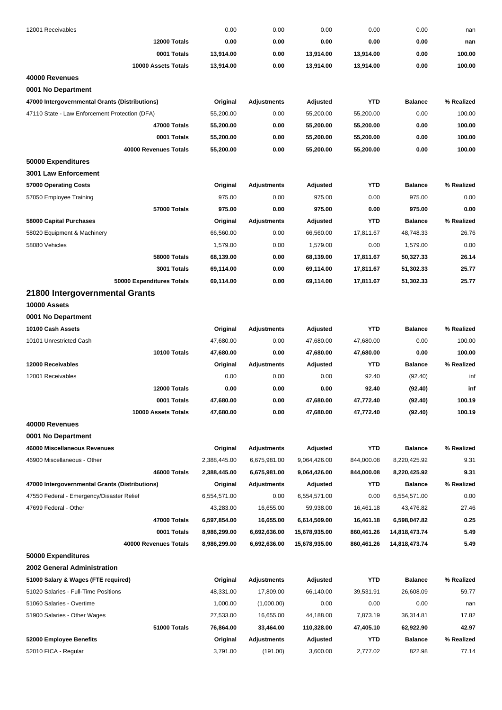| 12001 Receivables                              | 0.00         | 0.00               | 0.00          | 0.00       | 0.00           | nan        |
|------------------------------------------------|--------------|--------------------|---------------|------------|----------------|------------|
| 12000 Totals                                   | 0.00         | 0.00               | 0.00          | 0.00       | 0.00           | nan        |
| 0001 Totals                                    | 13,914.00    | 0.00               | 13,914.00     | 13,914.00  | 0.00           | 100.00     |
| 10000 Assets Totals                            | 13,914.00    | 0.00               | 13,914.00     | 13,914.00  | 0.00           | 100.00     |
| 40000 Revenues                                 |              |                    |               |            |                |            |
| 0001 No Department                             |              |                    |               |            |                |            |
| 47000 Intergovernmental Grants (Distributions) | Original     | <b>Adjustments</b> | Adjusted      | <b>YTD</b> | <b>Balance</b> | % Realized |
| 47110 State - Law Enforcement Protection (DFA) | 55,200.00    | 0.00               | 55,200.00     | 55,200.00  | 0.00           | 100.00     |
| 47000 Totals                                   | 55,200.00    | 0.00               | 55,200.00     | 55,200.00  | 0.00           | 100.00     |
| 0001 Totals                                    | 55,200.00    | 0.00               | 55,200.00     | 55,200.00  | 0.00           | 100.00     |
| 40000 Revenues Totals                          | 55,200.00    | 0.00               | 55,200.00     | 55,200.00  | 0.00           | 100.00     |
| 50000 Expenditures                             |              |                    |               |            |                |            |
| <b>3001 Law Enforcement</b>                    |              |                    |               |            |                |            |
| 57000 Operating Costs                          | Original     | Adjustments        | Adjusted      | <b>YTD</b> | <b>Balance</b> | % Realized |
| 57050 Employee Training                        | 975.00       | 0.00               | 975.00        | 0.00       | 975.00         | 0.00       |
| 57000 Totals                                   | 975.00       | 0.00               | 975.00        | 0.00       | 975.00         | 0.00       |
| 58000 Capital Purchases                        | Original     | <b>Adjustments</b> | Adjusted      | <b>YTD</b> | <b>Balance</b> | % Realized |
| 58020 Equipment & Machinery                    | 66,560.00    | 0.00               | 66,560.00     | 17,811.67  | 48,748.33      | 26.76      |
| 58080 Vehicles                                 | 1,579.00     | 0.00               | 1,579.00      | 0.00       | 1,579.00       | 0.00       |
| <b>58000 Totals</b>                            | 68,139.00    | 0.00               | 68,139.00     | 17,811.67  | 50,327.33      | 26.14      |
| 3001 Totals                                    | 69,114.00    | 0.00               | 69,114.00     | 17,811.67  | 51,302.33      | 25.77      |
| 50000 Expenditures Totals                      | 69,114.00    | 0.00               | 69,114.00     | 17,811.67  | 51,302.33      | 25.77      |
| 21800 Intergovernmental Grants                 |              |                    |               |            |                |            |
| 10000 Assets                                   |              |                    |               |            |                |            |
| 0001 No Department                             |              |                    |               |            |                |            |
| 10100 Cash Assets                              | Original     | <b>Adjustments</b> | Adjusted      | <b>YTD</b> | <b>Balance</b> | % Realized |
| 10101 Unrestricted Cash                        | 47,680.00    | 0.00               | 47,680.00     | 47,680.00  | 0.00           | 100.00     |
| 10100 Totals                                   | 47,680.00    | 0.00               | 47,680.00     | 47,680.00  | 0.00           | 100.00     |
| 12000 Receivables                              | Original     | <b>Adjustments</b> | Adjusted      | <b>YTD</b> | <b>Balance</b> | % Realized |
| 12001 Receivables                              | 0.00         | 0.00               | 0.00          | 92.40      | (92.40)        | inf        |
| 12000 Totals                                   | 0.00         | 0.00               | 0.00          | 92.40      | (92.40)        | inf        |
| 0001 Totals                                    | 47,680.00    | 0.00               | 47,680.00     | 47,772.40  | (92.40)        | 100.19     |
| 10000 Assets Totals                            | 47,680.00    | 0.00               | 47,680.00     | 47,772.40  | (92.40)        | 100.19     |
| 40000 Revenues                                 |              |                    |               |            |                |            |
| 0001 No Department                             |              |                    |               |            |                |            |
| 46000 Miscellaneous Revenues                   | Original     | <b>Adjustments</b> | Adjusted      | <b>YTD</b> | <b>Balance</b> | % Realized |
| 46900 Miscellaneous - Other                    | 2,388,445.00 | 6,675,981.00       | 9,064,426.00  | 844,000.08 | 8,220,425.92   | 9.31       |
| 46000 Totals                                   | 2,388,445.00 | 6,675,981.00       | 9,064,426.00  | 844,000.08 | 8,220,425.92   | 9.31       |
| 47000 Intergovernmental Grants (Distributions) | Original     | <b>Adjustments</b> | Adjusted      | <b>YTD</b> | <b>Balance</b> | % Realized |
| 47550 Federal - Emergency/Disaster Relief      | 6,554,571.00 | 0.00               | 6,554,571.00  | 0.00       | 6,554,571.00   | 0.00       |
| 47699 Federal - Other                          | 43,283.00    | 16,655.00          | 59,938.00     | 16,461.18  | 43,476.82      | 27.46      |
| 47000 Totals                                   | 6,597,854.00 | 16,655.00          | 6,614,509.00  | 16,461.18  | 6,598,047.82   | 0.25       |
| 0001 Totals                                    | 8,986,299.00 | 6,692,636.00       | 15,678,935.00 | 860,461.26 | 14,818,473.74  | 5.49       |
| 40000 Revenues Totals                          |              |                    |               |            |                | 5.49       |
|                                                | 8,986,299.00 | 6,692,636.00       | 15,678,935.00 | 860,461.26 | 14,818,473.74  |            |
| 50000 Expenditures                             |              |                    |               |            |                |            |
| 2002 General Administration                    |              |                    |               |            |                |            |
| 51000 Salary & Wages (FTE required)            | Original     | <b>Adjustments</b> | Adjusted      | <b>YTD</b> | <b>Balance</b> | % Realized |
| 51020 Salaries - Full-Time Positions           | 48,331.00    | 17,809.00          | 66,140.00     | 39,531.91  | 26,608.09      | 59.77      |
| 51060 Salaries - Overtime                      | 1,000.00     | (1,000.00)         | 0.00          | 0.00       | 0.00           | nan        |
| 51900 Salaries - Other Wages                   | 27,533.00    | 16,655.00          | 44,188.00     | 7,873.19   | 36,314.81      | 17.82      |
| 51000 Totals                                   | 76,864.00    | 33,464.00          | 110,328.00    | 47,405.10  | 62,922.90      | 42.97      |
| 52000 Employee Benefits                        | Original     | <b>Adjustments</b> | Adjusted      | <b>YTD</b> | <b>Balance</b> | % Realized |
| 52010 FICA - Regular                           | 3,791.00     | (191.00)           | 3,600.00      | 2,777.02   | 822.98         | 77.14      |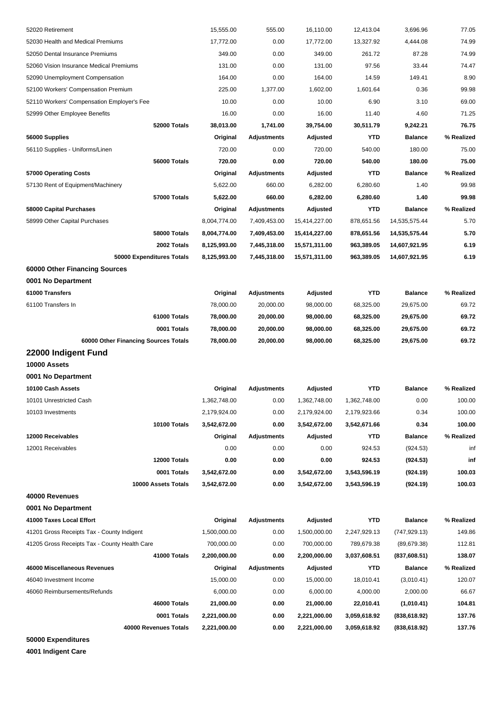| 52020 Retirement                              | 15,555.00    | 555.00             | 16,110.00     | 12,413.04    | 3,696.96       | 77.05      |
|-----------------------------------------------|--------------|--------------------|---------------|--------------|----------------|------------|
| 52030 Health and Medical Premiums             | 17,772.00    | 0.00               | 17,772.00     | 13,327.92    | 4,444.08       | 74.99      |
| 52050 Dental Insurance Premiums               | 349.00       | 0.00               | 349.00        | 261.72       | 87.28          | 74.99      |
| 52060 Vision Insurance Medical Premiums       | 131.00       | 0.00               | 131.00        | 97.56        | 33.44          | 74.47      |
| 52090 Unemployment Compensation               | 164.00       | 0.00               | 164.00        | 14.59        | 149.41         | 8.90       |
| 52100 Workers' Compensation Premium           | 225.00       | 1,377.00           | 1,602.00      | 1,601.64     | 0.36           | 99.98      |
| 52110 Workers' Compensation Employer's Fee    | 10.00        | 0.00               | 10.00         | 6.90         | 3.10           | 69.00      |
| 52999 Other Employee Benefits                 | 16.00        | 0.00               | 16.00         | 11.40        | 4.60           | 71.25      |
| 52000 Totals                                  | 38,013.00    | 1,741.00           | 39,754.00     | 30,511.79    | 9,242.21       | 76.75      |
| 56000 Supplies                                | Original     | <b>Adjustments</b> | Adjusted      | YTD          | <b>Balance</b> | % Realized |
| 56110 Supplies - Uniforms/Linen               | 720.00       | 0.00               | 720.00        | 540.00       | 180.00         | 75.00      |
| 56000 Totals                                  | 720.00       | 0.00               | 720.00        | 540.00       | 180.00         | 75.00      |
| 57000 Operating Costs                         | Original     | <b>Adjustments</b> | Adjusted      | YTD          | <b>Balance</b> | % Realized |
| 57130 Rent of Equipment/Machinery             | 5,622.00     | 660.00             | 6,282.00      | 6,280.60     | 1.40           | 99.98      |
| 57000 Totals                                  | 5,622.00     | 660.00             | 6,282.00      | 6,280.60     | 1.40           | 99.98      |
| 58000 Capital Purchases                       | Original     | <b>Adjustments</b> | Adjusted      | YTD          | <b>Balance</b> | % Realized |
| 58999 Other Capital Purchases                 | 8,004,774.00 | 7,409,453.00       | 15,414,227.00 | 878,651.56   | 14,535,575.44  | 5.70       |
| 58000 Totals                                  | 8,004,774.00 | 7,409,453.00       | 15,414,227.00 | 878,651.56   | 14,535,575.44  | 5.70       |
| 2002 Totals                                   | 8,125,993.00 | 7,445,318.00       | 15,571,311.00 | 963,389.05   | 14,607,921.95  | 6.19       |
| 50000 Expenditures Totals                     | 8,125,993.00 | 7,445,318.00       | 15,571,311.00 | 963,389.05   | 14,607,921.95  | 6.19       |
| 60000 Other Financing Sources                 |              |                    |               |              |                |            |
| 0001 No Department                            |              |                    |               |              |                |            |
| 61000 Transfers                               | Original     | Adjustments        | Adjusted      | <b>YTD</b>   | <b>Balance</b> | % Realized |
| 61100 Transfers In                            | 78,000.00    | 20,000.00          | 98,000.00     | 68,325.00    | 29,675.00      | 69.72      |
| 61000 Totals                                  | 78,000.00    | 20,000.00          | 98,000.00     | 68,325.00    | 29,675.00      | 69.72      |
| 0001 Totals                                   | 78,000.00    | 20,000.00          | 98,000.00     | 68,325.00    | 29,675.00      | 69.72      |
| 60000 Other Financing Sources Totals          | 78,000.00    | 20,000.00          | 98,000.00     | 68,325.00    | 29,675.00      | 69.72      |
| 22000 Indigent Fund                           |              |                    |               |              |                |            |
| 10000 Assets                                  |              |                    |               |              |                |            |
| 0001 No Department                            |              |                    |               |              |                |            |
| 10100 Cash Assets                             | Original     | Adjustments        | Adjusted      | <b>YTD</b>   | <b>Balance</b> | % Realized |
| 10101 Unrestricted Cash                       | 1,362,748.00 | 0.00               | 1,362,748.00  | 1,362,748.00 | 0.00           | 100.00     |
| 10103 Investments                             | 2,179,924.00 | 0.00               | 2,179,924.00  | 2,179,923.66 | 0.34           | 100.00     |
| 10100 Totals                                  | 3,542,672.00 | 0.00               | 3,542,672.00  | 3,542,671.66 | 0.34           | 100.00     |
| 12000 Receivables                             | Original     | <b>Adjustments</b> | Adjusted      | YTD          | <b>Balance</b> | % Realized |
| 12001 Receivables                             | 0.00         | 0.00               | 0.00          | 924.53       | (924.53)       | inf        |
| 12000 Totals                                  | 0.00         | 0.00               | 0.00          | 924.53       | (924.53)       | inf        |
| 0001 Totals                                   | 3,542,672.00 | 0.00               | 3,542,672.00  | 3,543,596.19 | (924.19)       | 100.03     |
| 10000 Assets Totals                           | 3,542,672.00 | 0.00               | 3,542,672.00  | 3,543,596.19 | (924.19)       | 100.03     |
| 40000 Revenues                                |              |                    |               |              |                |            |
| 0001 No Department                            |              |                    |               |              |                |            |
| 41000 Taxes Local Effort                      | Original     | <b>Adjustments</b> | Adjusted      | <b>YTD</b>   | <b>Balance</b> | % Realized |
| 41201 Gross Receipts Tax - County Indigent    | 1,500,000.00 | 0.00               | 1,500,000.00  | 2,247,929.13 | (747, 929.13)  | 149.86     |
| 41205 Gross Receipts Tax - County Health Care | 700,000.00   | 0.00               | 700,000.00    | 789,679.38   | (89, 679.38)   | 112.81     |
| 41000 Totals                                  | 2,200,000.00 | 0.00               | 2,200,000.00  | 3,037,608.51 | (837, 608.51)  | 138.07     |
| 46000 Miscellaneous Revenues                  | Original     | <b>Adjustments</b> | Adjusted      | YTD          | <b>Balance</b> | % Realized |
| 46040 Investment Income                       | 15,000.00    | 0.00               | 15,000.00     | 18,010.41    | (3,010.41)     | 120.07     |
| 46060 Reimbursements/Refunds                  | 6,000.00     | 0.00               | 6,000.00      | 4,000.00     | 2,000.00       | 66.67      |
| 46000 Totals                                  | 21,000.00    | 0.00               | 21,000.00     | 22,010.41    | (1,010.41)     | 104.81     |
| 0001 Totals                                   | 2,221,000.00 | 0.00               | 2,221,000.00  | 3,059,618.92 | (838, 618.92)  | 137.76     |
| 40000 Revenues Totals                         | 2,221,000.00 | 0.00               | 2,221,000.00  | 3,059,618.92 | (838, 618.92)  | 137.76     |
| 50000 Expenditures                            |              |                    |               |              |                |            |

**4001 Indigent Care**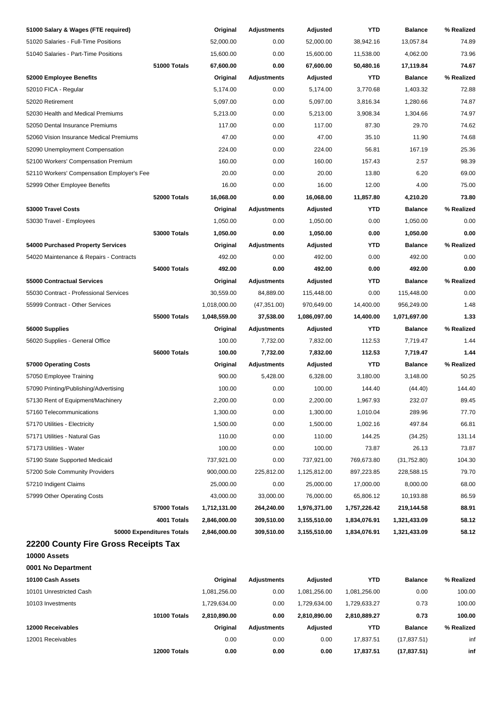| 51000 Salary & Wages (FTE required)        | Original     | <b>Adjustments</b> | Adjusted     | YTD          | <b>Balance</b> | % Realized |
|--------------------------------------------|--------------|--------------------|--------------|--------------|----------------|------------|
| 51020 Salaries - Full-Time Positions       | 52,000.00    | 0.00               | 52,000.00    | 38,942.16    | 13,057.84      | 74.89      |
| 51040 Salaries - Part-Time Positions       | 15,600.00    | 0.00               | 15,600.00    | 11,538.00    | 4,062.00       | 73.96      |
| 51000 Totals                               | 67,600.00    | 0.00               | 67,600.00    | 50,480.16    | 17,119.84      | 74.67      |
| 52000 Employee Benefits                    | Original     | <b>Adjustments</b> | Adjusted     | <b>YTD</b>   | <b>Balance</b> | % Realized |
| 52010 FICA - Regular                       | 5,174.00     | 0.00               | 5,174.00     | 3,770.68     | 1,403.32       | 72.88      |
| 52020 Retirement                           | 5,097.00     | 0.00               | 5,097.00     | 3,816.34     | 1,280.66       | 74.87      |
| 52030 Health and Medical Premiums          | 5,213.00     | 0.00               | 5,213.00     | 3,908.34     | 1,304.66       | 74.97      |
| 52050 Dental Insurance Premiums            | 117.00       | 0.00               | 117.00       | 87.30        | 29.70          | 74.62      |
| 52060 Vision Insurance Medical Premiums    | 47.00        | 0.00               | 47.00        | 35.10        | 11.90          | 74.68      |
| 52090 Unemployment Compensation            | 224.00       | 0.00               | 224.00       | 56.81        | 167.19         | 25.36      |
| 52100 Workers' Compensation Premium        | 160.00       | 0.00               | 160.00       | 157.43       | 2.57           | 98.39      |
| 52110 Workers' Compensation Employer's Fee | 20.00        | 0.00               | 20.00        | 13.80        | 6.20           | 69.00      |
| 52999 Other Employee Benefits              | 16.00        | 0.00               | 16.00        | 12.00        | 4.00           | 75.00      |
| 52000 Totals                               | 16,068.00    | 0.00               | 16,068.00    | 11,857.80    | 4,210.20       | 73.80      |
| 53000 Travel Costs                         | Original     | <b>Adjustments</b> | Adjusted     | <b>YTD</b>   | <b>Balance</b> | % Realized |
| 53030 Travel - Employees                   | 1,050.00     | 0.00               | 1,050.00     | 0.00         | 1,050.00       | 0.00       |
| <b>53000 Totals</b>                        | 1,050.00     | 0.00               | 1,050.00     | 0.00         | 1,050.00       | 0.00       |
| 54000 Purchased Property Services          | Original     | <b>Adjustments</b> | Adjusted     | <b>YTD</b>   | <b>Balance</b> | % Realized |
| 54020 Maintenance & Repairs - Contracts    | 492.00       | 0.00               | 492.00       | 0.00         | 492.00         | 0.00       |
| 54000 Totals                               | 492.00       | 0.00               | 492.00       | 0.00         | 492.00         | 0.00       |
| 55000 Contractual Services                 | Original     | <b>Adjustments</b> | Adjusted     | <b>YTD</b>   | <b>Balance</b> | % Realized |
| 55030 Contract - Professional Services     | 30,559.00    | 84,889.00          | 115,448.00   | 0.00         | 115,448.00     | 0.00       |
| 55999 Contract - Other Services            | 1,018,000.00 | (47, 351.00)       | 970,649.00   | 14,400.00    | 956,249.00     | 1.48       |
| <b>55000 Totals</b>                        | 1,048,559.00 | 37,538.00          | 1,086,097.00 | 14,400.00    | 1,071,697.00   | 1.33       |
| 56000 Supplies                             | Original     | <b>Adjustments</b> | Adjusted     | <b>YTD</b>   | <b>Balance</b> | % Realized |
| 56020 Supplies - General Office            | 100.00       | 7,732.00           | 7,832.00     | 112.53       | 7,719.47       | 1.44       |
| 56000 Totals                               | 100.00       | 7,732.00           | 7,832.00     | 112.53       | 7,719.47       | 1.44       |
| 57000 Operating Costs                      | Original     | <b>Adjustments</b> | Adjusted     | <b>YTD</b>   | <b>Balance</b> | % Realized |
| 57050 Employee Training                    | 900.00       | 5,428.00           | 6,328.00     | 3,180.00     | 3,148.00       | 50.25      |
| 57090 Printing/Publishing/Advertising      | 100.00       | 0.00               | 100.00       | 144.40       | (44.40)        | 144.40     |
| 57130 Rent of Equipment/Machinery          | 2,200.00     | 0.00               | 2,200.00     | 1.967.93     | 232.07         | 89.45      |
| 57160 Telecommunications                   | 1,300.00     | 0.00               | 1,300.00     | 1,010.04     | 289.96         | 77.70      |
| 57170 Utilities - Electricity              | 1,500.00     | 0.00               | 1,500.00     | 1,002.16     | 497.84         | 66.81      |
| 57171 Utilities - Natural Gas              | 110.00       | 0.00               | 110.00       | 144.25       | (34.25)        | 131.14     |
| 57173 Utilities - Water                    | 100.00       | 0.00               | 100.00       | 73.87        | 26.13          | 73.87      |
| 57190 State Supported Medicaid             | 737,921.00   | 0.00               | 737,921.00   | 769,673.80   | (31,752.80)    | 104.30     |
| 57200 Sole Community Providers             | 900,000.00   | 225,812.00         | 1,125,812.00 | 897,223.85   | 228,588.15     | 79.70      |
| 57210 Indigent Claims                      | 25,000.00    | 0.00               | 25,000.00    | 17,000.00    | 8,000.00       | 68.00      |
| 57999 Other Operating Costs                | 43,000.00    | 33,000.00          | 76,000.00    | 65,806.12    | 10,193.88      | 86.59      |
| 57000 Totals                               | 1,712,131.00 | 264,240.00         | 1,976,371.00 | 1,757,226.42 | 219,144.58     | 88.91      |
| 4001 Totals                                | 2,846,000.00 | 309,510.00         | 3,155,510.00 | 1,834,076.91 | 1,321,433.09   | 58.12      |
| 50000 Expenditures Totals                  | 2,846,000.00 | 309,510.00         | 3,155,510.00 | 1,834,076.91 | 1,321,433.09   | 58.12      |
| 22200 County Fire Gross Receipts Tax       |              |                    |              |              |                |            |
| 10000 Assets                               |              |                    |              |              |                |            |
| 0001 No Department                         |              |                    |              |              |                |            |
| 10100 Cash Assets                          | Original     | <b>Adjustments</b> | Adjusted     | <b>YTD</b>   | <b>Balance</b> | % Realized |
| 10101 Unrestricted Cash                    | 1,081,256.00 | 0.00               | 1,081,256.00 | 1,081,256.00 | 0.00           | 100.00     |
| 10103 Investments                          | 1,729,634.00 | 0.00               | 1,729,634.00 | 1,729,633.27 | 0.73           | 100.00     |
| 10100 Totals                               | 2,810,890.00 | 0.00               | 2,810,890.00 | 2,810,889.27 | 0.73           | 100.00     |
| 12000 Receivables                          | Original     | Adjustments        | Adjusted     | YTD          | <b>Balance</b> | % Realized |
| 12001 Receivables                          | 0.00         | 0.00               | 0.00         | 17,837.51    | (17, 837.51)   | inf        |
| 12000 Totals                               | 0.00         | 0.00               | 0.00         | 17,837.51    | (17, 837.51)   | inf        |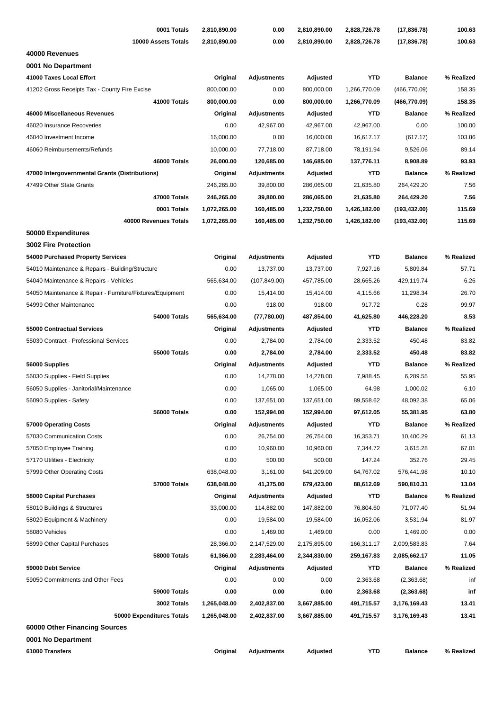| 0001 Totals                                               | 2,810,890.00 | 0.00               | 2,810,890.00 | 2,828,726.78 | (17, 836.78)   | 100.63     |
|-----------------------------------------------------------|--------------|--------------------|--------------|--------------|----------------|------------|
| 10000 Assets Totals                                       | 2,810,890.00 | 0.00               | 2,810,890.00 | 2,828,726.78 | (17, 836.78)   | 100.63     |
| 40000 Revenues                                            |              |                    |              |              |                |            |
| 0001 No Department                                        |              |                    |              |              |                |            |
| 41000 Taxes Local Effort                                  | Original     | <b>Adjustments</b> | Adjusted     | <b>YTD</b>   | <b>Balance</b> | % Realized |
| 41202 Gross Receipts Tax - County Fire Excise             | 800,000.00   | 0.00               | 800,000.00   | 1,266,770.09 | (466, 770.09)  | 158.35     |
| 41000 Totals                                              | 800,000.00   | 0.00               | 800,000.00   | 1,266,770.09 | (466, 770.09)  | 158.35     |
| 46000 Miscellaneous Revenues                              | Original     | <b>Adjustments</b> | Adjusted     | <b>YTD</b>   | <b>Balance</b> | % Realized |
| 46020 Insurance Recoveries                                | 0.00         | 42,967.00          | 42,967.00    | 42,967.00    | 0.00           | 100.00     |
| 46040 Investment Income                                   | 16,000.00    | 0.00               | 16,000.00    | 16,617.17    | (617.17)       | 103.86     |
| 46060 Reimbursements/Refunds                              | 10,000.00    | 77,718.00          | 87,718.00    | 78,191.94    | 9,526.06       | 89.14      |
| 46000 Totals                                              | 26,000.00    | 120,685.00         | 146,685.00   | 137,776.11   | 8,908.89       | 93.93      |
| 47000 Intergovernmental Grants (Distributions)            | Original     | <b>Adjustments</b> | Adjusted     | <b>YTD</b>   | <b>Balance</b> | % Realized |
| 47499 Other State Grants                                  | 246,265.00   | 39,800.00          | 286,065.00   | 21,635.80    | 264,429.20     | 7.56       |
| 47000 Totals                                              | 246,265.00   | 39,800.00          | 286,065.00   | 21,635.80    | 264,429.20     | 7.56       |
| 0001 Totals                                               | 1,072,265.00 | 160,485.00         | 1,232,750.00 | 1,426,182.00 | (193, 432.00)  | 115.69     |
| 40000 Revenues Totals                                     | 1,072,265.00 | 160,485.00         | 1,232,750.00 | 1,426,182.00 | (193, 432.00)  | 115.69     |
| 50000 Expenditures                                        |              |                    |              |              |                |            |
| <b>3002 Fire Protection</b>                               |              |                    |              |              |                |            |
| 54000 Purchased Property Services                         | Original     | Adjustments        | Adjusted     | <b>YTD</b>   | <b>Balance</b> | % Realized |
| 54010 Maintenance & Repairs - Building/Structure          | 0.00         | 13,737.00          | 13,737.00    | 7,927.16     | 5,809.84       | 57.71      |
| 54040 Maintenance & Repairs - Vehicles                    | 565,634.00   | (107, 849.00)      | 457,785.00   | 28,665.26    | 429,119.74     | 6.26       |
| 54050 Maintenance & Repair - Furniture/Fixtures/Equipment | 0.00         | 15,414.00          | 15,414.00    | 4,115.66     | 11,298.34      | 26.70      |
| 54999 Other Maintenance                                   | 0.00         | 918.00             | 918.00       | 917.72       | 0.28           | 99.97      |
| 54000 Totals                                              | 565,634.00   | (77,780.00)        | 487,854.00   | 41,625.80    | 446,228.20     | 8.53       |
| 55000 Contractual Services                                | Original     | Adjustments        | Adjusted     | <b>YTD</b>   | <b>Balance</b> | % Realized |
| 55030 Contract - Professional Services                    | 0.00         | 2,784.00           | 2,784.00     | 2,333.52     | 450.48         | 83.82      |
| 55000 Totals                                              | 0.00         | 2,784.00           | 2,784.00     | 2,333.52     | 450.48         | 83.82      |
| 56000 Supplies                                            | Original     | <b>Adjustments</b> | Adjusted     | <b>YTD</b>   | <b>Balance</b> | % Realized |
| 56030 Supplies - Field Supplies                           | 0.00         | 14,278.00          | 14,278.00    | 7,988.45     | 6,289.55       | 55.95      |
| 56050 Supplies - Janitorial/Maintenance                   | 0.00         | 1,065.00           | 1,065.00     | 64.98        | 1,000.02       | 6.10       |
| 56090 Supplies - Safety                                   | 0.00         | 137,651.00         | 137,651.00   | 89,558.62    | 48,092.38      | 65.06      |
| 56000 Totals                                              | 0.00         | 152,994.00         | 152,994.00   | 97,612.05    | 55,381.95      | 63.80      |
| 57000 Operating Costs                                     | Original     | <b>Adjustments</b> | Adjusted     | <b>YTD</b>   | <b>Balance</b> | % Realized |
| 57030 Communication Costs                                 | 0.00         | 26,754.00          | 26,754.00    | 16,353.71    | 10,400.29      | 61.13      |
| 57050 Employee Training                                   | 0.00         | 10,960.00          | 10,960.00    | 7,344.72     | 3,615.28       | 67.01      |
| 57170 Utilities - Electricity                             | 0.00         | 500.00             | 500.00       | 147.24       | 352.76         | 29.45      |
| 57999 Other Operating Costs                               | 638,048.00   | 3,161.00           | 641,209.00   | 64,767.02    | 576,441.98     | 10.10      |
| 57000 Totals                                              | 638,048.00   | 41,375.00          | 679,423.00   | 88,612.69    | 590,810.31     | 13.04      |
| 58000 Capital Purchases                                   | Original     | <b>Adjustments</b> | Adjusted     | <b>YTD</b>   | <b>Balance</b> | % Realized |
| 58010 Buildings & Structures                              | 33,000.00    | 114,882.00         | 147,882.00   | 76,804.60    | 71,077.40      | 51.94      |
| 58020 Equipment & Machinery                               | 0.00         | 19,584.00          | 19,584.00    | 16,052.06    | 3,531.94       | 81.97      |
| 58080 Vehicles                                            | 0.00         | 1,469.00           | 1,469.00     | 0.00         | 1,469.00       | 0.00       |
| 58999 Other Capital Purchases                             | 28,366.00    | 2,147,529.00       | 2,175,895.00 | 166,311.17   | 2,009,583.83   | 7.64       |
| 58000 Totals                                              | 61,366.00    | 2,283,464.00       | 2,344,830.00 | 259,167.83   | 2,085,662.17   | 11.05      |
| 59000 Debt Service                                        | Original     | <b>Adjustments</b> | Adjusted     | <b>YTD</b>   | <b>Balance</b> | % Realized |
| 59050 Commitments and Other Fees                          | 0.00         | 0.00               | 0.00         | 2,363.68     | (2,363.68)     | inf        |
| 59000 Totals                                              | 0.00         | 0.00               | 0.00         | 2,363.68     | (2,363.68)     | inf        |
| 3002 Totals                                               | 1,265,048.00 | 2,402,837.00       | 3,667,885.00 | 491,715.57   | 3,176,169.43   | 13.41      |
| 50000 Expenditures Totals                                 | 1,265,048.00 | 2,402,837.00       | 3,667,885.00 | 491,715.57   | 3,176,169.43   | 13.41      |
| 60000 Other Financing Sources                             |              |                    |              |              |                |            |
| 0001 No Department                                        |              |                    |              |              |                |            |
| 61000 Transfers                                           | Original     | <b>Adjustments</b> | Adjusted     | <b>YTD</b>   | <b>Balance</b> | % Realized |
|                                                           |              |                    |              |              |                |            |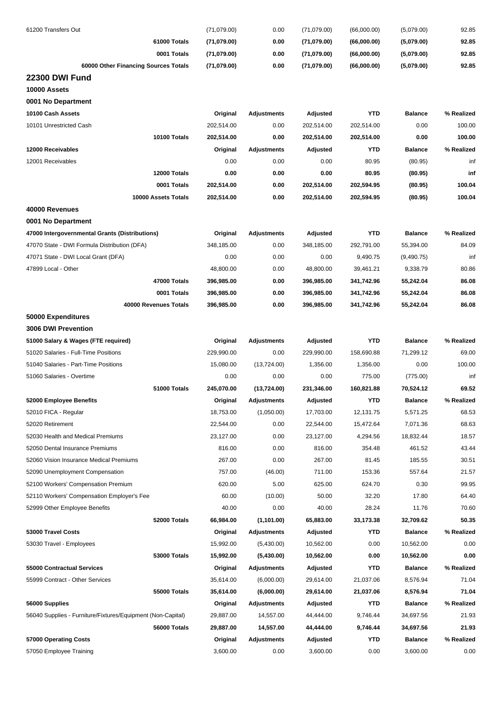| 61200 Transfers Out                                         | (71,079.00) | 0.00               | (71,079.00) | (66,000.00) | (5,079.00)     | 92.85      |
|-------------------------------------------------------------|-------------|--------------------|-------------|-------------|----------------|------------|
| 61000 Totals                                                | (71,079.00) | 0.00               | (71,079.00) | (66,000.00) | (5,079.00)     | 92.85      |
| 0001 Totals                                                 | (71,079.00) | 0.00               | (71,079.00) | (66,000.00) | (5,079.00)     | 92.85      |
| 60000 Other Financing Sources Totals                        | (71,079.00) | 0.00               | (71,079.00) | (66,000.00) | (5,079.00)     | 92.85      |
| <b>22300 DWI Fund</b>                                       |             |                    |             |             |                |            |
| 10000 Assets                                                |             |                    |             |             |                |            |
| 0001 No Department                                          |             |                    |             |             |                |            |
| 10100 Cash Assets                                           | Original    | <b>Adjustments</b> | Adjusted    | <b>YTD</b>  | <b>Balance</b> | % Realized |
| 10101 Unrestricted Cash                                     | 202,514.00  | 0.00               | 202,514.00  | 202,514.00  | 0.00           | 100.00     |
| 10100 Totals                                                | 202,514.00  | 0.00               | 202,514.00  | 202,514.00  | 0.00           | 100.00     |
| 12000 Receivables                                           | Original    | Adjustments        | Adjusted    | <b>YTD</b>  | <b>Balance</b> | % Realized |
| 12001 Receivables                                           | 0.00        | 0.00               | 0.00        | 80.95       | (80.95)        | inf        |
| 12000 Totals                                                | 0.00        | 0.00               | 0.00        | 80.95       | (80.95)        | inf        |
| 0001 Totals                                                 | 202,514.00  | 0.00               | 202,514.00  | 202,594.95  | (80.95)        | 100.04     |
| 10000 Assets Totals                                         | 202,514.00  | 0.00               | 202,514.00  | 202,594.95  | (80.95)        | 100.04     |
| 40000 Revenues                                              |             |                    |             |             |                |            |
| 0001 No Department                                          |             |                    |             |             |                |            |
| 47000 Intergovernmental Grants (Distributions)              | Original    | <b>Adjustments</b> | Adjusted    | <b>YTD</b>  | <b>Balance</b> | % Realized |
| 47070 State - DWI Formula Distribution (DFA)                | 348,185.00  | 0.00               | 348,185.00  | 292,791.00  | 55,394.00      | 84.09      |
| 47071 State - DWI Local Grant (DFA)                         | 0.00        | 0.00               | 0.00        | 9,490.75    | (9,490.75)     | inf        |
| 47899 Local - Other                                         | 48,800.00   | 0.00               | 48,800.00   | 39,461.21   | 9,338.79       | 80.86      |
| 47000 Totals                                                | 396,985.00  | 0.00               | 396,985.00  | 341,742.96  | 55,242.04      | 86.08      |
| 0001 Totals                                                 | 396,985.00  | 0.00               | 396,985.00  | 341,742.96  | 55,242.04      | 86.08      |
| 40000 Revenues Totals                                       | 396,985.00  | 0.00               | 396,985.00  | 341,742.96  | 55,242.04      | 86.08      |
| 50000 Expenditures                                          |             |                    |             |             |                |            |
| 3006 DWI Prevention                                         |             |                    |             |             |                |            |
| 51000 Salary & Wages (FTE required)                         | Original    | Adjustments        | Adjusted    | <b>YTD</b>  | <b>Balance</b> | % Realized |
| 51020 Salaries - Full-Time Positions                        | 229,990.00  | 0.00               | 229,990.00  | 158,690.88  | 71,299.12      | 69.00      |
| 51040 Salaries - Part-Time Positions                        | 15,080.00   | (13, 724.00)       | 1,356.00    | 1,356.00    | 0.00           | 100.00     |
| 51060 Salaries - Overtime                                   | 0.00        | 0.00               | 0.00        | 775.00      | (775.00)       | inf        |
| 51000 Totals                                                | 245,070.00  | (13, 724.00)       | 231,346.00  | 160,821.88  | 70,524.12      | 69.52      |
| 52000 Employee Benefits                                     | Original    | Adjustments        | Adjusted    | <b>YTD</b>  | <b>Balance</b> | % Realized |
| 52010 FICA - Regular                                        | 18,753.00   | (1,050.00)         | 17,703.00   | 12,131.75   | 5,571.25       | 68.53      |
| 52020 Retirement                                            | 22,544.00   | 0.00               | 22,544.00   | 15,472.64   | 7,071.36       | 68.63      |
| 52030 Health and Medical Premiums                           | 23,127.00   | 0.00               | 23,127.00   | 4,294.56    | 18,832.44      | 18.57      |
| 52050 Dental Insurance Premiums                             | 816.00      | 0.00               | 816.00      | 354.48      | 461.52         | 43.44      |
| 52060 Vision Insurance Medical Premiums                     | 267.00      | 0.00               | 267.00      | 81.45       | 185.55         | 30.51      |
| 52090 Unemployment Compensation                             | 757.00      | (46.00)            | 711.00      | 153.36      | 557.64         | 21.57      |
| 52100 Workers' Compensation Premium                         | 620.00      | 5.00               | 625.00      | 624.70      | 0.30           | 99.95      |
| 52110 Workers' Compensation Employer's Fee                  | 60.00       | (10.00)            | 50.00       | 32.20       | 17.80          | 64.40      |
| 52999 Other Employee Benefits                               | 40.00       | 0.00               | 40.00       | 28.24       | 11.76          | 70.60      |
| 52000 Totals                                                | 66,984.00   | (1,101.00)         | 65,883.00   | 33,173.38   | 32,709.62      | 50.35      |
| 53000 Travel Costs                                          | Original    | Adjustments        | Adjusted    | YTD         | <b>Balance</b> | % Realized |
| 53030 Travel - Employees                                    | 15,992.00   | (5,430.00)         | 10,562.00   | 0.00        | 10,562.00      | 0.00       |
| 53000 Totals                                                | 15,992.00   | (5,430.00)         | 10,562.00   | 0.00        | 10,562.00      | 0.00       |
| 55000 Contractual Services                                  | Original    | Adjustments        | Adjusted    | <b>YTD</b>  | <b>Balance</b> | % Realized |
| 55999 Contract - Other Services                             | 35,614.00   | (6,000.00)         | 29,614.00   | 21,037.06   | 8,576.94       | 71.04      |
| 55000 Totals                                                | 35,614.00   | (6,000.00)         | 29,614.00   | 21,037.06   | 8,576.94       | 71.04      |
| 56000 Supplies                                              | Original    | Adjustments        | Adjusted    | YTD         | <b>Balance</b> | % Realized |
| 56040 Supplies - Furniture/Fixtures/Equipment (Non-Capital) | 29,887.00   | 14,557.00          | 44,444.00   | 9,746.44    | 34,697.56      | 21.93      |
| 56000 Totals                                                | 29,887.00   | 14,557.00          | 44,444.00   | 9,746.44    | 34,697.56      | 21.93      |
| 57000 Operating Costs                                       | Original    | <b>Adjustments</b> | Adjusted    | YTD         | <b>Balance</b> | % Realized |
| 57050 Employee Training                                     | 3,600.00    | 0.00               | 3,600.00    | 0.00        | 3,600.00       | 0.00       |
|                                                             |             |                    |             |             |                |            |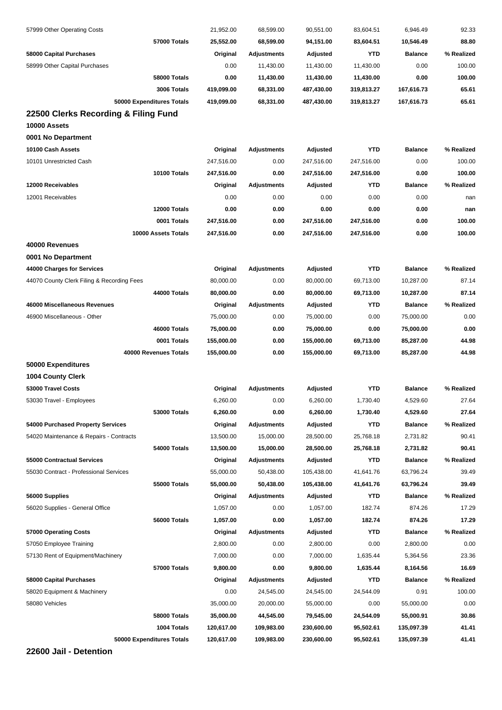| 57999 Other Operating Costs                | 21,952.00  | 68,599.00          | 90,551.00  | 83,604.51  | 6,946.49       | 92.33      |
|--------------------------------------------|------------|--------------------|------------|------------|----------------|------------|
| 57000 Totals                               | 25,552.00  | 68,599.00          | 94,151.00  | 83,604.51  | 10,546.49      | 88.80      |
| 58000 Capital Purchases                    | Original   | Adjustments        | Adjusted   | <b>YTD</b> | <b>Balance</b> | % Realized |
| 58999 Other Capital Purchases              | 0.00       | 11,430.00          | 11,430.00  | 11,430.00  | 0.00           | 100.00     |
| 58000 Totals                               | 0.00       | 11,430.00          | 11,430.00  | 11,430.00  | 0.00           | 100.00     |
| 3006 Totals                                | 419,099.00 | 68,331.00          | 487,430.00 | 319,813.27 | 167,616.73     | 65.61      |
| 50000 Expenditures Totals                  | 419,099.00 | 68,331.00          | 487,430.00 | 319,813.27 | 167,616.73     | 65.61      |
| 22500 Clerks Recording & Filing Fund       |            |                    |            |            |                |            |
| 10000 Assets                               |            |                    |            |            |                |            |
| 0001 No Department                         |            |                    |            |            |                |            |
| 10100 Cash Assets                          | Original   | <b>Adjustments</b> | Adjusted   | <b>YTD</b> | <b>Balance</b> | % Realized |
| 10101 Unrestricted Cash                    | 247,516.00 | 0.00               | 247,516.00 | 247,516.00 | 0.00           | 100.00     |
| 10100 Totals                               | 247,516.00 | 0.00               | 247,516.00 | 247,516.00 | 0.00           | 100.00     |
| 12000 Receivables                          | Original   | Adjustments        | Adjusted   | YTD        | <b>Balance</b> | % Realized |
| 12001 Receivables                          | 0.00       | 0.00               | 0.00       | 0.00       | 0.00           | nan        |
| 12000 Totals                               | 0.00       | 0.00               | 0.00       | 0.00       | 0.00           | nan        |
| 0001 Totals                                | 247,516.00 | 0.00               | 247,516.00 | 247,516.00 | 0.00           | 100.00     |
| 10000 Assets Totals                        | 247,516.00 | 0.00               | 247,516.00 | 247,516.00 | 0.00           | 100.00     |
| 40000 Revenues                             |            |                    |            |            |                |            |
| 0001 No Department                         |            |                    |            |            |                |            |
| 44000 Charges for Services                 | Original   | <b>Adjustments</b> | Adjusted   | <b>YTD</b> | <b>Balance</b> | % Realized |
| 44070 County Clerk Filing & Recording Fees | 80,000.00  | 0.00               | 80,000.00  | 69,713.00  | 10,287.00      | 87.14      |
| <b>44000 Totals</b>                        | 80,000.00  | 0.00               | 80,000.00  | 69,713.00  | 10,287.00      | 87.14      |
| 46000 Miscellaneous Revenues               | Original   | Adjustments        | Adjusted   | YTD        | <b>Balance</b> | % Realized |
| 46900 Miscellaneous - Other                | 75,000.00  | 0.00               | 75,000.00  | 0.00       | 75,000.00      | 0.00       |
| 46000 Totals                               | 75,000.00  | 0.00               | 75,000.00  | 0.00       | 75,000.00      | 0.00       |
| 0001 Totals                                | 155,000.00 | 0.00               | 155,000.00 | 69,713.00  | 85,287.00      | 44.98      |
| 40000 Revenues Totals                      | 155,000.00 | 0.00               | 155,000.00 | 69,713.00  | 85,287.00      | 44.98      |
| 50000 Expenditures                         |            |                    |            |            |                |            |
| 1004 County Clerk                          |            |                    |            |            |                |            |
| 53000 Travel Costs                         | Original   | <b>Adjustments</b> | Adjusted   | YTD        | <b>Balance</b> | % Realized |
| 53030 Travel - Employees                   | 6,260.00   | 0.00               | 6,260.00   | 1,730.40   | 4,529.60       | 27.64      |
| 53000 Totals                               | 6,260.00   | 0.00               | 6,260.00   | 1,730.40   | 4,529.60       | 27.64      |
| 54000 Purchased Property Services          | Original   | <b>Adjustments</b> | Adjusted   | <b>YTD</b> | <b>Balance</b> | % Realized |
| 54020 Maintenance & Repairs - Contracts    | 13,500.00  | 15,000.00          | 28,500.00  | 25,768.18  | 2,731.82       | 90.41      |
| 54000 Totals                               | 13,500.00  | 15,000.00          | 28,500.00  | 25,768.18  | 2,731.82       | 90.41      |
| 55000 Contractual Services                 | Original   | <b>Adjustments</b> | Adjusted   | YTD        | <b>Balance</b> | % Realized |
| 55030 Contract - Professional Services     | 55,000.00  | 50,438.00          | 105,438.00 | 41,641.76  | 63,796.24      | 39.49      |
| 55000 Totals                               | 55,000.00  | 50,438.00          | 105,438.00 | 41,641.76  | 63,796.24      | 39.49      |
| 56000 Supplies                             | Original   | <b>Adjustments</b> | Adjusted   | YTD        | <b>Balance</b> | % Realized |
| 56020 Supplies - General Office            | 1,057.00   | 0.00               | 1,057.00   | 182.74     | 874.26         | 17.29      |
| 56000 Totals                               | 1,057.00   | 0.00               | 1,057.00   | 182.74     | 874.26         | 17.29      |
| 57000 Operating Costs                      | Original   | <b>Adjustments</b> | Adjusted   | <b>YTD</b> | <b>Balance</b> | % Realized |
| 57050 Employee Training                    | 2,800.00   | 0.00               | 2,800.00   | 0.00       | 2,800.00       | 0.00       |
|                                            |            |                    |            |            |                |            |
| 57130 Rent of Equipment/Machinery          | 7,000.00   | 0.00               | 7,000.00   | 1,635.44   | 5,364.56       | 23.36      |
| 57000 Totals                               | 9,800.00   | 0.00               | 9,800.00   | 1,635.44   | 8,164.56       | 16.69      |
| 58000 Capital Purchases                    | Original   | <b>Adjustments</b> | Adjusted   | <b>YTD</b> | <b>Balance</b> | % Realized |
| 58020 Equipment & Machinery                | 0.00       | 24,545.00          | 24,545.00  | 24,544.09  | 0.91           | 100.00     |
| 58080 Vehicles                             | 35,000.00  | 20,000.00          | 55,000.00  | 0.00       | 55,000.00      | 0.00       |
| 58000 Totals                               | 35,000.00  | 44,545.00          | 79,545.00  | 24,544.09  | 55,000.91      | 30.86      |
| 1004 Totals                                | 120,617.00 | 109,983.00         | 230,600.00 | 95,502.61  | 135,097.39     | 41.41      |
| 50000 Expenditures Totals                  | 120,617.00 | 109,983.00         | 230,600.00 | 95,502.61  | 135,097.39     | 41.41      |

**22600 Jail - Detention**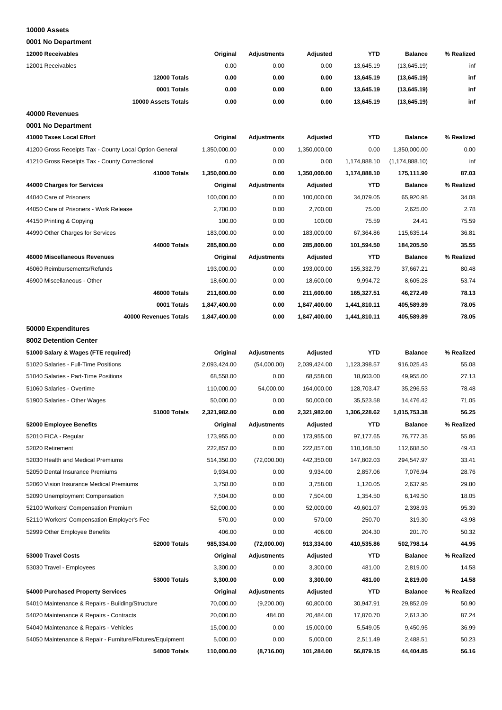#### **10000 Assets**

| 12000 Receivables                                         | Original     | <b>Adjustments</b> | Adjusted     | YTD          | <b>Balance</b>   | % Realized |
|-----------------------------------------------------------|--------------|--------------------|--------------|--------------|------------------|------------|
| 12001 Receivables                                         | 0.00         | 0.00               | 0.00         | 13,645.19    | (13,645.19)      | inf        |
| 12000 Totals                                              | 0.00         | 0.00               | 0.00         | 13,645.19    | (13,645.19)      | inf        |
| 0001 Totals                                               | 0.00         | 0.00               | 0.00         |              |                  | inf        |
|                                                           | 0.00         |                    |              | 13,645.19    | (13,645.19)      |            |
| 10000 Assets Totals                                       |              | 0.00               | 0.00         | 13,645.19    | (13,645.19)      | inf        |
| 40000 Revenues                                            |              |                    |              |              |                  |            |
| 0001 No Department                                        |              |                    |              |              |                  |            |
| 41000 Taxes Local Effort                                  | Original     | <b>Adjustments</b> | Adjusted     | <b>YTD</b>   | <b>Balance</b>   | % Realized |
| 41200 Gross Receipts Tax - County Local Option General    | 1,350,000.00 | 0.00               | 1,350,000.00 | 0.00         | 1,350,000.00     | 0.00       |
| 41210 Gross Receipts Tax - County Correctional            | 0.00         | 0.00               | 0.00         | 1,174,888.10 | (1, 174, 888.10) | inf        |
| 41000 Totals                                              | 1,350,000.00 | 0.00               | 1,350,000.00 | 1,174,888.10 | 175,111.90       | 87.03      |
| 44000 Charges for Services                                | Original     | <b>Adjustments</b> | Adjusted     | YTD          | <b>Balance</b>   | % Realized |
| 44040 Care of Prisoners                                   | 100,000.00   | 0.00               | 100,000.00   | 34,079.05    | 65,920.95        | 34.08      |
| 44050 Care of Prisoners - Work Release                    | 2,700.00     | 0.00               | 2,700.00     | 75.00        | 2,625.00         | 2.78       |
| 44150 Printing & Copying                                  | 100.00       | 0.00               | 100.00       | 75.59        | 24.41            | 75.59      |
| 44990 Other Charges for Services                          | 183,000.00   | 0.00               | 183,000.00   | 67,364.86    | 115,635.14       | 36.81      |
| 44000 Totals                                              | 285,800.00   | 0.00               | 285,800.00   | 101,594.50   | 184,205.50       | 35.55      |
| 46000 Miscellaneous Revenues                              | Original     | Adjustments        | Adjusted     | YTD          | <b>Balance</b>   | % Realized |
| 46060 Reimbursements/Refunds                              | 193,000.00   | 0.00               | 193,000.00   | 155,332.79   | 37,667.21        | 80.48      |
| 46900 Miscellaneous - Other                               | 18,600.00    | 0.00               | 18,600.00    | 9,994.72     | 8,605.28         | 53.74      |
| 46000 Totals                                              | 211,600.00   | 0.00               | 211,600.00   | 165,327.51   | 46,272.49        | 78.13      |
| 0001 Totals                                               | 1,847,400.00 | 0.00               | 1,847,400.00 | 1,441,810.11 | 405,589.89       | 78.05      |
| 40000 Revenues Totals                                     | 1,847,400.00 | 0.00               | 1,847,400.00 | 1,441,810.11 | 405,589.89       | 78.05      |
| 50000 Expenditures                                        |              |                    |              |              |                  |            |
| 8002 Detention Center                                     |              |                    |              |              |                  |            |
| 51000 Salary & Wages (FTE required)                       | Original     | Adjustments        | Adjusted     | <b>YTD</b>   | <b>Balance</b>   | % Realized |
| 51020 Salaries - Full-Time Positions                      | 2,093,424.00 | (54,000.00)        | 2,039,424.00 | 1,123,398.57 | 916,025.43       | 55.08      |
| 51040 Salaries - Part-Time Positions                      | 68,558.00    | 0.00               | 68,558.00    | 18,603.00    | 49,955.00        | 27.13      |
| 51060 Salaries - Overtime                                 | 110,000.00   | 54,000.00          | 164,000.00   | 128,703.47   | 35,296.53        | 78.48      |
| 51900 Salaries - Other Wages                              | 50,000.00    | 0.00               | 50,000.00    | 35,523.58    | 14,476.42        | 71.05      |
| 51000 Totals                                              | 2,321,982.00 | 0.00               | 2,321,982.00 | 1,306,228.62 | 1,015,753.38     | 56.25      |
| 52000 Employee Benefits                                   | Original     | Adjustments        | Adjusted     | YTD          | Balance          | % Realized |
| 52010 FICA - Regular                                      | 173,955.00   | 0.00               | 173,955.00   | 97,177.65    | 76,777.35        | 55.86      |
| 52020 Retirement                                          | 222,857.00   | 0.00               | 222,857.00   | 110,168.50   | 112,688.50       | 49.43      |
| 52030 Health and Medical Premiums                         | 514,350.00   | (72,000.00)        | 442,350.00   | 147,802.03   | 294,547.97       | 33.41      |
| 52050 Dental Insurance Premiums                           | 9,934.00     | 0.00               | 9,934.00     | 2,857.06     | 7,076.94         | 28.76      |
| 52060 Vision Insurance Medical Premiums                   | 3,758.00     | 0.00               | 3,758.00     | 1,120.05     | 2,637.95         | 29.80      |
| 52090 Unemployment Compensation                           | 7,504.00     | 0.00               | 7,504.00     | 1,354.50     | 6,149.50         | 18.05      |
| 52100 Workers' Compensation Premium                       | 52,000.00    | 0.00               | 52,000.00    | 49,601.07    | 2,398.93         | 95.39      |
| 52110 Workers' Compensation Employer's Fee                | 570.00       | 0.00               | 570.00       | 250.70       | 319.30           | 43.98      |
| 52999 Other Employee Benefits                             | 406.00       | 0.00               | 406.00       | 204.30       | 201.70           | 50.32      |
| 52000 Totals                                              | 985,334.00   | (72,000.00)        | 913,334.00   | 410,535.86   | 502,798.14       | 44.95      |
| 53000 Travel Costs                                        | Original     | Adjustments        | Adjusted     | YTD          | <b>Balance</b>   | % Realized |
| 53030 Travel - Employees                                  | 3,300.00     | 0.00               | 3,300.00     | 481.00       | 2,819.00         | 14.58      |
| 53000 Totals                                              | 3,300.00     | 0.00               | 3,300.00     | 481.00       | 2,819.00         | 14.58      |
| 54000 Purchased Property Services                         | Original     | <b>Adjustments</b> | Adjusted     | YTD          | <b>Balance</b>   | % Realized |
| 54010 Maintenance & Repairs - Building/Structure          | 70,000.00    | (9,200.00)         | 60,800.00    | 30,947.91    | 29,852.09        | 50.90      |
| 54020 Maintenance & Repairs - Contracts                   | 20,000.00    | 484.00             | 20,484.00    | 17,870.70    | 2,613.30         | 87.24      |
| 54040 Maintenance & Repairs - Vehicles                    | 15,000.00    | 0.00               | 15,000.00    | 5,549.05     | 9,450.95         | 36.99      |
| 54050 Maintenance & Repair - Furniture/Fixtures/Equipment | 5,000.00     | 0.00               | 5,000.00     | 2,511.49     | 2,488.51         | 50.23      |
| 54000 Totals                                              | 110,000.00   | (8,716.00)         | 101,284.00   | 56,879.15    | 44,404.85        | 56.16      |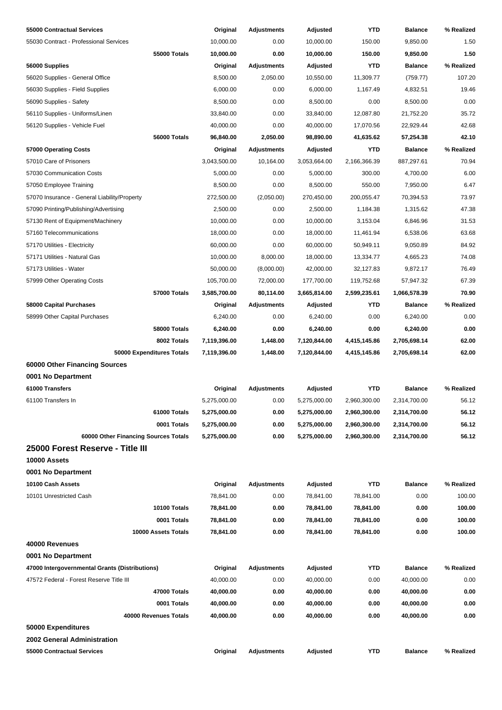| 55000 Contractual Services                     | Original     | Adjustments        | Adjusted     | YTD          | <b>Balance</b> | % Realized |
|------------------------------------------------|--------------|--------------------|--------------|--------------|----------------|------------|
| 55030 Contract - Professional Services         | 10,000.00    | 0.00               | 10,000.00    | 150.00       | 9,850.00       | 1.50       |
| 55000 Totals                                   | 10,000.00    | 0.00               | 10,000.00    | 150.00       | 9,850.00       | 1.50       |
| 56000 Supplies                                 | Original     | Adjustments        | Adjusted     | <b>YTD</b>   | <b>Balance</b> | % Realized |
| 56020 Supplies - General Office                | 8,500.00     | 2,050.00           | 10,550.00    | 11,309.77    | (759.77)       | 107.20     |
| 56030 Supplies - Field Supplies                | 6,000.00     | 0.00               | 6,000.00     | 1,167.49     | 4,832.51       | 19.46      |
| 56090 Supplies - Safety                        | 8,500.00     | 0.00               | 8,500.00     | 0.00         | 8,500.00       | 0.00       |
| 56110 Supplies - Uniforms/Linen                | 33,840.00    | 0.00               | 33,840.00    | 12,087.80    | 21,752.20      | 35.72      |
| 56120 Supplies - Vehicle Fuel                  | 40,000.00    | 0.00               | 40,000.00    | 17,070.56    | 22,929.44      | 42.68      |
| 56000 Totals                                   | 96,840.00    | 2,050.00           | 98,890.00    | 41,635.62    | 57,254.38      | 42.10      |
| 57000 Operating Costs                          | Original     | <b>Adjustments</b> | Adjusted     | YTD          | <b>Balance</b> | % Realized |
| 57010 Care of Prisoners                        | 3,043,500.00 | 10,164.00          | 3,053,664.00 | 2,166,366.39 | 887,297.61     | 70.94      |
| 57030 Communication Costs                      | 5,000.00     | 0.00               | 5,000.00     | 300.00       | 4,700.00       | 6.00       |
| 57050 Employee Training                        | 8,500.00     | 0.00               | 8,500.00     | 550.00       | 7,950.00       | 6.47       |
| 57070 Insurance - General Liability/Property   | 272,500.00   | (2,050.00)         | 270,450.00   | 200,055.47   | 70,394.53      | 73.97      |
| 57090 Printing/Publishing/Advertising          | 2,500.00     | 0.00               | 2,500.00     | 1,184.38     | 1,315.62       | 47.38      |
| 57130 Rent of Equipment/Machinery              | 10,000.00    | 0.00               | 10,000.00    | 3,153.04     | 6,846.96       | 31.53      |
| 57160 Telecommunications                       | 18,000.00    | 0.00               | 18,000.00    | 11,461.94    | 6,538.06       | 63.68      |
| 57170 Utilities - Electricity                  | 60,000.00    | 0.00               | 60,000.00    | 50,949.11    | 9,050.89       | 84.92      |
| 57171 Utilities - Natural Gas                  | 10,000.00    | 8,000.00           | 18,000.00    | 13,334.77    | 4,665.23       | 74.08      |
| 57173 Utilities - Water                        | 50,000.00    | (8,000.00)         | 42,000.00    | 32,127.83    | 9,872.17       | 76.49      |
| 57999 Other Operating Costs                    | 105,700.00   | 72,000.00          | 177,700.00   | 119,752.68   | 57,947.32      | 67.39      |
| 57000 Totals                                   | 3,585,700.00 | 80,114.00          | 3,665,814.00 | 2,599,235.61 | 1,066,578.39   | 70.90      |
| 58000 Capital Purchases                        | Original     | Adjustments        | Adjusted     | YTD          | <b>Balance</b> | % Realized |
| 58999 Other Capital Purchases                  | 6,240.00     | 0.00               | 6,240.00     | 0.00         | 6,240.00       | 0.00       |
| 58000 Totals                                   | 6,240.00     | 0.00               | 6,240.00     | 0.00         | 6,240.00       | 0.00       |
| 8002 Totals                                    | 7,119,396.00 | 1,448.00           | 7,120,844.00 | 4,415,145.86 | 2,705,698.14   | 62.00      |
| 50000 Expenditures Totals                      | 7,119,396.00 | 1,448.00           | 7,120,844.00 | 4,415,145.86 | 2,705,698.14   | 62.00      |
| 60000 Other Financing Sources                  |              |                    |              |              |                |            |
| 0001 No Department                             |              |                    |              |              |                |            |
| 61000 Transfers                                | Original     | <b>Adjustments</b> | Adjusted     | <b>YTD</b>   | <b>Balance</b> | % Realized |
| 61100 Transfers In                             | 5,275,000.00 | 0.00               | 5,275,000.00 | 2,960,300.00 | 2,314,700.00   | 56.12      |
| 61000 Totals                                   | 5,275,000.00 | 0.00               | 5,275,000.00 | 2,960,300.00 | 2,314,700.00   | 56.12      |
| 0001 Totals                                    | 5,275,000.00 | 0.00               | 5,275,000.00 | 2,960,300.00 | 2,314,700.00   | 56.12      |
| 60000 Other Financing Sources Totals           | 5,275,000.00 | 0.00               | 5,275,000.00 | 2,960,300.00 | 2,314,700.00   | 56.12      |
| 25000 Forest Reserve - Title III               |              |                    |              |              |                |            |
| 10000 Assets                                   |              |                    |              |              |                |            |
| 0001 No Department                             |              |                    |              |              |                |            |
| 10100 Cash Assets                              | Original     | <b>Adjustments</b> | Adjusted     | <b>YTD</b>   | <b>Balance</b> | % Realized |
| 10101 Unrestricted Cash                        | 78,841.00    | 0.00               | 78,841.00    | 78,841.00    | 0.00           | 100.00     |
| 10100 Totals                                   | 78,841.00    | 0.00               | 78,841.00    | 78,841.00    | 0.00           | 100.00     |
| 0001 Totals                                    | 78,841.00    | 0.00               | 78,841.00    | 78,841.00    | 0.00           | 100.00     |
| 10000 Assets Totals                            | 78,841.00    | 0.00               | 78,841.00    | 78,841.00    | 0.00           | 100.00     |
| 40000 Revenues                                 |              |                    |              |              |                |            |
| 0001 No Department                             |              |                    |              |              |                |            |
| 47000 Intergovernmental Grants (Distributions) | Original     | Adjustments        | Adjusted     | YTD          | <b>Balance</b> | % Realized |
| 47572 Federal - Forest Reserve Title III       | 40,000.00    | 0.00               | 40,000.00    | 0.00         | 40,000.00      | 0.00       |
| 47000 Totals                                   | 40,000.00    | 0.00               | 40,000.00    | 0.00         | 40,000.00      | 0.00       |
| 0001 Totals                                    | 40,000.00    | 0.00               | 40,000.00    | 0.00         | 40,000.00      | 0.00       |
| 40000 Revenues Totals                          | 40,000.00    | 0.00               | 40,000.00    | 0.00         | 40,000.00      | 0.00       |
| 50000 Expenditures                             |              |                    |              |              |                |            |
| 2002 General Administration                    |              |                    |              |              |                |            |
| 55000 Contractual Services                     | Original     | <b>Adjustments</b> | Adjusted     | YTD          | <b>Balance</b> | % Realized |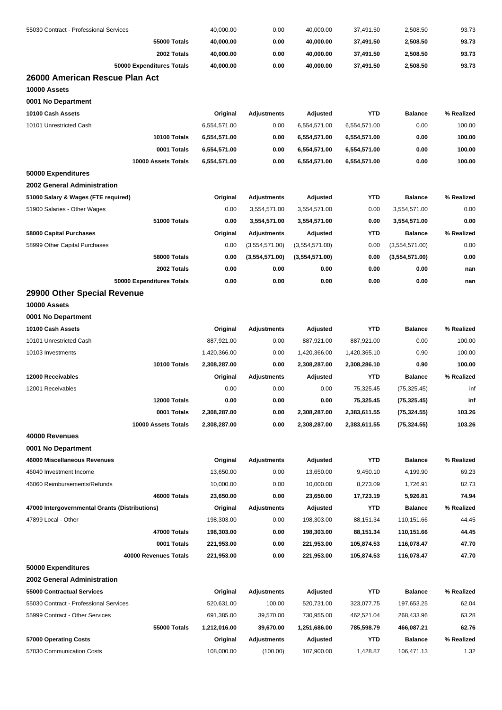| 55030 Contract - Professional Services                               | 40,000.00                  | 0.00                         | 40,000.00                  | 37,491.50                | 2,508.50                     | 93.73          |
|----------------------------------------------------------------------|----------------------------|------------------------------|----------------------------|--------------------------|------------------------------|----------------|
| <b>55000 Totals</b>                                                  | 40,000.00                  | 0.00                         | 40,000.00                  | 37,491.50                | 2,508.50                     | 93.73          |
| 2002 Totals                                                          | 40,000.00                  | 0.00                         | 40,000.00                  | 37,491.50                | 2,508.50                     | 93.73          |
| 50000 Expenditures Totals                                            | 40,000.00                  | 0.00                         | 40,000.00                  | 37,491.50                | 2,508.50                     | 93.73          |
| 26000 American Rescue Plan Act                                       |                            |                              |                            |                          |                              |                |
| 10000 Assets                                                         |                            |                              |                            |                          |                              |                |
| 0001 No Department                                                   |                            |                              |                            |                          |                              |                |
| 10100 Cash Assets                                                    | Original                   | <b>Adjustments</b>           | Adjusted                   | <b>YTD</b>               | <b>Balance</b>               | % Realized     |
| 10101 Unrestricted Cash                                              | 6,554,571.00               | 0.00                         | 6,554,571.00               | 6,554,571.00             | 0.00                         | 100.00         |
| 10100 Totals                                                         | 6,554,571.00               | 0.00                         | 6,554,571.00               | 6,554,571.00             | 0.00                         | 100.00         |
| 0001 Totals                                                          | 6,554,571.00               | 0.00                         | 6,554,571.00               | 6,554,571.00             | 0.00                         | 100.00         |
| 10000 Assets Totals                                                  | 6,554,571.00               | 0.00                         | 6,554,571.00               | 6,554,571.00             | 0.00                         | 100.00         |
| 50000 Expenditures                                                   |                            |                              |                            |                          |                              |                |
| 2002 General Administration                                          |                            |                              |                            |                          |                              |                |
| 51000 Salary & Wages (FTE required)                                  | Original                   | <b>Adjustments</b>           | Adjusted                   | <b>YTD</b>               | <b>Balance</b>               | % Realized     |
| 51900 Salaries - Other Wages                                         | 0.00                       | 3,554,571.00                 | 3,554,571.00               | 0.00                     | 3,554,571.00                 | 0.00           |
| 51000 Totals                                                         | 0.00                       | 3,554,571.00                 | 3,554,571.00               | 0.00                     | 3,554,571.00                 | 0.00           |
| 58000 Capital Purchases                                              | Original                   | <b>Adjustments</b>           | Adjusted                   | YTD                      | <b>Balance</b>               | % Realized     |
| 58999 Other Capital Purchases                                        | 0.00                       | (3,554,571.00)               | (3,554,571.00)             | 0.00                     | (3,554,571.00)               | 0.00           |
| 58000 Totals                                                         | 0.00                       | (3,554,571.00)               | (3,554,571.00)             | 0.00                     | (3,554,571.00)               | 0.00           |
| 2002 Totals                                                          | 0.00                       | 0.00                         | 0.00                       | 0.00                     | 0.00                         | nan            |
| 50000 Expenditures Totals                                            | 0.00                       | 0.00                         | 0.00                       | 0.00                     | 0.00                         | nan            |
| 29900 Other Special Revenue                                          |                            |                              |                            |                          |                              |                |
| 10000 Assets                                                         |                            |                              |                            |                          |                              |                |
| 0001 No Department                                                   |                            |                              |                            |                          |                              |                |
| 10100 Cash Assets                                                    | Original                   | <b>Adjustments</b>           | Adjusted                   | <b>YTD</b>               | <b>Balance</b>               | % Realized     |
| 10101 Unrestricted Cash                                              | 887,921.00                 | 0.00                         | 887,921.00                 | 887,921.00               | 0.00                         | 100.00         |
| 10103 Investments                                                    | 1,420,366.00               | 0.00                         | 1,420,366.00               | 1,420,365.10             | 0.90                         | 100.00         |
| 10100 Totals                                                         | 2,308,287.00               | 0.00                         | 2,308,287.00               | 2,308,286.10             | 0.90                         | 100.00         |
| 12000 Receivables                                                    | Original                   | <b>Adjustments</b>           | Adjusted                   | <b>YTD</b>               | <b>Balance</b>               | % Realized     |
| 12001 Receivables                                                    | 0.00                       | 0.00                         | 0.00                       | 75,325.45                | (75, 325.45)                 | inf            |
| 12000 Totals                                                         | 0.00                       | 0.00                         | 0.00                       | 75,325.45                | (75,325.45)                  | inf            |
| 0001 Totals                                                          | 2,308,287.00               | 0.00                         | 2,308,287.00               | 2,383,611.55             | (75, 324.55)                 | 103.26         |
| 10000 Assets Totals                                                  | 2,308,287.00               | 0.00                         | 2,308,287.00               | 2,383,611.55             | (75, 324.55)                 | 103.26         |
| 40000 Revenues                                                       |                            |                              |                            |                          |                              |                |
| 0001 No Department                                                   |                            |                              |                            |                          |                              |                |
| 46000 Miscellaneous Revenues                                         | Original                   | <b>Adjustments</b>           | Adjusted                   | <b>YTD</b>               | <b>Balance</b>               | % Realized     |
| 46040 Investment Income                                              | 13,650.00                  | 0.00                         | 13,650.00                  | 9,450.10                 | 4,199.90                     | 69.23          |
| 46060 Reimbursements/Refunds                                         | 10,000.00                  | 0.00                         | 10,000.00                  | 8,273.09                 | 1,726.91                     | 82.73          |
| 46000 Totals                                                         | 23,650.00                  | 0.00                         | 23,650.00                  | 17,723.19                | 5,926.81                     | 74.94          |
| 47000 Intergovernmental Grants (Distributions)                       | Original                   | Adjustments                  | Adjusted                   | <b>YTD</b>               | <b>Balance</b>               | % Realized     |
| 47899 Local - Other                                                  | 198,303.00                 | 0.00                         | 198,303.00                 | 88,151.34                | 110,151.66                   | 44.45          |
| 47000 Totals                                                         | 198,303.00                 | 0.00                         | 198,303.00                 | 88,151.34                | 110,151.66                   | 44.45          |
| 0001 Totals                                                          | 221,953.00                 | 0.00                         | 221,953.00                 | 105,874.53               | 116,078.47                   | 47.70          |
| 40000 Revenues Totals                                                | 221,953.00                 | 0.00                         | 221,953.00                 | 105,874.53               | 116,078.47                   | 47.70          |
|                                                                      |                            |                              |                            |                          |                              |                |
| 50000 Expenditures<br>2002 General Administration                    |                            |                              |                            |                          |                              |                |
|                                                                      |                            |                              |                            | <b>YTD</b>               |                              | % Realized     |
| 55000 Contractual Services<br>55030 Contract - Professional Services | Original<br>520,631.00     | <b>Adjustments</b><br>100.00 | Adjusted<br>520,731.00     |                          | <b>Balance</b><br>197,653.25 | 62.04          |
|                                                                      |                            |                              |                            | 323,077.75               |                              |                |
| 55999 Contract - Other Services<br>55000 Totals                      | 691,385.00<br>1,212,016.00 | 39,570.00<br>39,670.00       | 730,955.00<br>1,251,686.00 | 462,521.04<br>785,598.79 | 268,433.96<br>466,087.21     | 63.28<br>62.76 |
| 57000 Operating Costs                                                |                            |                              | Adjusted                   | <b>YTD</b>               |                              | % Realized     |
| 57030 Communication Costs                                            | Original<br>108,000.00     | <b>Adjustments</b>           | 107,900.00                 | 1,428.87                 | <b>Balance</b><br>106,471.13 | 1.32           |
|                                                                      |                            | (100.00)                     |                            |                          |                              |                |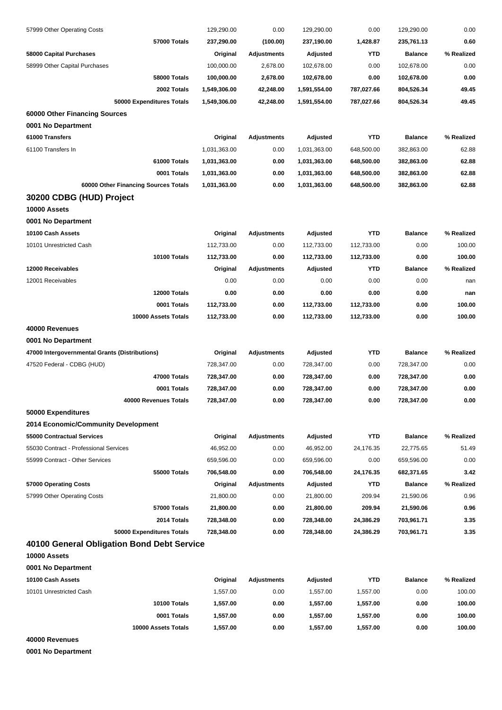| 57999 Other Operating Costs                    | 129,290.00   | 0.00               | 129,290.00      | 0.00       | 129,290.00     | 0.00          |
|------------------------------------------------|--------------|--------------------|-----------------|------------|----------------|---------------|
| 57000 Totals                                   | 237,290.00   | (100.00)           | 237,190.00      | 1,428.87   | 235,761.13     | 0.60          |
| 58000 Capital Purchases                        | Original     | <b>Adjustments</b> | Adjusted        | <b>YTD</b> | <b>Balance</b> | % Realized    |
| 58999 Other Capital Purchases                  | 100,000.00   | 2,678.00           | 102,678.00      | 0.00       | 102,678.00     | 0.00          |
| <b>58000 Totals</b>                            | 100,000.00   | 2,678.00           | 102,678.00      | 0.00       | 102,678.00     | 0.00          |
| 2002 Totals                                    | 1,549,306.00 | 42,248.00          | 1,591,554.00    | 787,027.66 | 804,526.34     | 49.45         |
| 50000 Expenditures Totals                      | 1,549,306.00 | 42,248.00          | 1,591,554.00    | 787,027.66 | 804,526.34     | 49.45         |
| 60000 Other Financing Sources                  |              |                    |                 |            |                |               |
| 0001 No Department                             |              |                    |                 |            |                |               |
| 61000 Transfers                                | Original     | <b>Adjustments</b> | <b>Adjusted</b> | <b>YTD</b> | <b>Balance</b> | % Realized    |
| 61100 Transfers In                             | 1,031,363.00 | 0.00               | 1,031,363.00    | 648,500.00 | 382,863.00     | 62.88         |
| 61000 Totals                                   | 1,031,363.00 | 0.00               | 1,031,363.00    | 648,500.00 | 382,863.00     | 62.88         |
| 0001 Totals                                    | 1,031,363.00 | 0.00               | 1,031,363.00    | 648,500.00 | 382,863.00     | 62.88         |
| 60000 Other Financing Sources Totals           | 1,031,363.00 | 0.00               | 1,031,363.00    | 648,500.00 | 382,863.00     | 62.88         |
| 30200 CDBG (HUD) Project                       |              |                    |                 |            |                |               |
| 10000 Assets                                   |              |                    |                 |            |                |               |
| 0001 No Department                             |              |                    |                 |            |                |               |
| 10100 Cash Assets                              | Original     | <b>Adjustments</b> | Adjusted        | <b>YTD</b> | <b>Balance</b> | % Realized    |
| 10101 Unrestricted Cash                        | 112,733.00   | 0.00               | 112,733.00      | 112,733.00 | 0.00           | 100.00        |
| 10100 Totals                                   | 112,733.00   | 0.00               | 112,733.00      | 112,733.00 | 0.00           | 100.00        |
| 12000 Receivables                              | Original     | <b>Adjustments</b> | Adjusted        | <b>YTD</b> | <b>Balance</b> | % Realized    |
| 12001 Receivables                              | 0.00         | 0.00               | 0.00            | 0.00       | 0.00           | nan           |
| 12000 Totals                                   | 0.00         | 0.00               | 0.00            | 0.00       | 0.00           |               |
| 0001 Totals                                    |              |                    |                 |            | 0.00           | nan<br>100.00 |
|                                                | 112,733.00   | 0.00               | 112,733.00      | 112,733.00 |                |               |
| 10000 Assets Totals                            | 112,733.00   | 0.00               | 112,733.00      | 112,733.00 | 0.00           | 100.00        |
| 40000 Revenues                                 |              |                    |                 |            |                |               |
| 0001 No Department                             |              |                    |                 |            |                |               |
| 47000 Intergovernmental Grants (Distributions) | Original     | <b>Adjustments</b> | <b>Adjusted</b> | <b>YTD</b> | <b>Balance</b> | % Realized    |
| 47520 Federal - CDBG (HUD)                     | 728,347.00   | 0.00               | 728,347.00      | 0.00       | 728,347.00     | 0.00          |
| 47000 Totals                                   | 728,347.00   | 0.00               | 728,347.00      | 0.00       | 728,347.00     | 0.00          |
| 0001 Totals                                    | 728,347.00   | 0.00               | 728,347.00      | 0.00       | 728,347.00     | 0.00          |
| 40000 Revenues Totals                          | 728,347.00   | 0.00               | 728,347.00      | 0.00       | 728,347.00     | 0.00          |
| 50000 Expenditures                             |              |                    |                 |            |                |               |
| 2014 Economic/Community Development            |              |                    |                 |            |                |               |
| 55000 Contractual Services                     | Original     | <b>Adjustments</b> | Adjusted        | <b>YTD</b> | <b>Balance</b> | % Realized    |
| 55030 Contract - Professional Services         | 46,952.00    | 0.00               | 46,952.00       | 24,176.35  | 22,775.65      | 51.49         |
| 55999 Contract - Other Services                | 659,596.00   | 0.00               | 659,596.00      | 0.00       | 659,596.00     | 0.00          |
| <b>55000 Totals</b>                            | 706,548.00   | 0.00               | 706,548.00      | 24,176.35  | 682,371.65     | 3.42          |
| 57000 Operating Costs                          | Original     | <b>Adjustments</b> | <b>Adjusted</b> | <b>YTD</b> | <b>Balance</b> | % Realized    |
| 57999 Other Operating Costs                    | 21,800.00    | 0.00               | 21,800.00       | 209.94     | 21,590.06      | 0.96          |
| 57000 Totals                                   | 21,800.00    | 0.00               | 21,800.00       | 209.94     | 21,590.06      | 0.96          |
| 2014 Totals                                    | 728,348.00   | 0.00               | 728,348.00      | 24,386.29  | 703,961.71     | 3.35          |
| 50000 Expenditures Totals                      | 728,348.00   | 0.00               | 728,348.00      | 24,386.29  | 703,961.71     | 3.35          |
| 40100 General Obligation Bond Debt Service     |              |                    |                 |            |                |               |
| 10000 Assets                                   |              |                    |                 |            |                |               |
| 0001 No Department                             |              |                    |                 |            |                |               |
| 10100 Cash Assets                              | Original     | <b>Adjustments</b> | Adjusted        | <b>YTD</b> | <b>Balance</b> | % Realized    |
| 10101 Unrestricted Cash                        | 1,557.00     | 0.00               | 1,557.00        | 1,557.00   | 0.00           | 100.00        |
| 10100 Totals                                   | 1,557.00     | 0.00               | 1,557.00        | 1,557.00   | 0.00           | 100.00        |
| 0001 Totals                                    | 1,557.00     | 0.00               | 1,557.00        | 1,557.00   | 0.00           | 100.00        |
| 10000 Assets Totals                            | 1,557.00     | 0.00               | 1,557.00        | 1,557.00   | 0.00           | 100.00        |
| 40000 Revenues                                 |              |                    |                 |            |                |               |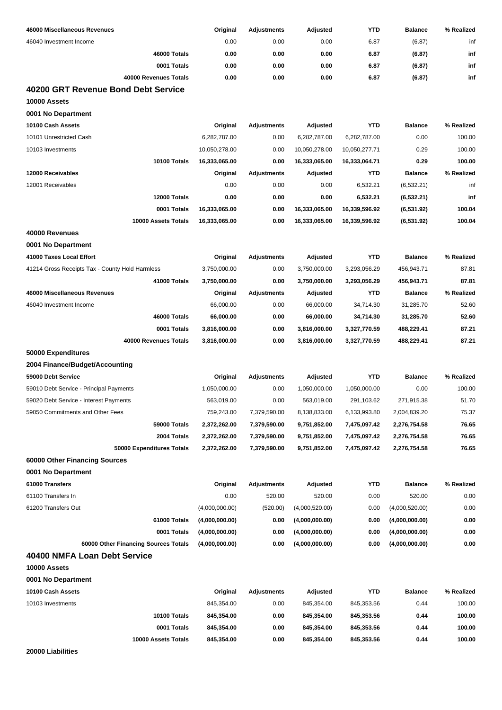| 46000 Miscellaneous Revenues                        | Original       | <b>Adjustments</b> | Adjusted       | <b>YTD</b>    | <b>Balance</b> | % Realized |
|-----------------------------------------------------|----------------|--------------------|----------------|---------------|----------------|------------|
| 46040 Investment Income                             | 0.00           | 0.00               | 0.00           | 6.87          | (6.87)         | inf        |
| 46000 Totals                                        | 0.00           | 0.00               | 0.00           | 6.87          | (6.87)         | inf        |
| 0001 Totals                                         | 0.00           | 0.00               | 0.00           | 6.87          | (6.87)         | inf        |
| 40000 Revenues Totals                               | 0.00           | 0.00               | 0.00           | 6.87          | (6.87)         | inf        |
| 40200 GRT Revenue Bond Debt Service<br>10000 Assets |                |                    |                |               |                |            |
| 0001 No Department                                  |                |                    |                |               |                |            |
| 10100 Cash Assets                                   | Original       | <b>Adjustments</b> | Adjusted       | <b>YTD</b>    | <b>Balance</b> | % Realized |
| 10101 Unrestricted Cash                             | 6,282,787.00   | 0.00               | 6,282,787.00   | 6,282,787.00  | 0.00           | 100.00     |
| 10103 Investments                                   | 10,050,278.00  | 0.00               | 10,050,278.00  | 10,050,277.71 | 0.29           | 100.00     |
| 10100 Totals                                        | 16,333,065.00  | 0.00               | 16,333,065.00  | 16,333,064.71 | 0.29           | 100.00     |
| 12000 Receivables                                   | Original       | <b>Adjustments</b> | Adjusted       | <b>YTD</b>    | <b>Balance</b> | % Realized |
| 12001 Receivables                                   | 0.00           | 0.00               | 0.00           | 6,532.21      | (6, 532.21)    | inf        |
| 12000 Totals                                        | 0.00           | 0.00               | 0.00           | 6,532.21      | (6, 532.21)    | inf        |
| 0001 Totals                                         | 16,333,065.00  | 0.00               | 16.333.065.00  | 16.339.596.92 | (6,531.92)     | 100.04     |
| 10000 Assets Totals                                 | 16,333,065.00  | 0.00               | 16,333,065.00  | 16,339,596.92 | (6,531.92)     | 100.04     |
| 40000 Revenues                                      |                |                    |                |               |                |            |
| 0001 No Department                                  |                |                    |                |               |                |            |
| 41000 Taxes Local Effort                            | Original       | <b>Adjustments</b> | Adjusted       | <b>YTD</b>    | <b>Balance</b> | % Realized |
| 41214 Gross Receipts Tax - County Hold Harmless     | 3,750,000.00   | 0.00               | 3,750,000.00   | 3,293,056.29  | 456,943.71     | 87.81      |
| 41000 Totals                                        | 3,750,000.00   | 0.00               | 3,750,000.00   | 3,293,056.29  | 456,943.71     | 87.81      |
| 46000 Miscellaneous Revenues                        | Original       | <b>Adjustments</b> | Adjusted       | <b>YTD</b>    | <b>Balance</b> | % Realized |
| 46040 Investment Income                             | 66,000.00      | 0.00               | 66,000.00      | 34,714.30     | 31,285.70      | 52.60      |
| 46000 Totals                                        | 66,000.00      | 0.00               | 66,000.00      | 34,714.30     | 31,285.70      | 52.60      |
| 0001 Totals                                         | 3,816,000.00   | 0.00               | 3,816,000.00   | 3,327,770.59  | 488,229.41     | 87.21      |
| 40000 Revenues Totals                               | 3,816,000.00   | 0.00               | 3,816,000.00   | 3,327,770.59  | 488,229.41     | 87.21      |
| 50000 Expenditures                                  |                |                    |                |               |                |            |
| 2004 Finance/Budget/Accounting                      |                |                    |                |               |                |            |
| 59000 Debt Service                                  | Original       | Adjustments        | Adjusted       | <b>YTD</b>    | <b>Balance</b> | % Realized |
| 59010 Debt Service - Principal Payments             | 1,050,000.00   | 0.00               | 1,050,000.00   | 1,050,000.00  | 0.00           | 100.00     |
| 59020 Debt Service - Interest Payments              | 563,019.00     | 0.00               | 563,019.00     | 291,103.62    | 271,915.38     | 51.70      |
| 59050 Commitments and Other Fees                    | 759,243.00     | 7,379,590.00       | 8,138,833.00   | 6,133,993.80  | 2,004,839.20   | 75.37      |
| 59000 Totals                                        | 2,372,262.00   | 7,379,590.00       | 9,751,852.00   | 7,475,097.42  | 2,276,754.58   | 76.65      |
| 2004 Totals                                         | 2,372,262.00   | 7,379,590.00       | 9,751,852.00   | 7,475,097.42  | 2,276,754.58   | 76.65      |
| 50000 Expenditures Totals                           | 2,372,262.00   | 7,379,590.00       | 9,751,852.00   | 7,475,097.42  | 2,276,754.58   | 76.65      |
| 60000 Other Financing Sources                       |                |                    |                |               |                |            |
| 0001 No Department                                  |                |                    |                |               |                |            |
| 61000 Transfers                                     | Original       | <b>Adjustments</b> | Adjusted       | <b>YTD</b>    | <b>Balance</b> | % Realized |
| 61100 Transfers In                                  | 0.00           | 520.00             | 520.00         | 0.00          | 520.00         | 0.00       |
| 61200 Transfers Out                                 | (4,000,000.00) | (520.00)           | (4,000,520.00) | 0.00          | (4,000,520.00) | 0.00       |
| 61000 Totals                                        | (4,000,000.00) | 0.00               | (4,000,000.00) | 0.00          | (4,000,000.00) | 0.00       |
| 0001 Totals                                         | (4,000,000.00) | 0.00               | (4,000,000.00) | 0.00          | (4,000,000.00) | 0.00       |
| 60000 Other Financing Sources Totals                | (4,000,000.00) | 0.00               | (4,000,000.00) | 0.00          | (4,000,000.00) | 0.00       |
| 40400 NMFA Loan Debt Service                        |                |                    |                |               |                |            |
| 10000 Assets                                        |                |                    |                |               |                |            |
| 0001 No Department                                  |                |                    |                |               |                |            |
| 10100 Cash Assets                                   | Original       | <b>Adjustments</b> | Adjusted       | <b>YTD</b>    | <b>Balance</b> | % Realized |
| 10103 Investments                                   | 845,354.00     | 0.00               | 845,354.00     | 845,353.56    | 0.44           | 100.00     |
| <b>10100 Totals</b>                                 | 845,354.00     | 0.00               | 845,354.00     | 845,353.56    | 0.44           | 100.00     |
| 0001 Totals                                         | 845,354.00     | 0.00               | 845,354.00     | 845,353.56    | 0.44           | 100.00     |
| 10000 Assets Totals                                 | 845,354.00     | 0.00               | 845,354.00     | 845,353.56    | 0.44           | 100.00     |

**20000 Liabilities**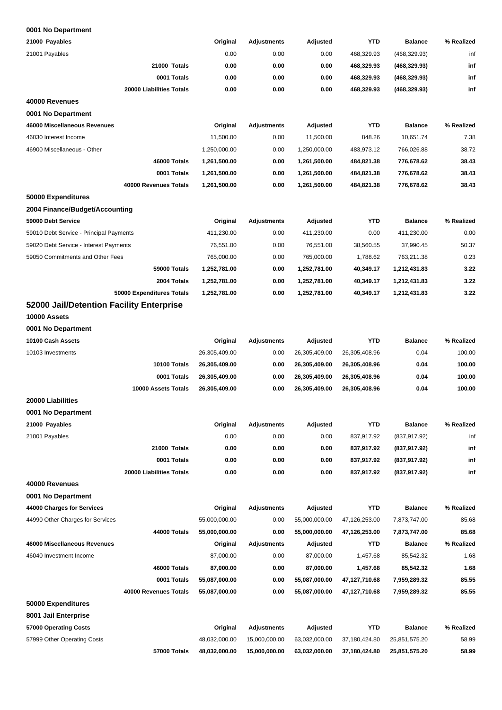| 21000 Payables                           | Original      | <b>Adjustments</b> | Adjusted      | <b>YTD</b>    | <b>Balance</b> | % Realized |
|------------------------------------------|---------------|--------------------|---------------|---------------|----------------|------------|
| 21001 Payables                           | 0.00          | 0.00               | 0.00          | 468,329.93    | (468, 329.93)  | inf        |
| 21000 Totals                             | 0.00          | 0.00               | 0.00          | 468,329.93    | (468, 329.93)  | inf        |
| 0001 Totals                              | 0.00          | 0.00               | 0.00          | 468,329.93    | (468, 329.93)  | inf        |
| 20000 Liabilities Totals                 | 0.00          | 0.00               | 0.00          | 468,329.93    | (468, 329.93)  | inf        |
| 40000 Revenues                           |               |                    |               |               |                |            |
| 0001 No Department                       |               |                    |               |               |                |            |
| 46000 Miscellaneous Revenues             | Original      | <b>Adjustments</b> | Adjusted      | <b>YTD</b>    | <b>Balance</b> | % Realized |
| 46030 Interest Income                    | 11,500.00     | 0.00               | 11,500.00     | 848.26        | 10,651.74      | 7.38       |
| 46900 Miscellaneous - Other              | 1,250,000.00  | 0.00               | 1,250,000.00  | 483,973.12    | 766,026.88     | 38.72      |
| 46000 Totals                             | 1,261,500.00  | 0.00               | 1,261,500.00  | 484,821.38    | 776,678.62     | 38.43      |
| 0001 Totals                              | 1,261,500.00  | 0.00               | 1,261,500.00  | 484,821.38    | 776,678.62     | 38.43      |
| 40000 Revenues Totals                    | 1,261,500.00  | 0.00               | 1,261,500.00  | 484,821.38    | 776,678.62     | 38.43      |
| 50000 Expenditures                       |               |                    |               |               |                |            |
| 2004 Finance/Budget/Accounting           |               |                    |               |               |                |            |
| 59000 Debt Service                       | Original      | <b>Adjustments</b> | Adjusted      | <b>YTD</b>    | <b>Balance</b> | % Realized |
| 59010 Debt Service - Principal Payments  | 411,230.00    | 0.00               | 411,230.00    | 0.00          | 411,230.00     | 0.00       |
| 59020 Debt Service - Interest Payments   | 76,551.00     | 0.00               | 76,551.00     | 38,560.55     | 37,990.45      | 50.37      |
| 59050 Commitments and Other Fees         | 765,000.00    | 0.00               | 765,000.00    | 1,788.62      | 763,211.38     | 0.23       |
| 59000 Totals                             | 1,252,781.00  | 0.00               | 1,252,781.00  | 40,349.17     | 1,212,431.83   | 3.22       |
| 2004 Totals                              | 1,252,781.00  | 0.00               | 1,252,781.00  | 40,349.17     | 1,212,431.83   | 3.22       |
| 50000 Expenditures Totals                | 1,252,781.00  | 0.00               | 1,252,781.00  | 40,349.17     | 1,212,431.83   | 3.22       |
| 52000 Jail/Detention Facility Enterprise |               |                    |               |               |                |            |
| 10000 Assets                             |               |                    |               |               |                |            |
| 0001 No Department                       |               |                    |               |               |                |            |
| 10100 Cash Assets                        | Original      | <b>Adjustments</b> | Adjusted      | <b>YTD</b>    | <b>Balance</b> | % Realized |
| 10103 Investments                        | 26,305,409.00 | 0.00               | 26,305,409.00 | 26,305,408.96 | 0.04           | 100.00     |
| 10100 Totals                             | 26,305,409.00 | 0.00               | 26,305,409.00 | 26,305,408.96 | 0.04           | 100.00     |
| 0001 Totals                              | 26,305,409.00 | 0.00               | 26,305,409.00 | 26,305,408.96 | 0.04           | 100.00     |
| 10000 Assets Totals                      | 26,305,409.00 | 0.00               | 26,305,409.00 | 26,305,408.96 | 0.04           | 100.00     |
| 20000 Liabilities                        |               |                    |               |               |                |            |
| 0001 No Department                       |               |                    |               |               |                |            |
| 21000 Payables                           | Original      | <b>Adjustments</b> | Adjusted      | <b>YTD</b>    | <b>Balance</b> | % Realized |
| 21001 Payables                           | 0.00          | 0.00               | 0.00          | 837,917.92    | (837, 917.92)  | inf        |
| 21000 Totals                             | 0.00          | 0.00               | 0.00          | 837,917.92    | (837,917.92)   | inf        |
| 0001 Totals                              | 0.00          | 0.00               | 0.00          | 837,917.92    | (837, 917.92)  | inf        |
| 20000 Liabilities Totals                 | 0.00          | 0.00               | 0.00          | 837,917.92    | (837, 917.92)  | inf        |
| 40000 Revenues                           |               |                    |               |               |                |            |
| 0001 No Department                       |               |                    |               |               |                |            |
| 44000 Charges for Services               | Original      | <b>Adjustments</b> | Adjusted      | <b>YTD</b>    | <b>Balance</b> | % Realized |
| 44990 Other Charges for Services         | 55,000,000.00 | 0.00               | 55,000,000.00 | 47,126,253.00 | 7,873,747.00   | 85.68      |
| <b>44000 Totals</b>                      | 55,000,000.00 | 0.00               | 55,000,000.00 | 47,126,253.00 | 7,873,747.00   | 85.68      |
| 46000 Miscellaneous Revenues             | Original      | <b>Adjustments</b> | Adjusted      | <b>YTD</b>    | <b>Balance</b> | % Realized |
| 46040 Investment Income                  | 87,000.00     | 0.00               | 87,000.00     | 1,457.68      | 85,542.32      | 1.68       |
| 46000 Totals                             | 87,000.00     | 0.00               | 87,000.00     | 1,457.68      | 85,542.32      | 1.68       |
| 0001 Totals                              | 55,087,000.00 | 0.00               | 55,087,000.00 | 47,127,710.68 | 7,959,289.32   | 85.55      |
| 40000 Revenues Totals                    | 55,087,000.00 | 0.00               | 55,087,000.00 | 47,127,710.68 | 7,959,289.32   | 85.55      |
| 50000 Expenditures                       |               |                    |               |               |                |            |
| 8001 Jail Enterprise                     |               |                    |               |               |                |            |
| 57000 Operating Costs                    | Original      | <b>Adjustments</b> | Adjusted      | <b>YTD</b>    | <b>Balance</b> | % Realized |
| 57999 Other Operating Costs              | 48,032,000.00 | 15,000,000.00      | 63,032,000.00 | 37,180,424.80 | 25,851,575.20  | 58.99      |
| 57000 Totals                             | 48,032,000.00 | 15,000,000.00      | 63,032,000.00 | 37,180,424.80 | 25,851,575.20  | 58.99      |